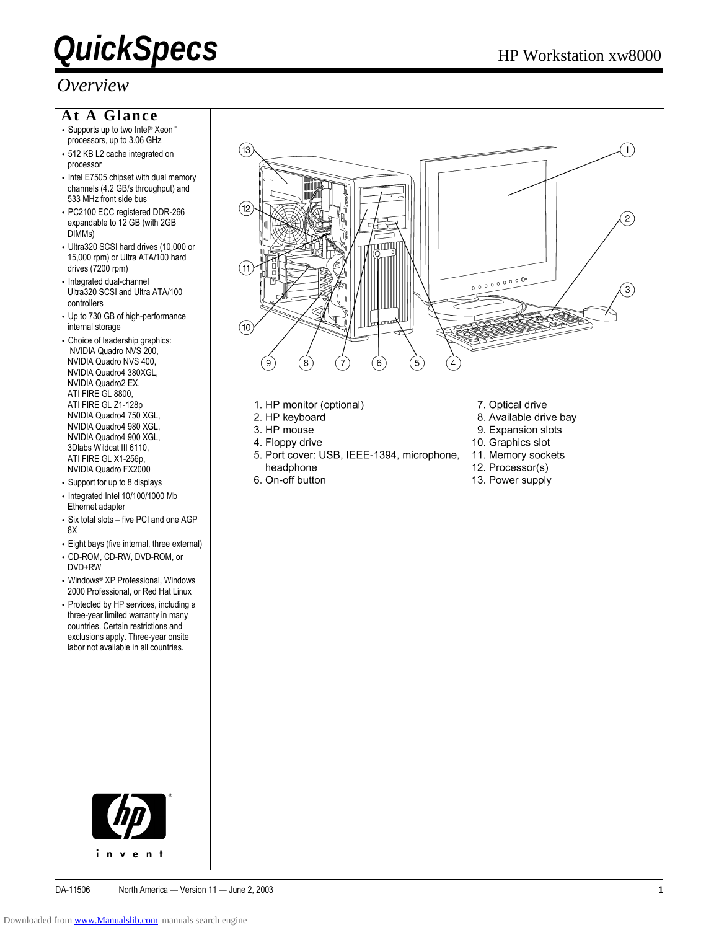#### *Overview*

#### **At A Glance**

- Supports up to two Intel® Xeon™ processors, up to 3.06 GHz
- 512 KB L2 cache integrated on processor
- Intel E7505 chipset with dual memory channels (4.2 GB/s throughput) and 533 MHz front side bus
- PC2100 ECC registered DDR-266 expandable to 12 GB (with 2GB DIMMs)
- Ultra320 SCSI hard drives (10,000 or 15,000 rpm) or Ultra ATA/100 hard drives (7200 rpm)
- Integrated dual-channel Ultra320 SCSI and Ultra ATA/100 controllers
- Up to 730 GB of high-performance internal storage
- Choice of leadership graphics: NVIDIA Quadro NVS 200, NVIDIA Quadro NVS 400, NVIDIA Quadro4 380XGL, NVIDIA Quadro2 EX, ATI FIRE GL 8800, ATI FIRE GL Z1-128p NVIDIA Quadro4 750 XGL, NVIDIA Quadro4 980 XGL, NVIDIA Quadro4 900 XGL, 3Dlabs Wildcat III 6110, ATI FIRE GL X1-256p, NVIDIA Quadro FX2000
- Support for up to 8 displays
- Integrated Intel 10/100/1000 Mb Ethernet adapter
- Six total slots five PCI and one AGP 8X
- Eight bays (five internal, three external)
- CD-ROM, CD-RW, DVD-ROM, or DVD+RW
- Windows® XP Professional, Windows 2000 Professional, or Red Hat Linux
- Protected by HP services, including a three-year limited warranty in many countries. Certain restrictions and exclusions apply. Three-year onsite labor not available in all countries.



- 1. HP monitor (optional)
- 2. HP keyboard
- 3. HP mouse
- 4. Floppy drive
- 5. Port cover: USB, IEEE-1394, microphone, headphone
- 6. On-off button
- 7. Optical drive
- 8. Available drive bay
- 9. Expansion slots
- 10. Graphics slot
- 11. Memory sockets
- 12. Processor(s)
- 13. Power supply

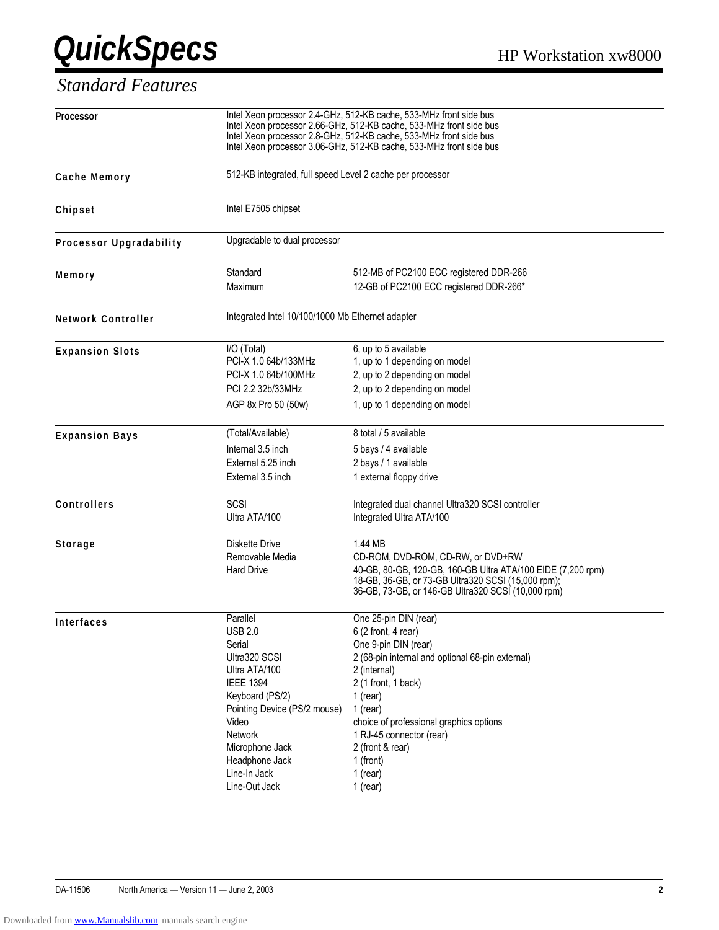#### *Standard Features*

| <b>Processor</b>          |                                                           | Intel Xeon processor 2.4-GHz, 512-KB cache, 533-MHz front side bus<br>Intel Xeon processor 2.66-GHz, 512-KB cache, 533-MHz front side bus<br>Intel Xeon processor 2.8-GHz, 512-KB cache, 533-MHz front side bus<br>Intel Xeon processor 3.06-GHz, 512-KB cache, 533-MHz front side bus |
|---------------------------|-----------------------------------------------------------|----------------------------------------------------------------------------------------------------------------------------------------------------------------------------------------------------------------------------------------------------------------------------------------|
| Cache Memory              | 512-KB integrated, full speed Level 2 cache per processor |                                                                                                                                                                                                                                                                                        |
| Chipset                   | Intel E7505 chipset                                       |                                                                                                                                                                                                                                                                                        |
| Processor Upgradability   | Upgradable to dual processor                              |                                                                                                                                                                                                                                                                                        |
|                           | Standard                                                  |                                                                                                                                                                                                                                                                                        |
| Memory                    |                                                           | 512-MB of PC2100 ECC registered DDR-266                                                                                                                                                                                                                                                |
|                           | Maximum                                                   | 12-GB of PC2100 ECC registered DDR-266*                                                                                                                                                                                                                                                |
| <b>Network Controller</b> | Integrated Intel 10/100/1000 Mb Ethernet adapter          |                                                                                                                                                                                                                                                                                        |
| <b>Expansion Slots</b>    | I/O (Total)                                               | 6, up to 5 available                                                                                                                                                                                                                                                                   |
|                           | PCI-X 1.0 64b/133MHz                                      | 1, up to 1 depending on model                                                                                                                                                                                                                                                          |
|                           | PCI-X 1.0 64b/100MHz                                      | 2, up to 2 depending on model                                                                                                                                                                                                                                                          |
|                           | PCI 2.2 32b/33MHz                                         | 2, up to 2 depending on model                                                                                                                                                                                                                                                          |
|                           | AGP 8x Pro 50 (50w)                                       | 1, up to 1 depending on model                                                                                                                                                                                                                                                          |
| <b>Expansion Bays</b>     | (Total/Available)                                         | 8 total / 5 available                                                                                                                                                                                                                                                                  |
|                           | Internal 3.5 inch                                         | 5 bays / 4 available                                                                                                                                                                                                                                                                   |
|                           | External 5.25 inch                                        | 2 bays / 1 available                                                                                                                                                                                                                                                                   |
|                           | External 3.5 inch                                         | 1 external floppy drive                                                                                                                                                                                                                                                                |
|                           |                                                           |                                                                                                                                                                                                                                                                                        |
| Controllers               | SCSI                                                      | Integrated dual channel Ultra320 SCSI controller                                                                                                                                                                                                                                       |
|                           | Ultra ATA/100                                             | Integrated Ultra ATA/100                                                                                                                                                                                                                                                               |
| <b>Storage</b>            | <b>Diskette Drive</b>                                     | 1.44 MB                                                                                                                                                                                                                                                                                |
|                           | Removable Media                                           | CD-ROM, DVD-ROM, CD-RW, or DVD+RW                                                                                                                                                                                                                                                      |
|                           | <b>Hard Drive</b>                                         | 40-GB, 80-GB, 120-GB, 160-GB Ultra ATA/100 EIDE (7,200 rpm)                                                                                                                                                                                                                            |
|                           |                                                           | 18-GB, 36-GB, or 73-GB Ultra320 SCSI (15,000 rpm);                                                                                                                                                                                                                                     |
|                           |                                                           | 36-GB, 73-GB, or 146-GB Ultra320 SCSI (10,000 rpm)                                                                                                                                                                                                                                     |
| <b>Interfaces</b>         | Parallel                                                  | One 25-pin DIN (rear)                                                                                                                                                                                                                                                                  |
|                           | <b>USB 2.0</b>                                            | 6 (2 front, 4 rear)                                                                                                                                                                                                                                                                    |
|                           | Serial                                                    | One 9-pin DIN (rear)                                                                                                                                                                                                                                                                   |
|                           | Ultra320 SCSI                                             | 2 (68-pin internal and optional 68-pin external)                                                                                                                                                                                                                                       |
|                           | Ultra ATA/100                                             | 2 (internal)                                                                                                                                                                                                                                                                           |
|                           | <b>IEEE 1394</b>                                          | 2 (1 front, 1 back)                                                                                                                                                                                                                                                                    |
|                           | Keyboard (PS/2)                                           | 1 (rear)                                                                                                                                                                                                                                                                               |
|                           | Pointing Device (PS/2 mouse)                              | $1$ (rear)                                                                                                                                                                                                                                                                             |
|                           | Video                                                     | choice of professional graphics options                                                                                                                                                                                                                                                |
|                           | Network                                                   | 1 RJ-45 connector (rear)                                                                                                                                                                                                                                                               |
|                           | Microphone Jack                                           | 2 (front & rear)                                                                                                                                                                                                                                                                       |
|                           | Headphone Jack                                            | 1 (front)                                                                                                                                                                                                                                                                              |
|                           | Line-In Jack                                              | $1$ (rear)                                                                                                                                                                                                                                                                             |
|                           | Line-Out Jack                                             | $1$ (rear)                                                                                                                                                                                                                                                                             |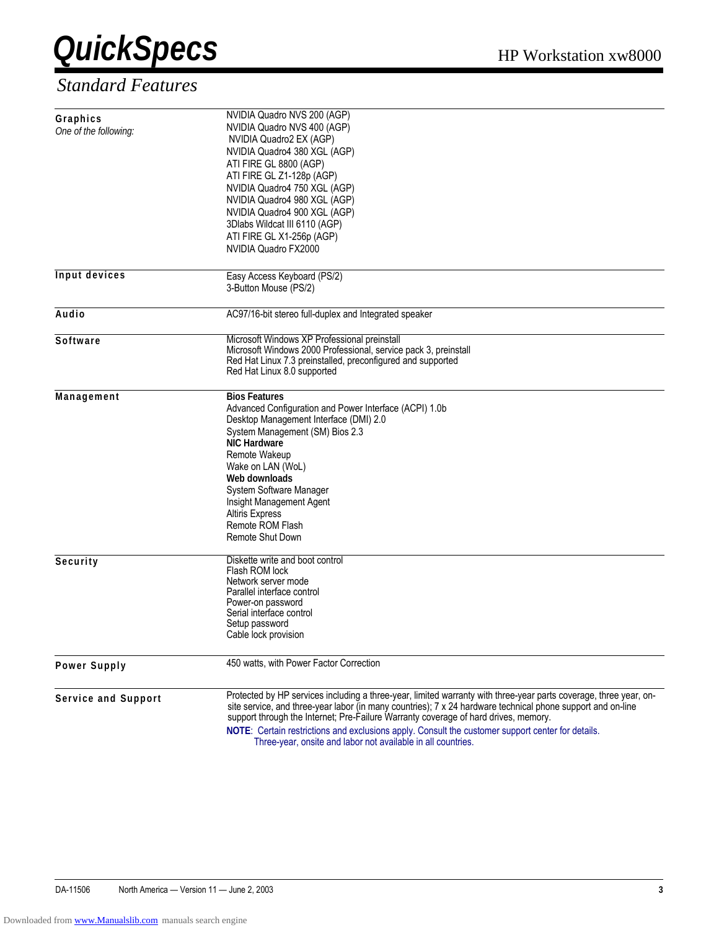

#### *Standard Features*

| Graphics<br>One of the following: | NVIDIA Quadro NVS 200 (AGP)<br>NVIDIA Quadro NVS 400 (AGP)<br>NVIDIA Quadro2 EX (AGP)<br>NVIDIA Quadro4 380 XGL (AGP)<br>ATI FIRE GL 8800 (AGP)<br>ATI FIRE GL Z1-128p (AGP)<br>NVIDIA Quadro4 750 XGL (AGP)<br>NVIDIA Quadro4 980 XGL (AGP)<br>NVIDIA Quadro4 900 XGL (AGP)<br>3Dlabs Wildcat III 6110 (AGP)<br>ATI FIRE GL X1-256p (AGP)<br>NVIDIA Quadro FX2000                                                                                                                           |
|-----------------------------------|----------------------------------------------------------------------------------------------------------------------------------------------------------------------------------------------------------------------------------------------------------------------------------------------------------------------------------------------------------------------------------------------------------------------------------------------------------------------------------------------|
| <b>Input devices</b>              | Easy Access Keyboard (PS/2)<br>3-Button Mouse (PS/2)                                                                                                                                                                                                                                                                                                                                                                                                                                         |
| Audio                             | AC97/16-bit stereo full-duplex and Integrated speaker                                                                                                                                                                                                                                                                                                                                                                                                                                        |
| Software                          | Microsoft Windows XP Professional preinstall<br>Microsoft Windows 2000 Professional, service pack 3, preinstall<br>Red Hat Linux 7.3 preinstalled, preconfigured and supported<br>Red Hat Linux 8.0 supported                                                                                                                                                                                                                                                                                |
| Management                        | <b>Bios Features</b><br>Advanced Configuration and Power Interface (ACPI) 1.0b<br>Desktop Management Interface (DMI) 2.0<br>System Management (SM) Bios 2.3<br><b>NIC Hardware</b><br>Remote Wakeup<br>Wake on LAN (WoL)<br>Web downloads<br>System Software Manager<br>Insight Management Agent<br><b>Altiris Express</b><br>Remote ROM Flash<br>Remote Shut Down                                                                                                                           |
| Security                          | Diskette write and boot control<br>Flash ROM lock<br>Network server mode<br>Parallel interface control<br>Power-on password<br>Serial interface control<br>Setup password<br>Cable lock provision                                                                                                                                                                                                                                                                                            |
| <b>Power Supply</b>               | 450 watts, with Power Factor Correction                                                                                                                                                                                                                                                                                                                                                                                                                                                      |
| Service and Support               | Protected by HP services including a three-year, limited warranty with three-year parts coverage, three year, on-<br>site service, and three-year labor (in many countries); 7 x 24 hardware technical phone support and on-line<br>support through the Internet; Pre-Failure Warranty coverage of hard drives, memory.<br>NOTE: Certain restrictions and exclusions apply. Consult the customer support center for details.<br>Three-year, onsite and labor not available in all countries. |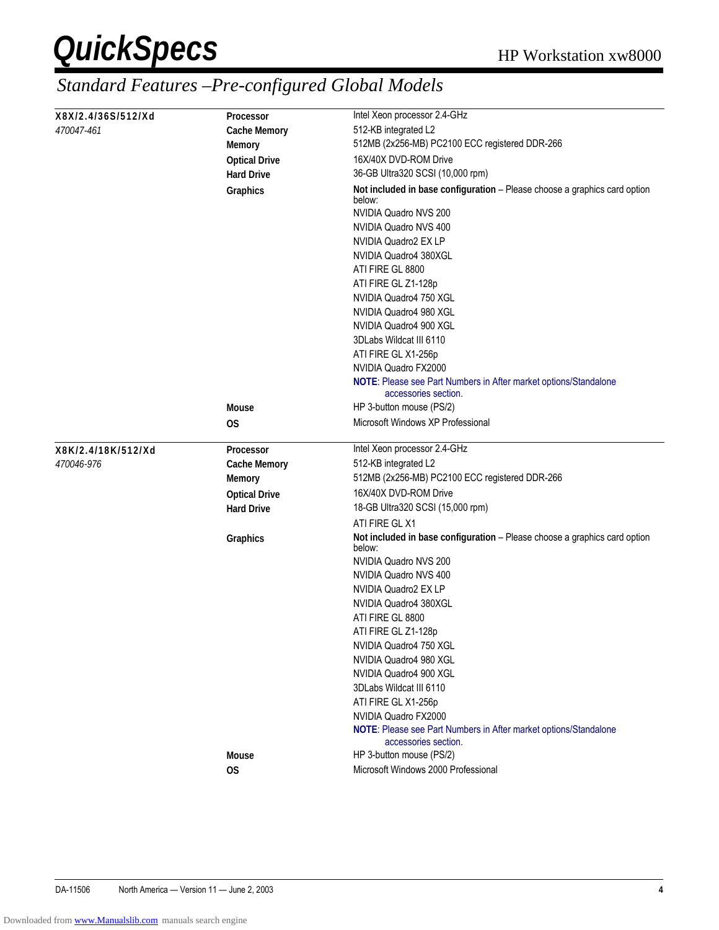| X8X/2.4/36S/512/Xd | <b>Processor</b>     | Intel Xeon processor 2.4-GHz                                                             |
|--------------------|----------------------|------------------------------------------------------------------------------------------|
| 470047-461         | <b>Cache Memory</b>  | 512-KB integrated L2                                                                     |
|                    | <b>Memory</b>        | 512MB (2x256-MB) PC2100 ECC registered DDR-266                                           |
|                    | <b>Optical Drive</b> | 16X/40X DVD-ROM Drive                                                                    |
|                    | <b>Hard Drive</b>    | 36-GB Ultra320 SCSI (10,000 rpm)                                                         |
|                    | Graphics             | Not included in base configuration - Please choose a graphics card option<br>below:      |
|                    |                      | NVIDIA Quadro NVS 200                                                                    |
|                    |                      | NVIDIA Quadro NVS 400                                                                    |
|                    |                      | NVIDIA Quadro2 EX LP                                                                     |
|                    |                      | NVIDIA Quadro4 380XGL                                                                    |
|                    |                      | ATI FIRE GL 8800                                                                         |
|                    |                      | ATI FIRE GL Z1-128p                                                                      |
|                    |                      | NVIDIA Quadro4 750 XGL                                                                   |
|                    |                      | NVIDIA Quadro4 980 XGL                                                                   |
|                    |                      | NVIDIA Quadro4 900 XGL                                                                   |
|                    |                      | 3DLabs Wildcat III 6110                                                                  |
|                    |                      | ATI FIRE GL X1-256p                                                                      |
|                    |                      | NVIDIA Quadro FX2000                                                                     |
|                    |                      | NOTE: Please see Part Numbers in After market options/Standalone<br>accessories section. |
|                    | <b>Mouse</b>         | HP 3-button mouse (PS/2)                                                                 |
|                    | 0S                   | Microsoft Windows XP Professional                                                        |
| X8K/2.4/18K/512/Xd | Processor            | Intel Xeon processor 2.4-GHz                                                             |
| 470046-976         | <b>Cache Memory</b>  | 512-KB integrated L2                                                                     |
|                    | <b>Memory</b>        | 512MB (2x256-MB) PC2100 ECC registered DDR-266                                           |
|                    | <b>Optical Drive</b> | 16X/40X DVD-ROM Drive                                                                    |
|                    | <b>Hard Drive</b>    | 18-GB Ultra320 SCSI (15,000 rpm)                                                         |
|                    |                      | ATI FIRE GL X1                                                                           |
|                    | Graphics             | Not included in base configuration - Please choose a graphics card option<br>below:      |
|                    |                      | NVIDIA Quadro NVS 200                                                                    |
|                    |                      | NVIDIA Quadro NVS 400                                                                    |
|                    |                      | NVIDIA Quadro2 EX LP                                                                     |
|                    |                      | NVIDIA Quadro4 380XGL                                                                    |
|                    |                      | ATI FIRE GL 8800                                                                         |
|                    |                      | ATI FIRE GL Z1-128p                                                                      |
|                    |                      | NVIDIA Quadro4 750 XGL                                                                   |
|                    |                      | NVIDIA Quadro4 980 XGL                                                                   |
|                    |                      | NVIDIA Quadro4 900 XGL                                                                   |
|                    |                      | 3DLabs Wildcat III 6110                                                                  |
|                    |                      | ATI FIRE GL X1-256p                                                                      |
|                    |                      | NVIDIA Quadro FX2000                                                                     |
|                    |                      | NOTE: Please see Part Numbers in After market options/Standalone<br>accessories section. |
|                    | <b>Mouse</b>         | HP 3-button mouse (PS/2)                                                                 |
|                    | OS                   | Microsoft Windows 2000 Professional                                                      |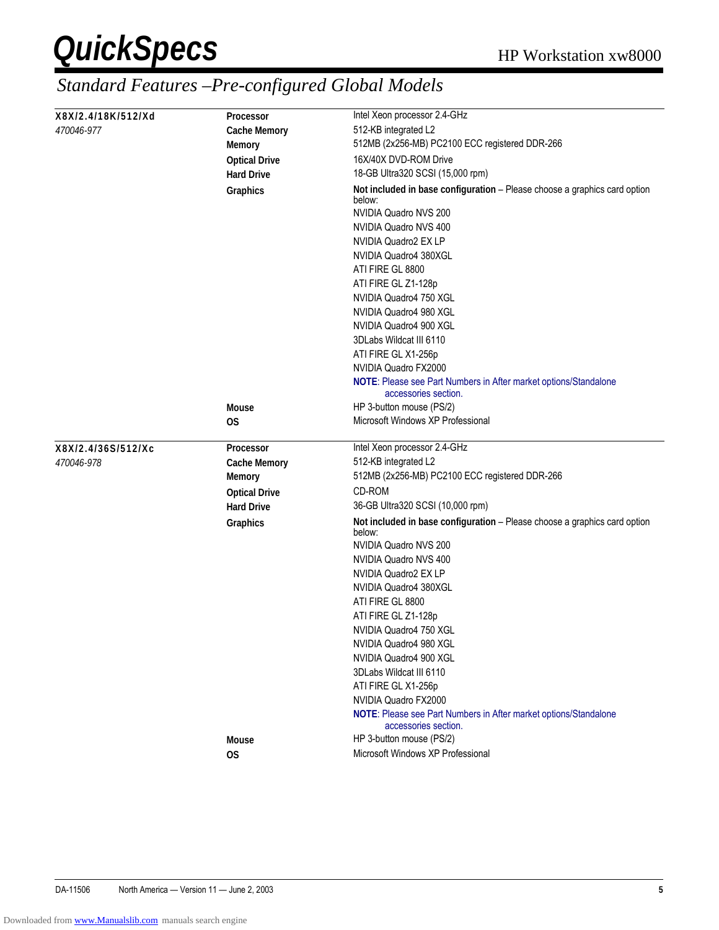| X8X/2.4/18K/512/Xd | <b>Processor</b>     | Intel Xeon processor 2.4-GHz                                                                                 |
|--------------------|----------------------|--------------------------------------------------------------------------------------------------------------|
| 470046-977         |                      | 512-KB integrated L2                                                                                         |
|                    | <b>Cache Memory</b>  | 512MB (2x256-MB) PC2100 ECC registered DDR-266                                                               |
|                    | <b>Memory</b>        |                                                                                                              |
|                    | <b>Optical Drive</b> | 16X/40X DVD-ROM Drive                                                                                        |
|                    | <b>Hard Drive</b>    | 18-GB Ultra320 SCSI (15,000 rpm)                                                                             |
|                    | Graphics             | Not included in base configuration - Please choose a graphics card option<br>below:<br>NVIDIA Quadro NVS 200 |
|                    |                      | NVIDIA Quadro NVS 400                                                                                        |
|                    |                      | NVIDIA Quadro2 EX LP                                                                                         |
|                    |                      | NVIDIA Quadro4 380XGL                                                                                        |
|                    |                      | ATI FIRE GL 8800                                                                                             |
|                    |                      | ATI FIRE GL Z1-128p                                                                                          |
|                    |                      | NVIDIA Quadro4 750 XGL                                                                                       |
|                    |                      | NVIDIA Quadro4 980 XGL                                                                                       |
|                    |                      | NVIDIA Quadro4 900 XGL                                                                                       |
|                    |                      | 3DLabs Wildcat III 6110                                                                                      |
|                    |                      | ATI FIRE GL X1-256p                                                                                          |
|                    |                      | NVIDIA Quadro FX2000                                                                                         |
|                    |                      | NOTE: Please see Part Numbers in After market options/Standalone<br>accessories section.                     |
|                    | <b>Mouse</b>         | HP 3-button mouse (PS/2)                                                                                     |
|                    | 0S                   | Microsoft Windows XP Professional                                                                            |
| X8X/2.4/36S/512/Xc | Processor            | Intel Xeon processor 2.4-GHz                                                                                 |
| 470046-978         | <b>Cache Memory</b>  | 512-KB integrated L2                                                                                         |
|                    | <b>Memory</b>        | 512MB (2x256-MB) PC2100 ECC registered DDR-266                                                               |
|                    | <b>Optical Drive</b> | CD-ROM                                                                                                       |
|                    | <b>Hard Drive</b>    | 36-GB Ultra320 SCSI (10,000 rpm)                                                                             |
|                    | Graphics             | Not included in base configuration - Please choose a graphics card option<br>below:                          |
|                    |                      | NVIDIA Quadro NVS 200                                                                                        |
|                    |                      | NVIDIA Quadro NVS 400                                                                                        |
|                    |                      | NVIDIA Quadro2 EX LP                                                                                         |
|                    |                      | NVIDIA Quadro4 380XGL                                                                                        |
|                    |                      | ATI FIRE GL 8800                                                                                             |
|                    |                      | ATI FIRE GL Z1-128p                                                                                          |
|                    |                      | NVIDIA Quadro4 750 XGL                                                                                       |
|                    |                      | NVIDIA Quadro4 980 XGL                                                                                       |
|                    |                      | NVIDIA Quadro4 900 XGL                                                                                       |
|                    |                      | 3DLabs Wildcat III 6110                                                                                      |
|                    |                      | ATI FIRE GL X1-256p                                                                                          |
|                    |                      | NVIDIA Quadro FX2000                                                                                         |
|                    |                      | NOTE: Please see Part Numbers in After market options/Standalone<br>accessories section.                     |
|                    | <b>Mouse</b>         | HP 3-button mouse (PS/2)                                                                                     |
|                    | 0S                   | Microsoft Windows XP Professional                                                                            |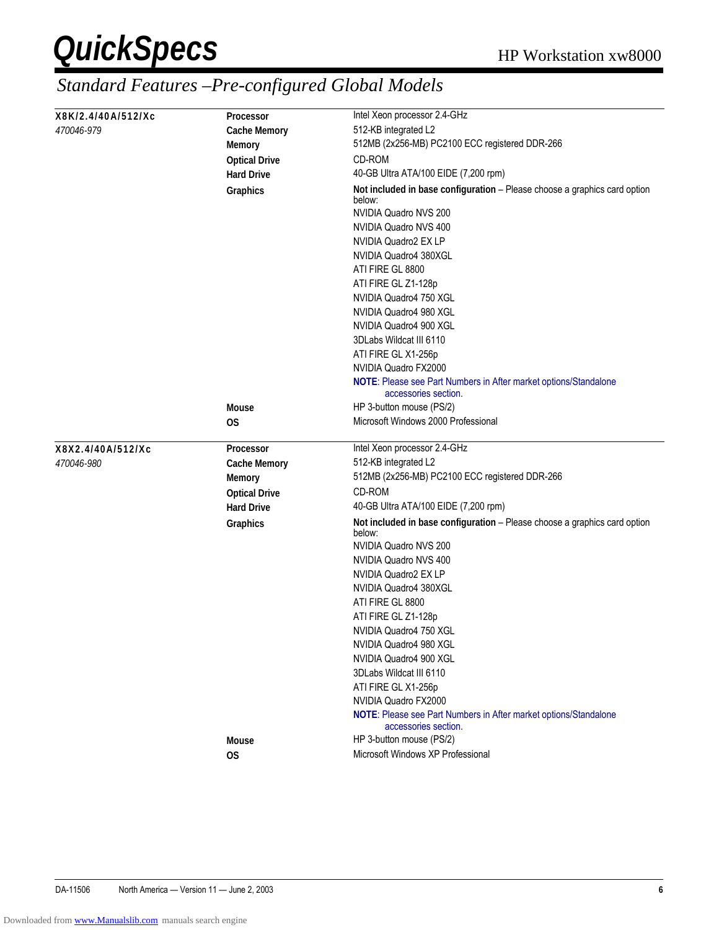| X8K/2.4/40A/512/Xc | <b>Processor</b>     | Intel Xeon processor 2.4-GHz                                                                                 |
|--------------------|----------------------|--------------------------------------------------------------------------------------------------------------|
| 470046-979         | <b>Cache Memory</b>  | 512-KB integrated L2                                                                                         |
|                    | <b>Memory</b>        | 512MB (2x256-MB) PC2100 ECC registered DDR-266                                                               |
|                    | <b>Optical Drive</b> | CD-ROM                                                                                                       |
|                    | <b>Hard Drive</b>    | 40-GB Ultra ATA/100 EIDE (7,200 rpm)                                                                         |
|                    | Graphics             | Not included in base configuration - Please choose a graphics card option<br>below:<br>NVIDIA Quadro NVS 200 |
|                    |                      | NVIDIA Quadro NVS 400                                                                                        |
|                    |                      | NVIDIA Quadro2 EX LP                                                                                         |
|                    |                      | NVIDIA Quadro4 380XGL                                                                                        |
|                    |                      | ATI FIRE GL 8800                                                                                             |
|                    |                      | ATI FIRE GL Z1-128p                                                                                          |
|                    |                      | NVIDIA Quadro4 750 XGL                                                                                       |
|                    |                      | NVIDIA Quadro4 980 XGL                                                                                       |
|                    |                      | NVIDIA Quadro4 900 XGL                                                                                       |
|                    |                      | 3DLabs Wildcat III 6110                                                                                      |
|                    |                      | ATI FIRE GL X1-256p                                                                                          |
|                    |                      | NVIDIA Quadro FX2000                                                                                         |
|                    |                      | NOTE: Please see Part Numbers in After market options/Standalone<br>accessories section.                     |
|                    | <b>Mouse</b>         | HP 3-button mouse (PS/2)                                                                                     |
|                    | 0S                   | Microsoft Windows 2000 Professional                                                                          |
| X8X2.4/40A/512/Xc  | Processor            | Intel Xeon processor 2.4-GHz                                                                                 |
| 470046-980         | <b>Cache Memory</b>  | 512-KB integrated L2                                                                                         |
|                    | <b>Memory</b>        | 512MB (2x256-MB) PC2100 ECC registered DDR-266                                                               |
|                    | <b>Optical Drive</b> | CD-ROM                                                                                                       |
|                    | <b>Hard Drive</b>    | 40-GB Ultra ATA/100 EIDE (7,200 rpm)                                                                         |
|                    | Graphics             | Not included in base configuration - Please choose a graphics card option                                    |
|                    |                      | below:                                                                                                       |
|                    |                      | NVIDIA Quadro NVS 200                                                                                        |
|                    |                      | NVIDIA Quadro NVS 400                                                                                        |
|                    |                      | NVIDIA Quadro2 EX LP                                                                                         |
|                    |                      | NVIDIA Quadro4 380XGL                                                                                        |
|                    |                      | ATI FIRE GL 8800                                                                                             |
|                    |                      | ATI FIRE GL Z1-128p                                                                                          |
|                    |                      | NVIDIA Quadro4 750 XGL                                                                                       |
|                    |                      | NVIDIA Quadro4 980 XGL                                                                                       |
|                    |                      | NVIDIA Quadro4 900 XGL                                                                                       |
|                    |                      | 3DLabs Wildcat III 6110                                                                                      |
|                    |                      | ATI FIRE GL X1-256p                                                                                          |
|                    |                      | NVIDIA Quadro FX2000                                                                                         |
|                    |                      |                                                                                                              |
|                    |                      | NOTE: Please see Part Numbers in After market options/Standalone<br>accessories section.                     |
|                    | <b>Mouse</b><br>OS   | HP 3-button mouse (PS/2)<br>Microsoft Windows XP Professional                                                |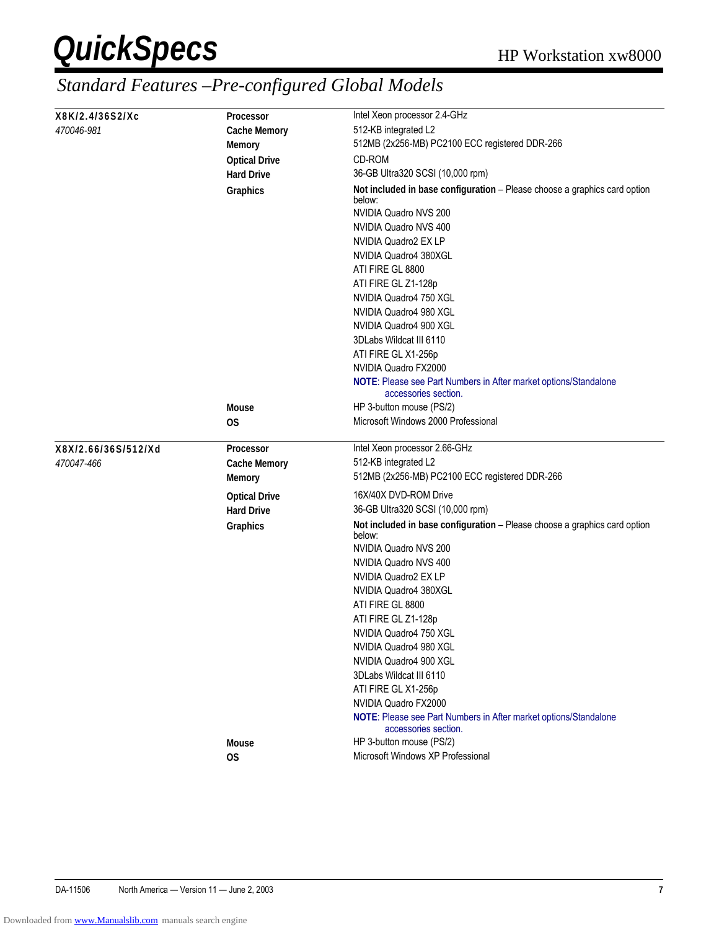| X8K/2.4/36S2/Xc     | <b>Processor</b>     | Intel Xeon processor 2.4-GHz                                                                                                                                                                                                                                                          |
|---------------------|----------------------|---------------------------------------------------------------------------------------------------------------------------------------------------------------------------------------------------------------------------------------------------------------------------------------|
| 470046-981          | <b>Cache Memory</b>  | 512-KB integrated L2                                                                                                                                                                                                                                                                  |
|                     | <b>Memory</b>        | 512MB (2x256-MB) PC2100 ECC registered DDR-266                                                                                                                                                                                                                                        |
|                     | <b>Optical Drive</b> | CD-ROM                                                                                                                                                                                                                                                                                |
|                     | <b>Hard Drive</b>    | 36-GB Ultra320 SCSI (10,000 rpm)                                                                                                                                                                                                                                                      |
|                     | <b>Graphics</b>      | Not included in base configuration - Please choose a graphics card option<br>below:<br>NVIDIA Quadro NVS 200<br>NVIDIA Quadro NVS 400<br>NVIDIA Quadro2 EX LP<br>NVIDIA Quadro4 380XGL<br>ATI FIRE GL 8800<br>ATI FIRE GL Z1-128p<br>NVIDIA Quadro4 750 XGL<br>NVIDIA Quadro4 980 XGL |
|                     |                      | NVIDIA Quadro4 900 XGL                                                                                                                                                                                                                                                                |
|                     |                      | 3DLabs Wildcat III 6110                                                                                                                                                                                                                                                               |
|                     |                      | ATI FIRE GL X1-256p                                                                                                                                                                                                                                                                   |
|                     |                      | NVIDIA Quadro FX2000<br>NOTE: Please see Part Numbers in After market options/Standalone                                                                                                                                                                                              |
|                     |                      | accessories section.                                                                                                                                                                                                                                                                  |
|                     | <b>Mouse</b>         | HP 3-button mouse (PS/2)                                                                                                                                                                                                                                                              |
|                     | 0S                   | Microsoft Windows 2000 Professional                                                                                                                                                                                                                                                   |
|                     |                      |                                                                                                                                                                                                                                                                                       |
| X8X/2.66/36S/512/Xd | Processor            | Intel Xeon processor 2.66-GHz                                                                                                                                                                                                                                                         |
|                     | <b>Cache Memory</b>  | 512-KB integrated L2                                                                                                                                                                                                                                                                  |
| <i>470047-466</i>   |                      |                                                                                                                                                                                                                                                                                       |
|                     | <b>Memory</b>        | 512MB (2x256-MB) PC2100 ECC registered DDR-266                                                                                                                                                                                                                                        |
|                     | <b>Optical Drive</b> | 16X/40X DVD-ROM Drive                                                                                                                                                                                                                                                                 |
|                     | <b>Hard Drive</b>    | 36-GB Ultra320 SCSI (10,000 rpm)                                                                                                                                                                                                                                                      |
|                     | Graphics             | Not included in base configuration - Please choose a graphics card option<br>below:                                                                                                                                                                                                   |
|                     |                      | NVIDIA Quadro NVS 200                                                                                                                                                                                                                                                                 |
|                     |                      | NVIDIA Quadro NVS 400                                                                                                                                                                                                                                                                 |
|                     |                      | NVIDIA Quadro2 EX LP                                                                                                                                                                                                                                                                  |
|                     |                      | NVIDIA Quadro4 380XGL                                                                                                                                                                                                                                                                 |
|                     |                      | ATI FIRE GL 8800                                                                                                                                                                                                                                                                      |
|                     |                      | ATI FIRE GL Z1-128p                                                                                                                                                                                                                                                                   |
|                     |                      | NVIDIA Quadro4 750 XGL<br>NVIDIA Quadro4 980 XGL                                                                                                                                                                                                                                      |
|                     |                      | NVIDIA Quadro4 900 XGL                                                                                                                                                                                                                                                                |
|                     |                      | 3DLabs Wildcat III 6110                                                                                                                                                                                                                                                               |
|                     |                      | ATI FIRE GL X1-256p                                                                                                                                                                                                                                                                   |
|                     |                      | NVIDIA Quadro FX2000                                                                                                                                                                                                                                                                  |
|                     |                      | NOTE: Please see Part Numbers in After market options/Standalone<br>accessories section.                                                                                                                                                                                              |
|                     | <b>Mouse</b>         | HP 3-button mouse (PS/2)<br>Microsoft Windows XP Professional                                                                                                                                                                                                                         |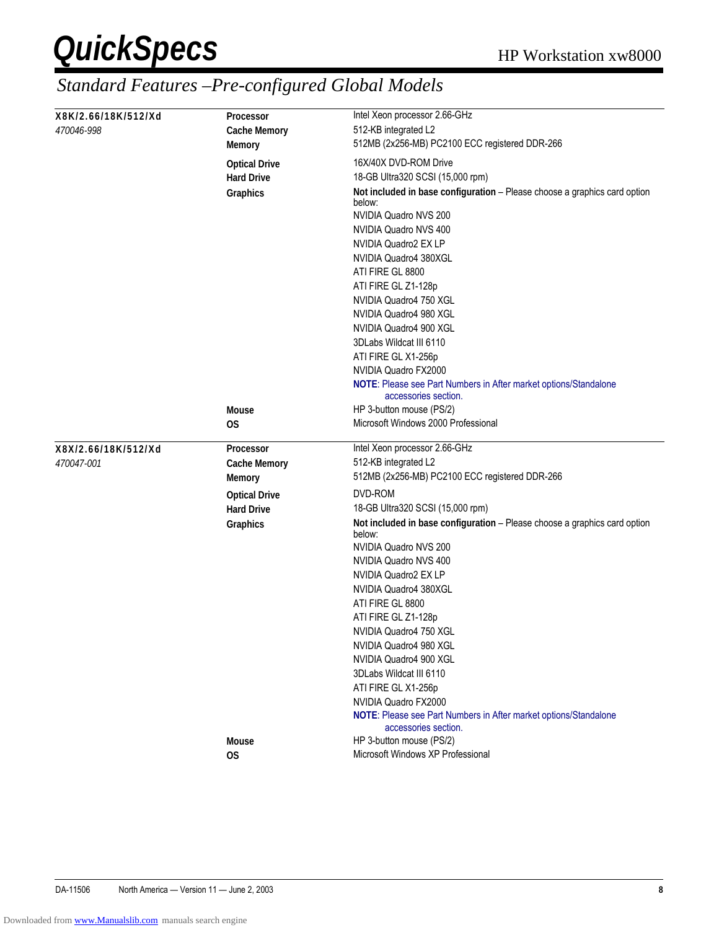| X8K/2.66/18K/512/Xd | <b>Processor</b>     | Intel Xeon processor 2.66-GHz                                                            |
|---------------------|----------------------|------------------------------------------------------------------------------------------|
| 470046-998          | <b>Cache Memory</b>  | 512-KB integrated L2                                                                     |
|                     | <b>Memory</b>        | 512MB (2x256-MB) PC2100 ECC registered DDR-266                                           |
|                     | <b>Optical Drive</b> | 16X/40X DVD-ROM Drive                                                                    |
|                     | <b>Hard Drive</b>    | 18-GB Ultra320 SCSI (15,000 rpm)                                                         |
|                     | Graphics             | Not included in base configuration - Please choose a graphics card option<br>below:      |
|                     |                      | NVIDIA Quadro NVS 200                                                                    |
|                     |                      | NVIDIA Quadro NVS 400                                                                    |
|                     |                      | NVIDIA Quadro2 EX LP                                                                     |
|                     |                      | NVIDIA Quadro4 380XGL                                                                    |
|                     |                      | ATI FIRE GL 8800                                                                         |
|                     |                      | ATI FIRE GL Z1-128p                                                                      |
|                     |                      | NVIDIA Quadro4 750 XGL                                                                   |
|                     |                      | NVIDIA Quadro4 980 XGL                                                                   |
|                     |                      | NVIDIA Quadro4 900 XGL                                                                   |
|                     |                      | 3DLabs Wildcat III 6110                                                                  |
|                     |                      | ATI FIRE GL X1-256p                                                                      |
|                     |                      | NVIDIA Quadro FX2000                                                                     |
|                     |                      | NOTE: Please see Part Numbers in After market options/Standalone<br>accessories section. |
|                     | <b>Mouse</b>         | HP 3-button mouse (PS/2)                                                                 |
|                     | OS                   | Microsoft Windows 2000 Professional                                                      |
| X8X/2.66/18K/512/Xd | Processor            | Intel Xeon processor 2.66-GHz                                                            |
|                     |                      |                                                                                          |
|                     |                      |                                                                                          |
| <i>470047-001</i>   | <b>Cache Memory</b>  | 512-KB integrated L2                                                                     |
|                     | <b>Memory</b>        | 512MB (2x256-MB) PC2100 ECC registered DDR-266                                           |
|                     | <b>Optical Drive</b> | DVD-ROM                                                                                  |
|                     | <b>Hard Drive</b>    | 18-GB Ultra320 SCSI (15,000 rpm)                                                         |
|                     | Graphics             | Not included in base configuration - Please choose a graphics card option<br>below:      |
|                     |                      | NVIDIA Quadro NVS 200                                                                    |
|                     |                      | NVIDIA Quadro NVS 400                                                                    |
|                     |                      | NVIDIA Quadro2 EX LP                                                                     |
|                     |                      | NVIDIA Quadro4 380XGL                                                                    |
|                     |                      | ATI FIRE GL 8800                                                                         |
|                     |                      | ATI FIRE GL Z1-128p                                                                      |
|                     |                      | NVIDIA Quadro4 750 XGL                                                                   |
|                     |                      | NVIDIA Quadro4 980 XGL                                                                   |
|                     |                      | NVIDIA Quadro4 900 XGL                                                                   |
|                     |                      | 3DLabs Wildcat III 6110                                                                  |
|                     |                      | ATI FIRE GL X1-256p                                                                      |
|                     |                      | NVIDIA Quadro FX2000                                                                     |
|                     |                      | NOTE: Please see Part Numbers in After market options/Standalone<br>accessories section. |
|                     | <b>Mouse</b><br>OS   | HP 3-button mouse (PS/2)<br>Microsoft Windows XP Professional                            |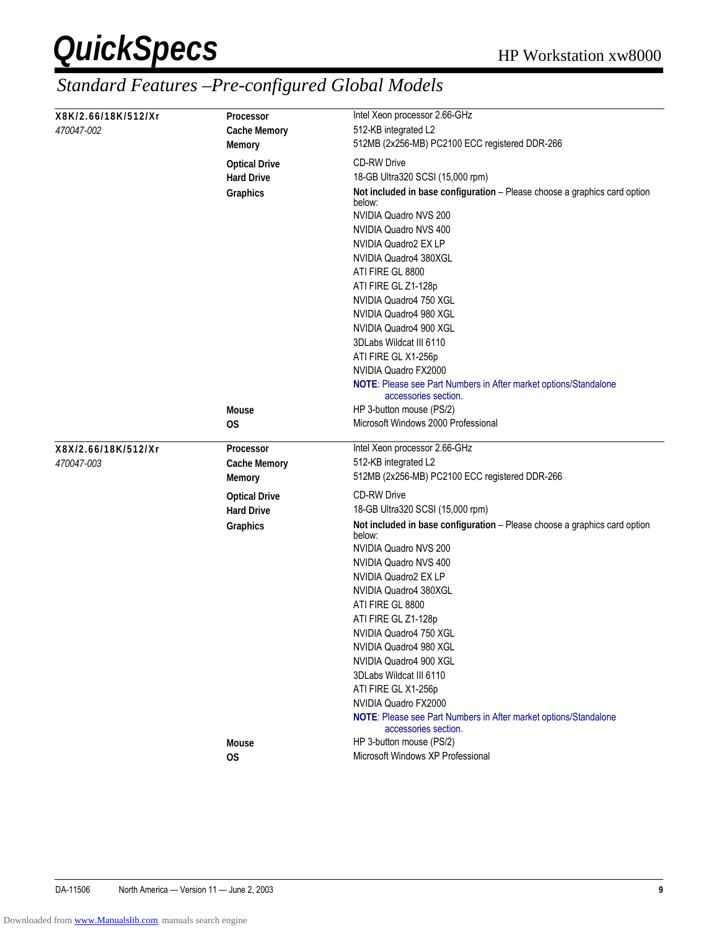| X8K/2.66/18K/512/Xr | <b>Processor</b>     | Intel Xeon processor 2.66-GHz                                                            |
|---------------------|----------------------|------------------------------------------------------------------------------------------|
| <i>470047-002</i>   | <b>Cache Memory</b>  | 512-KB integrated L2                                                                     |
|                     | <b>Memory</b>        | 512MB (2x256-MB) PC2100 ECC registered DDR-266                                           |
|                     | <b>Optical Drive</b> | <b>CD-RW Drive</b>                                                                       |
|                     | <b>Hard Drive</b>    | 18-GB Ultra320 SCSI (15,000 rpm)                                                         |
|                     | Graphics             | Not included in base configuration - Please choose a graphics card option<br>below:      |
|                     |                      | NVIDIA Quadro NVS 200                                                                    |
|                     |                      | NVIDIA Quadro NVS 400                                                                    |
|                     |                      | NVIDIA Quadro2 EX LP                                                                     |
|                     |                      | NVIDIA Quadro4 380XGL                                                                    |
|                     |                      | ATI FIRE GL 8800                                                                         |
|                     |                      | ATI FIRE GL Z1-128p                                                                      |
|                     |                      | NVIDIA Quadro4 750 XGL                                                                   |
|                     |                      | NVIDIA Quadro4 980 XGL                                                                   |
|                     |                      | NVIDIA Quadro4 900 XGL                                                                   |
|                     |                      | 3DLabs Wildcat III 6110                                                                  |
|                     |                      | ATI FIRE GL X1-256p                                                                      |
|                     |                      | NVIDIA Quadro FX2000                                                                     |
|                     |                      | NOTE: Please see Part Numbers in After market options/Standalone<br>accessories section. |
|                     | <b>Mouse</b>         | HP 3-button mouse (PS/2)                                                                 |
|                     | 0S                   | Microsoft Windows 2000 Professional                                                      |
| X8X/2.66/18K/512/Xr | <b>Processor</b>     | Intel Xeon processor 2.66-GHz                                                            |
|                     |                      |                                                                                          |
|                     |                      |                                                                                          |
| <i>470047-003</i>   | <b>Cache Memory</b>  | 512-KB integrated L2                                                                     |
|                     | <b>Memory</b>        | 512MB (2x256-MB) PC2100 ECC registered DDR-266                                           |
|                     | <b>Optical Drive</b> | <b>CD-RW Drive</b>                                                                       |
|                     | <b>Hard Drive</b>    | 18-GB Ultra320 SCSI (15,000 rpm)                                                         |
|                     | Graphics             | Not included in base configuration - Please choose a graphics card option<br>below:      |
|                     |                      | NVIDIA Quadro NVS 200                                                                    |
|                     |                      | NVIDIA Quadro NVS 400                                                                    |
|                     |                      | NVIDIA Quadro2 EX LP                                                                     |
|                     |                      | NVIDIA Quadro4 380XGL                                                                    |
|                     |                      | ATI FIRE GL 8800                                                                         |
|                     |                      | ATI FIRE GL Z1-128p                                                                      |
|                     |                      | NVIDIA Quadro4 750 XGL                                                                   |
|                     |                      | NVIDIA Quadro4 980 XGL                                                                   |
|                     |                      | NVIDIA Quadro4 900 XGL                                                                   |
|                     |                      | 3DLabs Wildcat III 6110                                                                  |
|                     |                      | ATI FIRE GL X1-256p                                                                      |
|                     |                      | NVIDIA Quadro FX2000                                                                     |
|                     |                      | NOTE: Please see Part Numbers in After market options/Standalone<br>accessories section. |
|                     | <b>Mouse</b>         | HP 3-button mouse (PS/2)<br>Microsoft Windows XP Professional                            |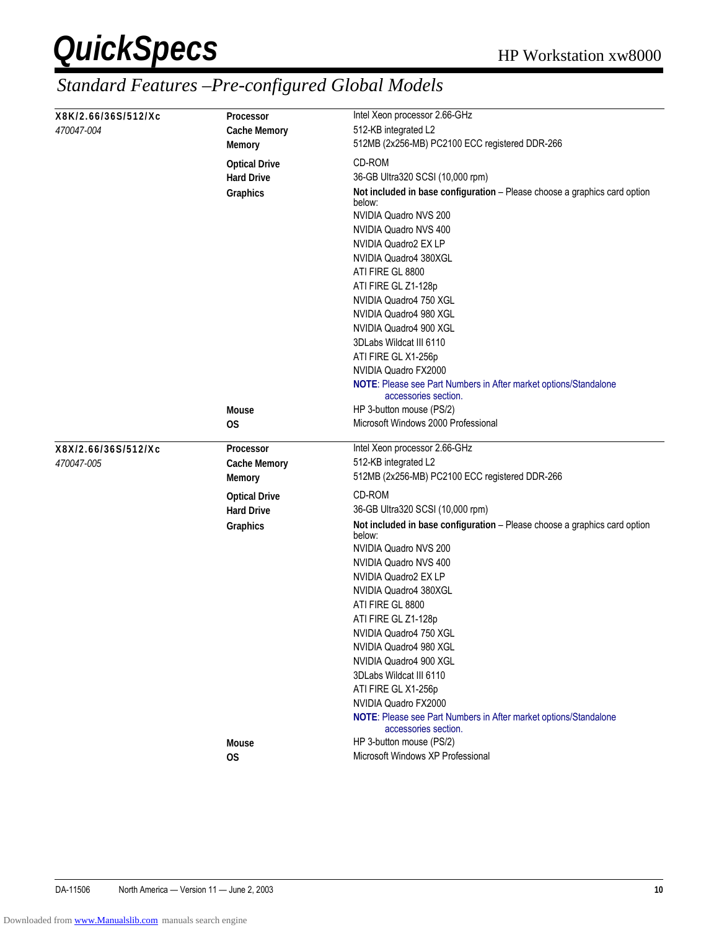|                     |                                           | Intel Xeon processor 2.66-GHz                                                            |
|---------------------|-------------------------------------------|------------------------------------------------------------------------------------------|
| X8K/2.66/36S/512/Xc | <b>Processor</b>                          |                                                                                          |
| <i>470047-004</i>   | <b>Cache Memory</b>                       | 512-KB integrated L2                                                                     |
|                     | Memory                                    | 512MB (2x256-MB) PC2100 ECC registered DDR-266                                           |
|                     | <b>Optical Drive</b>                      | CD-ROM                                                                                   |
|                     | <b>Hard Drive</b>                         | 36-GB Ultra320 SCSI (10,000 rpm)                                                         |
|                     | Graphics                                  | Not included in base configuration - Please choose a graphics card option<br>below:      |
|                     |                                           | NVIDIA Quadro NVS 200                                                                    |
|                     |                                           | NVIDIA Quadro NVS 400                                                                    |
|                     |                                           | NVIDIA Quadro2 EX LP                                                                     |
|                     |                                           | NVIDIA Quadro4 380XGL                                                                    |
|                     |                                           | ATI FIRE GL 8800                                                                         |
|                     |                                           | ATI FIRE GL Z1-128p                                                                      |
|                     |                                           | NVIDIA Quadro4 750 XGL                                                                   |
|                     |                                           | NVIDIA Quadro4 980 XGL                                                                   |
|                     |                                           | NVIDIA Quadro4 900 XGL                                                                   |
|                     |                                           | 3DLabs Wildcat III 6110                                                                  |
|                     |                                           | ATI FIRE GL X1-256p                                                                      |
|                     |                                           | NVIDIA Quadro FX2000                                                                     |
|                     |                                           | NOTE: Please see Part Numbers in After market options/Standalone<br>accessories section. |
|                     | <b>Mouse</b>                              | HP 3-button mouse (PS/2)                                                                 |
|                     | OS                                        | Microsoft Windows 2000 Professional                                                      |
|                     |                                           |                                                                                          |
|                     |                                           |                                                                                          |
| X8X/2.66/36S/512/Xc | <b>Processor</b>                          | Intel Xeon processor 2.66-GHz                                                            |
| 470047-005          | <b>Cache Memory</b><br><b>Memory</b>      | 512-KB integrated L2<br>512MB (2x256-MB) PC2100 ECC registered DDR-266                   |
|                     |                                           | CD-ROM                                                                                   |
|                     | <b>Optical Drive</b><br><b>Hard Drive</b> | 36-GB Ultra320 SCSI (10,000 rpm)                                                         |
|                     | Graphics                                  | Not included in base configuration - Please choose a graphics card option<br>below:      |
|                     |                                           | NVIDIA Quadro NVS 200                                                                    |
|                     |                                           | NVIDIA Quadro NVS 400                                                                    |
|                     |                                           | NVIDIA Quadro2 EX LP                                                                     |
|                     |                                           | NVIDIA Quadro4 380XGL                                                                    |
|                     |                                           | ATI FIRE GL 8800                                                                         |
|                     |                                           | ATI FIRE GL Z1-128p                                                                      |
|                     |                                           | NVIDIA Quadro4 750 XGL                                                                   |
|                     |                                           | NVIDIA Quadro4 980 XGL                                                                   |
|                     |                                           | NVIDIA Quadro4 900 XGL                                                                   |
|                     |                                           | 3DLabs Wildcat III 6110                                                                  |
|                     |                                           | ATI FIRE GL X1-256p                                                                      |
|                     |                                           | NVIDIA Quadro FX2000                                                                     |
|                     |                                           | NOTE: Please see Part Numbers in After market options/Standalone<br>accessories section. |
|                     | Mouse                                     | HP 3-button mouse (PS/2)<br>Microsoft Windows XP Professional                            |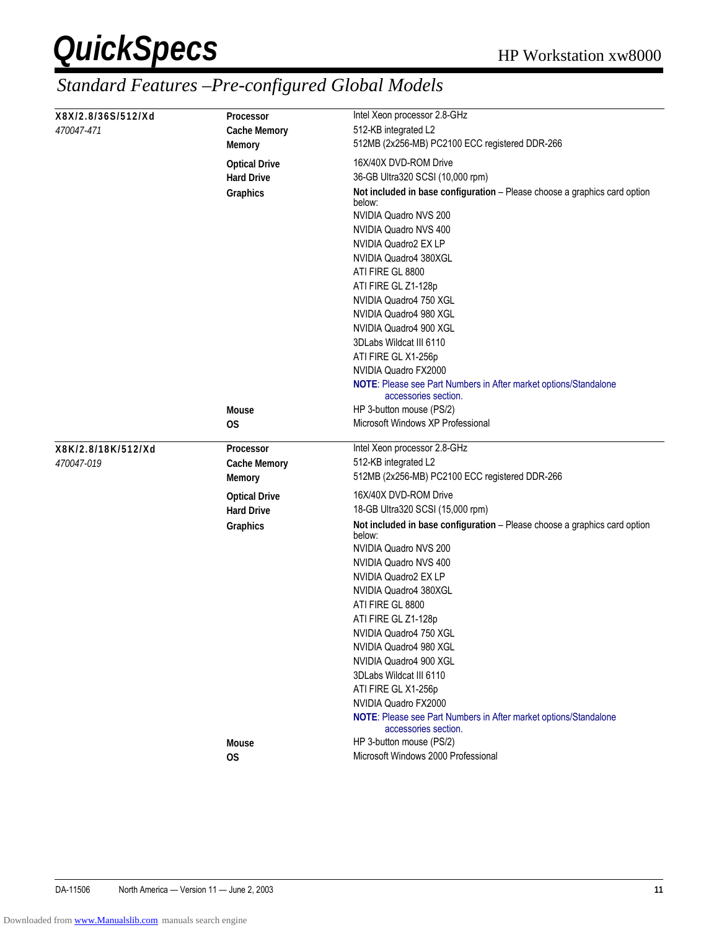| X8X/2.8/36S/512/Xd | <b>Processor</b>          | Intel Xeon processor 2.8-GHz                                                             |
|--------------------|---------------------------|------------------------------------------------------------------------------------------|
| 470047-471         | <b>Cache Memory</b>       | 512-KB integrated L2                                                                     |
|                    | <b>Memory</b>             | 512MB (2x256-MB) PC2100 ECC registered DDR-266                                           |
|                    | <b>Optical Drive</b>      | 16X/40X DVD-ROM Drive                                                                    |
|                    | <b>Hard Drive</b>         | 36-GB Ultra320 SCSI (10,000 rpm)                                                         |
|                    | Graphics                  | Not included in base configuration - Please choose a graphics card option<br>below:      |
|                    |                           | NVIDIA Quadro NVS 200                                                                    |
|                    |                           | NVIDIA Quadro NVS 400                                                                    |
|                    |                           | NVIDIA Quadro2 EX LP                                                                     |
|                    |                           | NVIDIA Quadro4 380XGL                                                                    |
|                    |                           | ATI FIRE GL 8800                                                                         |
|                    |                           | ATI FIRE GL Z1-128p                                                                      |
|                    |                           | NVIDIA Quadro4 750 XGL                                                                   |
|                    |                           | NVIDIA Quadro4 980 XGL                                                                   |
|                    |                           | NVIDIA Quadro4 900 XGL                                                                   |
|                    |                           | 3DLabs Wildcat III 6110                                                                  |
|                    |                           | ATI FIRE GL X1-256p                                                                      |
|                    |                           | NVIDIA Quadro FX2000                                                                     |
|                    |                           | NOTE: Please see Part Numbers in After market options/Standalone<br>accessories section. |
|                    | <b>Mouse</b>              | HP 3-button mouse (PS/2)                                                                 |
|                    | OS                        | Microsoft Windows XP Professional                                                        |
|                    |                           |                                                                                          |
|                    |                           |                                                                                          |
| X8K/2.8/18K/512/Xd | Processor                 | Intel Xeon processor 2.8-GHz                                                             |
| 470047-019         | <b>Cache Memory</b>       | 512-KB integrated L2                                                                     |
|                    | <b>Memory</b>             | 512MB (2x256-MB) PC2100 ECC registered DDR-266                                           |
|                    | <b>Optical Drive</b>      | 16X/40X DVD-ROM Drive                                                                    |
|                    | <b>Hard Drive</b>         | 18-GB Ultra320 SCSI (15,000 rpm)                                                         |
|                    | Graphics                  | Not included in base configuration - Please choose a graphics card option<br>below:      |
|                    |                           | NVIDIA Quadro NVS 200                                                                    |
|                    |                           | NVIDIA Quadro NVS 400                                                                    |
|                    |                           | NVIDIA Quadro2 EX LP                                                                     |
|                    |                           | NVIDIA Quadro4 380XGL                                                                    |
|                    |                           | ATI FIRE GL 8800                                                                         |
|                    |                           | ATI FIRE GL Z1-128p                                                                      |
|                    |                           | NVIDIA Quadro4 750 XGL                                                                   |
|                    |                           | NVIDIA Quadro4 980 XGL                                                                   |
|                    |                           | NVIDIA Quadro4 900 XGL                                                                   |
|                    |                           | 3DLabs Wildcat III 6110                                                                  |
|                    |                           | ATI FIRE GL X1-256p                                                                      |
|                    |                           | NVIDIA Quadro FX2000                                                                     |
|                    |                           | NOTE: Please see Part Numbers in After market options/Standalone<br>accessories section. |
|                    | <b>Mouse</b><br><b>OS</b> | HP 3-button mouse (PS/2)<br>Microsoft Windows 2000 Professional                          |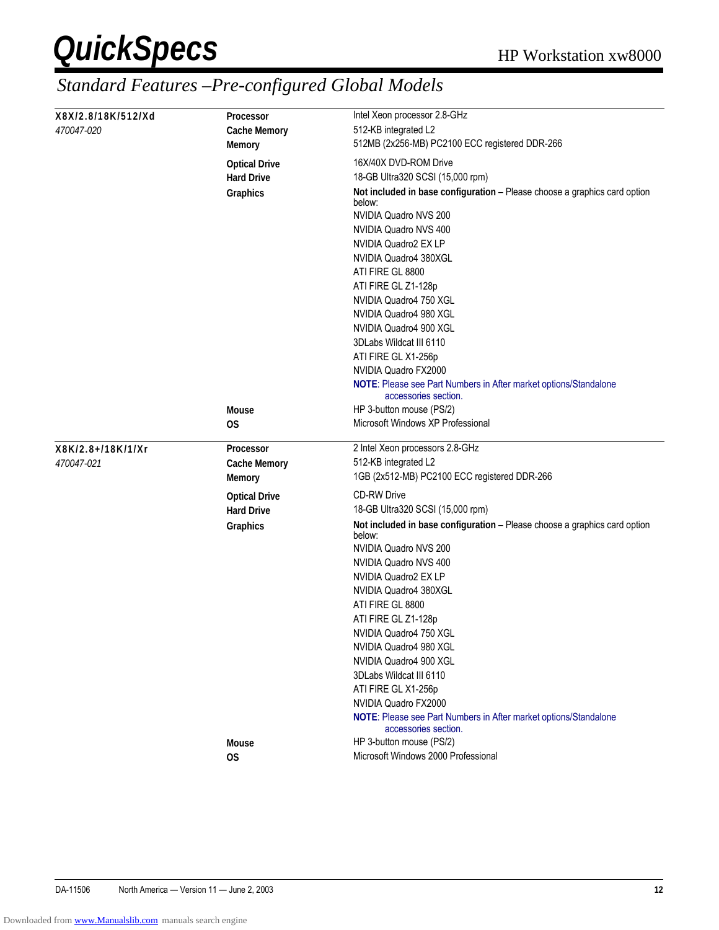|                    |                                      | Intel Xeon processor 2.8-GHz                                                             |
|--------------------|--------------------------------------|------------------------------------------------------------------------------------------|
| X8X/2.8/18K/512/Xd | <b>Processor</b>                     |                                                                                          |
| <i>470047-020</i>  | <b>Cache Memory</b>                  | 512-KB integrated L2                                                                     |
|                    | <b>Memory</b>                        | 512MB (2x256-MB) PC2100 ECC registered DDR-266                                           |
|                    | <b>Optical Drive</b>                 | 16X/40X DVD-ROM Drive                                                                    |
|                    | <b>Hard Drive</b>                    | 18-GB Ultra320 SCSI (15,000 rpm)                                                         |
|                    | Graphics                             | Not included in base configuration - Please choose a graphics card option<br>below:      |
|                    |                                      | NVIDIA Quadro NVS 200                                                                    |
|                    |                                      | NVIDIA Quadro NVS 400                                                                    |
|                    |                                      | NVIDIA Quadro2 EX LP                                                                     |
|                    |                                      | NVIDIA Quadro4 380XGL                                                                    |
|                    |                                      | ATI FIRE GL 8800                                                                         |
|                    |                                      | ATI FIRE GL Z1-128p                                                                      |
|                    |                                      | NVIDIA Quadro4 750 XGL                                                                   |
|                    |                                      | NVIDIA Quadro4 980 XGL                                                                   |
|                    |                                      | NVIDIA Quadro4 900 XGL                                                                   |
|                    |                                      | 3DLabs Wildcat III 6110                                                                  |
|                    |                                      | ATI FIRE GL X1-256p                                                                      |
|                    |                                      | NVIDIA Quadro FX2000                                                                     |
|                    |                                      | NOTE: Please see Part Numbers in After market options/Standalone<br>accessories section. |
|                    | <b>Mouse</b>                         | HP 3-button mouse (PS/2)                                                                 |
|                    | OS                                   | Microsoft Windows XP Professional                                                        |
| X8K/2.8+/18K/1/Xr  | Processor                            | 2 Intel Xeon processors 2.8-GHz                                                          |
|                    |                                      |                                                                                          |
|                    |                                      |                                                                                          |
| <i>470047-021</i>  | <b>Cache Memory</b><br><b>Memory</b> | 512-KB integrated L2<br>1GB (2x512-MB) PC2100 ECC registered DDR-266                     |
|                    | <b>Optical Drive</b>                 | <b>CD-RW Drive</b>                                                                       |
|                    | <b>Hard Drive</b>                    | 18-GB Ultra320 SCSI (15,000 rpm)                                                         |
|                    | Graphics                             | Not included in base configuration - Please choose a graphics card option<br>below:      |
|                    |                                      | NVIDIA Quadro NVS 200                                                                    |
|                    |                                      | NVIDIA Quadro NVS 400                                                                    |
|                    |                                      | NVIDIA Quadro2 EX LP                                                                     |
|                    |                                      | NVIDIA Quadro4 380XGL                                                                    |
|                    |                                      | ATI FIRE GL 8800                                                                         |
|                    |                                      | ATI FIRE GL Z1-128p                                                                      |
|                    |                                      | NVIDIA Quadro4 750 XGL                                                                   |
|                    |                                      | NVIDIA Quadro4 980 XGL                                                                   |
|                    |                                      | NVIDIA Quadro4 900 XGL                                                                   |
|                    |                                      | 3DLabs Wildcat III 6110                                                                  |
|                    |                                      | ATI FIRE GL X1-256p                                                                      |
|                    |                                      | NVIDIA Quadro FX2000                                                                     |
|                    |                                      | NOTE: Please see Part Numbers in After market options/Standalone<br>accessories section. |
|                    | <b>Mouse</b><br><b>OS</b>            | HP 3-button mouse (PS/2)<br>Microsoft Windows 2000 Professional                          |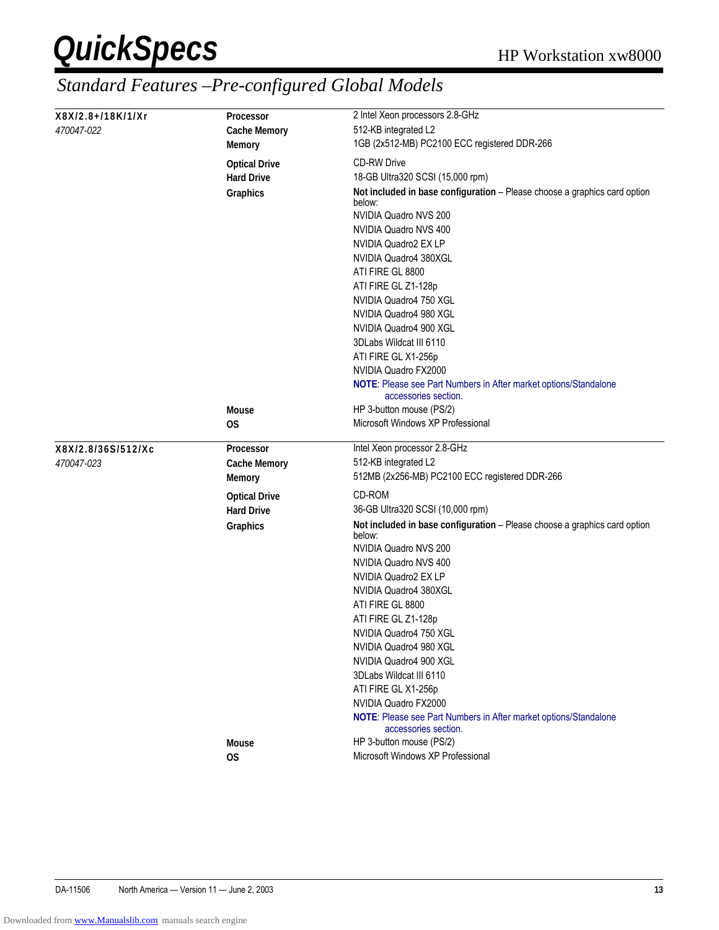| X8X/2.8+/18K/1/Xr  | <b>Processor</b>     | 2 Intel Xeon processors 2.8-GHz                                                          |
|--------------------|----------------------|------------------------------------------------------------------------------------------|
| <i>470047-022</i>  | <b>Cache Memory</b>  | 512-KB integrated L2                                                                     |
|                    | <b>Memory</b>        | 1GB (2x512-MB) PC2100 ECC registered DDR-266                                             |
|                    |                      |                                                                                          |
|                    | <b>Optical Drive</b> | <b>CD-RW Drive</b>                                                                       |
|                    | <b>Hard Drive</b>    | 18-GB Ultra320 SCSI (15,000 rpm)                                                         |
|                    | Graphics             | Not included in base configuration - Please choose a graphics card option<br>below:      |
|                    |                      | NVIDIA Quadro NVS 200                                                                    |
|                    |                      | NVIDIA Quadro NVS 400                                                                    |
|                    |                      | NVIDIA Quadro2 EX LP                                                                     |
|                    |                      | NVIDIA Quadro4 380XGL                                                                    |
|                    |                      | ATI FIRE GL 8800                                                                         |
|                    |                      | ATI FIRE GL Z1-128p                                                                      |
|                    |                      |                                                                                          |
|                    |                      | NVIDIA Quadro4 750 XGL                                                                   |
|                    |                      | NVIDIA Quadro4 980 XGL                                                                   |
|                    |                      | NVIDIA Quadro4 900 XGL                                                                   |
|                    |                      | 3DLabs Wildcat III 6110                                                                  |
|                    |                      | ATI FIRE GL X1-256p                                                                      |
|                    |                      | NVIDIA Quadro FX2000                                                                     |
|                    |                      | NOTE: Please see Part Numbers in After market options/Standalone<br>accessories section. |
|                    | <b>Mouse</b>         | HP 3-button mouse (PS/2)                                                                 |
|                    | 0S                   | Microsoft Windows XP Professional                                                        |
|                    |                      |                                                                                          |
|                    |                      |                                                                                          |
|                    | <b>Processor</b>     |                                                                                          |
| X8X/2.8/36S/512/Xc |                      | Intel Xeon processor 2.8-GHz                                                             |
| <i>470047-023</i>  | <b>Cache Memory</b>  | 512-KB integrated L2                                                                     |
|                    | <b>Memory</b>        | 512MB (2x256-MB) PC2100 ECC registered DDR-266<br>CD-ROM                                 |
|                    | <b>Optical Drive</b> |                                                                                          |
|                    | <b>Hard Drive</b>    | 36-GB Ultra320 SCSI (10,000 rpm)                                                         |
|                    | Graphics             | Not included in base configuration - Please choose a graphics card option<br>below:      |
|                    |                      | NVIDIA Quadro NVS 200                                                                    |
|                    |                      | NVIDIA Quadro NVS 400                                                                    |
|                    |                      | NVIDIA Quadro2 EX LP                                                                     |
|                    |                      | NVIDIA Quadro4 380XGL                                                                    |
|                    |                      | ATI FIRE GL 8800                                                                         |
|                    |                      |                                                                                          |
|                    |                      | ATI FIRE GL Z1-128p                                                                      |
|                    |                      | NVIDIA Quadro4 750 XGL                                                                   |
|                    |                      | NVIDIA Quadro4 980 XGL                                                                   |
|                    |                      | NVIDIA Quadro4 900 XGL                                                                   |
|                    |                      | 3DLabs Wildcat III 6110                                                                  |
|                    |                      | ATI FIRE GL X1-256p                                                                      |
|                    |                      | NVIDIA Quadro FX2000                                                                     |
|                    |                      | NOTE: Please see Part Numbers in After market options/Standalone<br>accessories section. |
|                    | <b>Mouse</b>         | HP 3-button mouse (PS/2)<br>Microsoft Windows XP Professional                            |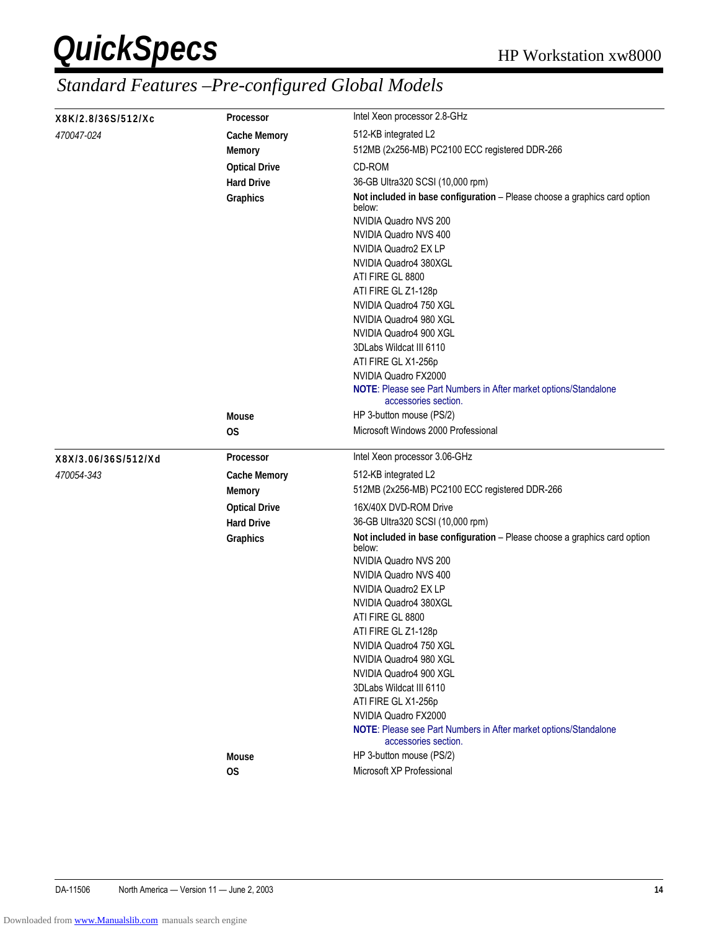| X8K/2.8/36S/512/Xc  | <b>Processor</b>                          | Intel Xeon processor 2.8-GHz                                                                                                                                                                                                                                                                                                                                                                                                                                                          |  |  |
|---------------------|-------------------------------------------|---------------------------------------------------------------------------------------------------------------------------------------------------------------------------------------------------------------------------------------------------------------------------------------------------------------------------------------------------------------------------------------------------------------------------------------------------------------------------------------|--|--|
| 470047-024          | <b>Cache Memory</b>                       | 512-KB integrated L2                                                                                                                                                                                                                                                                                                                                                                                                                                                                  |  |  |
|                     | <b>Memory</b>                             | 512MB (2x256-MB) PC2100 ECC registered DDR-266                                                                                                                                                                                                                                                                                                                                                                                                                                        |  |  |
|                     | <b>Optical Drive</b>                      | CD-ROM                                                                                                                                                                                                                                                                                                                                                                                                                                                                                |  |  |
|                     | <b>Hard Drive</b>                         | 36-GB Ultra320 SCSI (10,000 rpm)                                                                                                                                                                                                                                                                                                                                                                                                                                                      |  |  |
|                     | Graphics<br><b>Mouse</b>                  | Not included in base configuration - Please choose a graphics card option<br>below:<br>NVIDIA Quadro NVS 200<br>NVIDIA Quadro NVS 400<br>NVIDIA Quadro2 EX LP<br>NVIDIA Quadro4 380XGL<br>ATI FIRE GL 8800<br>ATI FIRE GL Z1-128p<br>NVIDIA Quadro4 750 XGL<br>NVIDIA Quadro4 980 XGL<br>NVIDIA Quadro4 900 XGL<br>3DLabs Wildcat III 6110<br>ATI FIRE GL X1-256p<br>NVIDIA Quadro FX2000<br>NOTE: Please see Part Numbers in After market options/Standalone<br>accessories section. |  |  |
|                     | 0S                                        | HP 3-button mouse (PS/2)<br>Microsoft Windows 2000 Professional                                                                                                                                                                                                                                                                                                                                                                                                                       |  |  |
|                     | <b>Processor</b>                          | Intel Xeon processor 3.06-GHz                                                                                                                                                                                                                                                                                                                                                                                                                                                         |  |  |
| X8X/3.06/36S/512/Xd |                                           | 512-KB integrated L2                                                                                                                                                                                                                                                                                                                                                                                                                                                                  |  |  |
| 470054-343          | <b>Cache Memory</b>                       | 512MB (2x256-MB) PC2100 ECC registered DDR-266                                                                                                                                                                                                                                                                                                                                                                                                                                        |  |  |
|                     | <b>Memory</b>                             |                                                                                                                                                                                                                                                                                                                                                                                                                                                                                       |  |  |
|                     | <b>Optical Drive</b><br><b>Hard Drive</b> | 16X/40X DVD-ROM Drive<br>36-GB Ultra320 SCSI (10,000 rpm)                                                                                                                                                                                                                                                                                                                                                                                                                             |  |  |
|                     | Graphics                                  | Not included in base configuration - Please choose a graphics card option<br>below:<br>NVIDIA Quadro NVS 200<br>NVIDIA Quadro NVS 400                                                                                                                                                                                                                                                                                                                                                 |  |  |
|                     | <b>Mouse</b>                              | NVIDIA Quadro2 EX LP<br>NVIDIA Quadro4 380XGL<br>ATI FIRE GL 8800<br>ATI FIRE GL Z1-128p<br>NVIDIA Quadro4 750 XGL<br>NVIDIA Quadro4 980 XGL<br>NVIDIA Quadro4 900 XGL<br>3DLabs Wildcat III 6110<br>ATI FIRE GL X1-256p<br>NVIDIA Quadro FX2000<br>NOTE: Please see Part Numbers in After market options/Standalone<br>accessories section.<br>HP 3-button mouse (PS/2)                                                                                                              |  |  |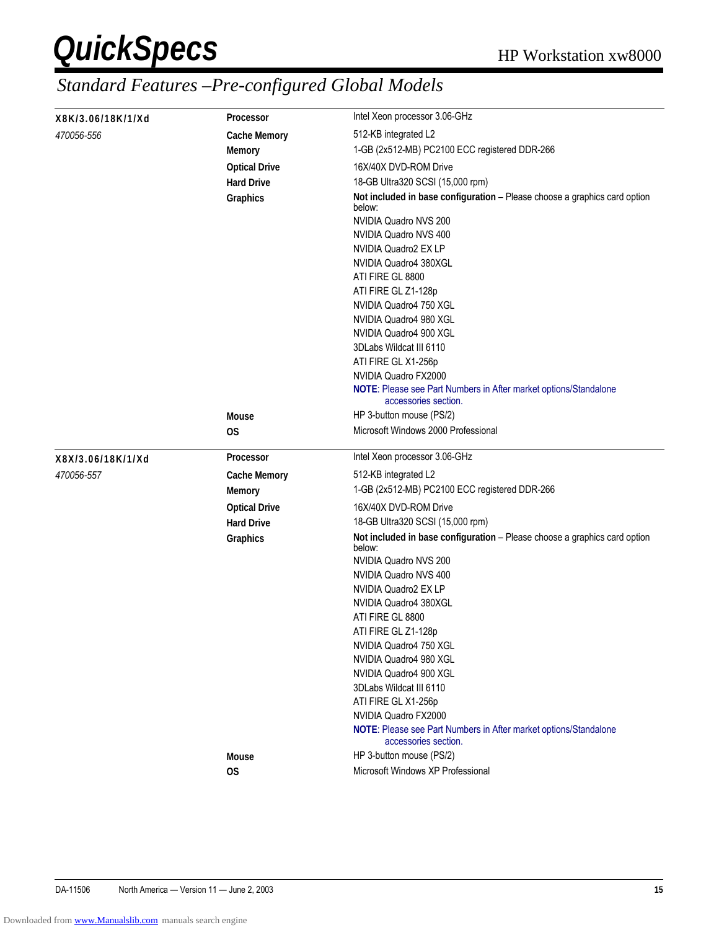| X8K/3.06/18K/1/Xd | <b>Processor</b>          | Intel Xeon processor 3.06-GHz                                                                                                         |  |  |
|-------------------|---------------------------|---------------------------------------------------------------------------------------------------------------------------------------|--|--|
| 470056-556        | <b>Cache Memory</b>       | 512-KB integrated L2                                                                                                                  |  |  |
|                   | <b>Memory</b>             | 1-GB (2x512-MB) PC2100 ECC registered DDR-266                                                                                         |  |  |
|                   | <b>Optical Drive</b>      | 16X/40X DVD-ROM Drive                                                                                                                 |  |  |
|                   | <b>Hard Drive</b>         | 18-GB Ultra320 SCSI (15,000 rpm)                                                                                                      |  |  |
|                   | <b>Graphics</b>           | Not included in base configuration - Please choose a graphics card option<br>below:<br>NVIDIA Quadro NVS 200<br>NVIDIA Quadro NVS 400 |  |  |
|                   |                           | NVIDIA Quadro2 EX LP                                                                                                                  |  |  |
|                   |                           | NVIDIA Quadro4 380XGL                                                                                                                 |  |  |
|                   |                           | ATI FIRE GL 8800                                                                                                                      |  |  |
|                   |                           | ATI FIRE GL Z1-128p                                                                                                                   |  |  |
|                   |                           | NVIDIA Quadro4 750 XGL                                                                                                                |  |  |
|                   |                           | NVIDIA Quadro4 980 XGL                                                                                                                |  |  |
|                   |                           | NVIDIA Quadro4 900 XGL                                                                                                                |  |  |
|                   |                           | 3DLabs Wildcat III 6110<br>ATI FIRE GL X1-256p                                                                                        |  |  |
|                   |                           | NVIDIA Quadro FX2000                                                                                                                  |  |  |
|                   |                           | NOTE: Please see Part Numbers in After market options/Standalone<br>accessories section.                                              |  |  |
|                   | <b>Mouse</b>              | HP 3-button mouse (PS/2)                                                                                                              |  |  |
|                   | 0S                        | Microsoft Windows 2000 Professional                                                                                                   |  |  |
| X8X/3.06/18K/1/Xd | <b>Processor</b>          | Intel Xeon processor 3.06-GHz                                                                                                         |  |  |
| 470056-557        | <b>Cache Memory</b>       | 512-KB integrated L2                                                                                                                  |  |  |
|                   | <b>Memory</b>             | 1-GB (2x512-MB) PC2100 ECC registered DDR-266                                                                                         |  |  |
|                   | <b>Optical Drive</b>      | 16X/40X DVD-ROM Drive                                                                                                                 |  |  |
|                   | <b>Hard Drive</b>         | 18-GB Ultra320 SCSI (15,000 rpm)                                                                                                      |  |  |
|                   | Graphics                  | Not included in base configuration - Please choose a graphics card option<br>below:                                                   |  |  |
|                   |                           | NVIDIA Quadro NVS 200                                                                                                                 |  |  |
|                   |                           | NVIDIA Quadro NVS 400                                                                                                                 |  |  |
|                   |                           | NVIDIA Quadro2 EX LP                                                                                                                  |  |  |
|                   |                           | NVIDIA Quadro4 380XGL                                                                                                                 |  |  |
|                   |                           | ATI FIRE GL 8800<br>ATI FIRE GL Z1-128p                                                                                               |  |  |
|                   |                           | NVIDIA Quadro4 750 XGL                                                                                                                |  |  |
|                   |                           | NVIDIA Quadro4 980 XGL                                                                                                                |  |  |
|                   |                           | NVIDIA Quadro4 900 XGL                                                                                                                |  |  |
|                   |                           | 3DLabs Wildcat III 6110                                                                                                               |  |  |
|                   |                           | ATI FIRE GL X1-256p                                                                                                                   |  |  |
|                   |                           | NVIDIA Quadro FX2000                                                                                                                  |  |  |
|                   |                           |                                                                                                                                       |  |  |
|                   |                           | NOTE: Please see Part Numbers in After market options/Standalone<br>accessories section.                                              |  |  |
|                   | <b>Mouse</b><br><b>OS</b> | HP 3-button mouse (PS/2)<br>Microsoft Windows XP Professional                                                                         |  |  |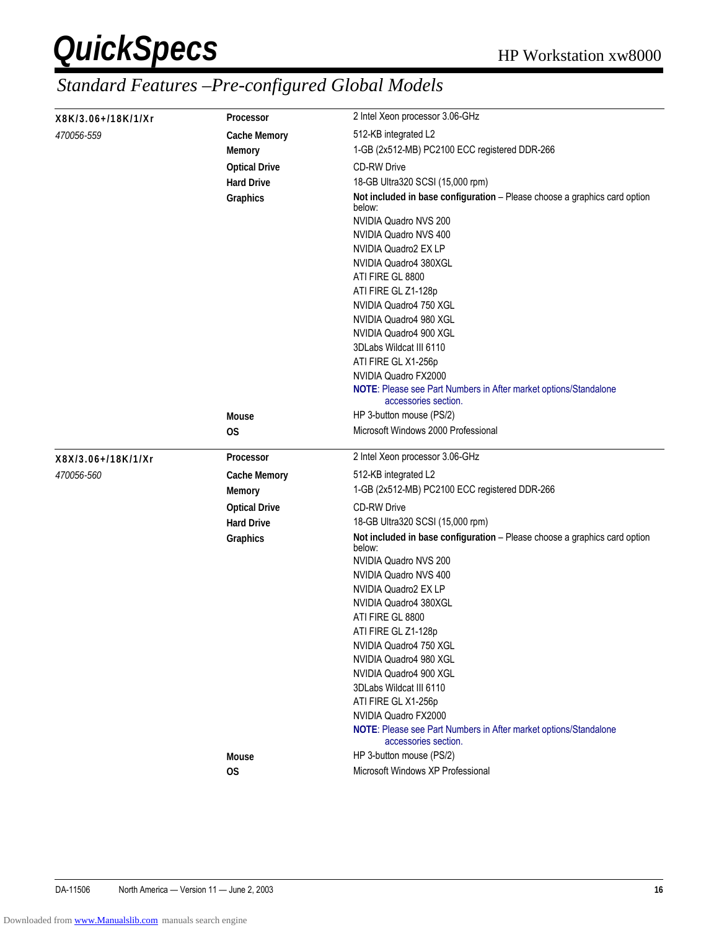| X8K/3.06+/18K/1/Xr | 2 Intel Xeon processor 3.06-GHz |                                                                                                              |  |  |  |
|--------------------|---------------------------------|--------------------------------------------------------------------------------------------------------------|--|--|--|
| <i>470056-559</i>  | <b>Cache Memory</b>             | 512-KB integrated L2                                                                                         |  |  |  |
|                    | <b>Memory</b>                   | 1-GB (2x512-MB) PC2100 ECC registered DDR-266                                                                |  |  |  |
|                    | <b>Optical Drive</b>            | <b>CD-RW Drive</b>                                                                                           |  |  |  |
|                    | <b>Hard Drive</b>               | 18-GB Ultra320 SCSI (15,000 rpm)                                                                             |  |  |  |
|                    | <b>Graphics</b>                 | Not included in base configuration - Please choose a graphics card option<br>below:<br>NVIDIA Quadro NVS 200 |  |  |  |
|                    |                                 | NVIDIA Quadro NVS 400                                                                                        |  |  |  |
|                    |                                 | NVIDIA Quadro2 EX LP                                                                                         |  |  |  |
|                    |                                 | NVIDIA Quadro4 380XGL                                                                                        |  |  |  |
|                    |                                 | ATI FIRE GL 8800                                                                                             |  |  |  |
|                    |                                 | ATI FIRE GL Z1-128p                                                                                          |  |  |  |
|                    |                                 | NVIDIA Quadro4 750 XGL                                                                                       |  |  |  |
|                    |                                 | NVIDIA Quadro4 980 XGL                                                                                       |  |  |  |
|                    |                                 | NVIDIA Quadro4 900 XGL                                                                                       |  |  |  |
|                    |                                 | 3DLabs Wildcat III 6110                                                                                      |  |  |  |
|                    |                                 | ATI FIRE GL X1-256p<br>NVIDIA Quadro FX2000                                                                  |  |  |  |
|                    |                                 | NOTE: Please see Part Numbers in After market options/Standalone<br>accessories section.                     |  |  |  |
|                    | <b>Mouse</b>                    | HP 3-button mouse (PS/2)                                                                                     |  |  |  |
|                    | 0S                              | Microsoft Windows 2000 Professional                                                                          |  |  |  |
| X8X/3.06+/18K/1/Xr | Processor                       | 2 Intel Xeon processor 3.06-GHz                                                                              |  |  |  |
| <i>470056-560</i>  | <b>Cache Memory</b>             | 512-KB integrated L2                                                                                         |  |  |  |
|                    | <b>Memory</b>                   | 1-GB (2x512-MB) PC2100 ECC registered DDR-266                                                                |  |  |  |
|                    | <b>Optical Drive</b>            | <b>CD-RW Drive</b>                                                                                           |  |  |  |
|                    | <b>Hard Drive</b>               | 18-GB Ultra320 SCSI (15,000 rpm)                                                                             |  |  |  |
|                    | Graphics                        | Not included in base configuration - Please choose a graphics card option<br>below:                          |  |  |  |
|                    |                                 | NVIDIA Quadro NVS 200                                                                                        |  |  |  |
|                    |                                 | NVIDIA Quadro NVS 400                                                                                        |  |  |  |
|                    |                                 | NVIDIA Quadro2 EX LP                                                                                         |  |  |  |
|                    |                                 | NVIDIA Quadro4 380XGL                                                                                        |  |  |  |
|                    |                                 | ATI FIRE GL 8800                                                                                             |  |  |  |
|                    |                                 | ATI FIRE GL Z1-128p<br>NVIDIA Quadro4 750 XGL                                                                |  |  |  |
|                    |                                 | NVIDIA Quadro4 980 XGL                                                                                       |  |  |  |
|                    |                                 | NVIDIA Quadro4 900 XGL                                                                                       |  |  |  |
|                    |                                 | 3DLabs Wildcat III 6110                                                                                      |  |  |  |
|                    |                                 | ATI FIRE GL X1-256p                                                                                          |  |  |  |
|                    |                                 | NVIDIA Quadro FX2000                                                                                         |  |  |  |
|                    |                                 | NOTE: Please see Part Numbers in After market options/Standalone<br>accessories section.                     |  |  |  |
|                    |                                 |                                                                                                              |  |  |  |
|                    | <b>Mouse</b><br><b>OS</b>       | HP 3-button mouse (PS/2)<br>Microsoft Windows XP Professional                                                |  |  |  |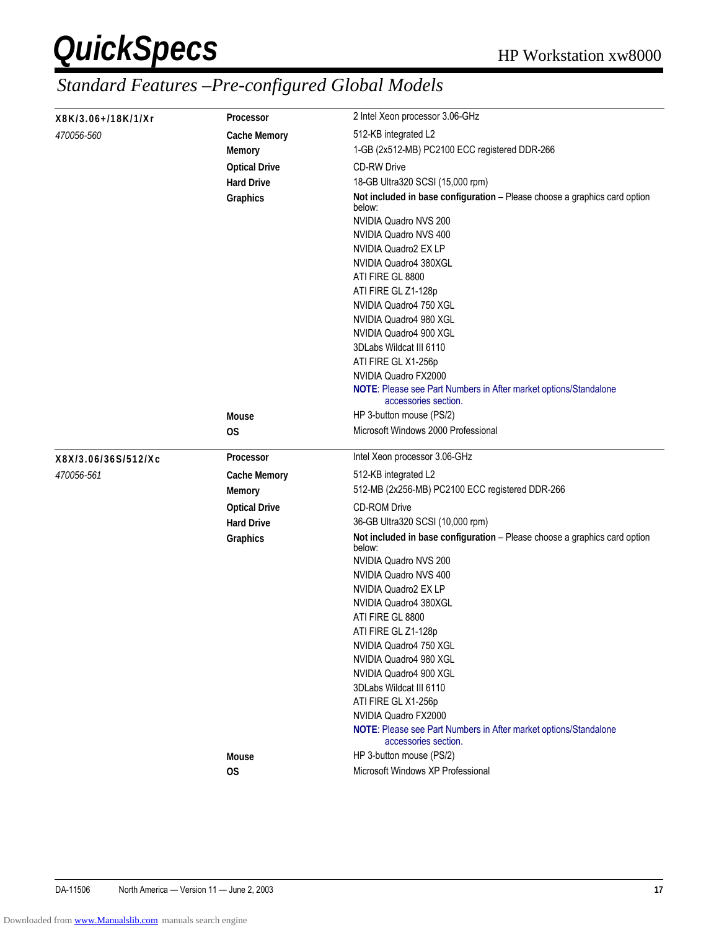| X8K/3.06+/18K/1/Xr  | 2 Intel Xeon processor 3.06-GHz<br><b>Processor</b> |                                                                                          |  |  |
|---------------------|-----------------------------------------------------|------------------------------------------------------------------------------------------|--|--|
| <i>470056-560</i>   | <b>Cache Memory</b>                                 | 512-KB integrated L2                                                                     |  |  |
|                     | <b>Memory</b>                                       | 1-GB (2x512-MB) PC2100 ECC registered DDR-266                                            |  |  |
|                     | <b>Optical Drive</b>                                | <b>CD-RW Drive</b>                                                                       |  |  |
|                     | <b>Hard Drive</b>                                   | 18-GB Ultra320 SCSI (15,000 rpm)                                                         |  |  |
|                     | <b>Graphics</b>                                     | Not included in base configuration - Please choose a graphics card option<br>below:      |  |  |
|                     |                                                     | NVIDIA Quadro NVS 200<br>NVIDIA Quadro NVS 400                                           |  |  |
|                     |                                                     | NVIDIA Quadro2 EX LP                                                                     |  |  |
|                     |                                                     | NVIDIA Quadro4 380XGL                                                                    |  |  |
|                     |                                                     | ATI FIRE GL 8800                                                                         |  |  |
|                     |                                                     | ATI FIRE GL Z1-128p                                                                      |  |  |
|                     |                                                     | NVIDIA Quadro4 750 XGL                                                                   |  |  |
|                     |                                                     | NVIDIA Quadro4 980 XGL                                                                   |  |  |
|                     |                                                     | NVIDIA Quadro4 900 XGL                                                                   |  |  |
|                     |                                                     | 3DLabs Wildcat III 6110                                                                  |  |  |
|                     |                                                     | ATI FIRE GL X1-256p                                                                      |  |  |
|                     |                                                     | NVIDIA Quadro FX2000                                                                     |  |  |
|                     |                                                     | NOTE: Please see Part Numbers in After market options/Standalone<br>accessories section. |  |  |
|                     | <b>Mouse</b>                                        | HP 3-button mouse (PS/2)                                                                 |  |  |
|                     | 0S                                                  | Microsoft Windows 2000 Professional                                                      |  |  |
| X8X/3.06/36S/512/Xc | Processor                                           | Intel Xeon processor 3.06-GHz                                                            |  |  |
| 470056-561          | <b>Cache Memory</b>                                 | 512-KB integrated L2                                                                     |  |  |
|                     | <b>Memory</b>                                       | 512-MB (2x256-MB) PC2100 ECC registered DDR-266                                          |  |  |
|                     | <b>Optical Drive</b>                                | <b>CD-ROM Drive</b>                                                                      |  |  |
|                     | <b>Hard Drive</b>                                   | 36-GB Ultra320 SCSI (10,000 rpm)                                                         |  |  |
|                     | Graphics                                            | Not included in base configuration - Please choose a graphics card option<br>below:      |  |  |
|                     |                                                     | NVIDIA Quadro NVS 200                                                                    |  |  |
|                     |                                                     | NVIDIA Quadro NVS 400                                                                    |  |  |
|                     |                                                     | NVIDIA Quadro2 EX LP                                                                     |  |  |
|                     |                                                     | NVIDIA Quadro4 380XGL<br>ATI FIRE GL 8800                                                |  |  |
|                     |                                                     | ATI FIRE GL Z1-128p                                                                      |  |  |
|                     |                                                     | NVIDIA Quadro4 750 XGL                                                                   |  |  |
|                     |                                                     | NVIDIA Quadro4 980 XGL                                                                   |  |  |
|                     |                                                     | NVIDIA Quadro4 900 XGL                                                                   |  |  |
|                     |                                                     | 3DLabs Wildcat III 6110                                                                  |  |  |
|                     |                                                     | ATI FIRE GL X1-256p                                                                      |  |  |
|                     |                                                     | NVIDIA Quadro FX2000                                                                     |  |  |
|                     |                                                     | NOTE: Please see Part Numbers in After market options/Standalone<br>accessories section. |  |  |
|                     |                                                     |                                                                                          |  |  |
|                     | <b>Mouse</b><br><b>OS</b>                           | HP 3-button mouse (PS/2)<br>Microsoft Windows XP Professional                            |  |  |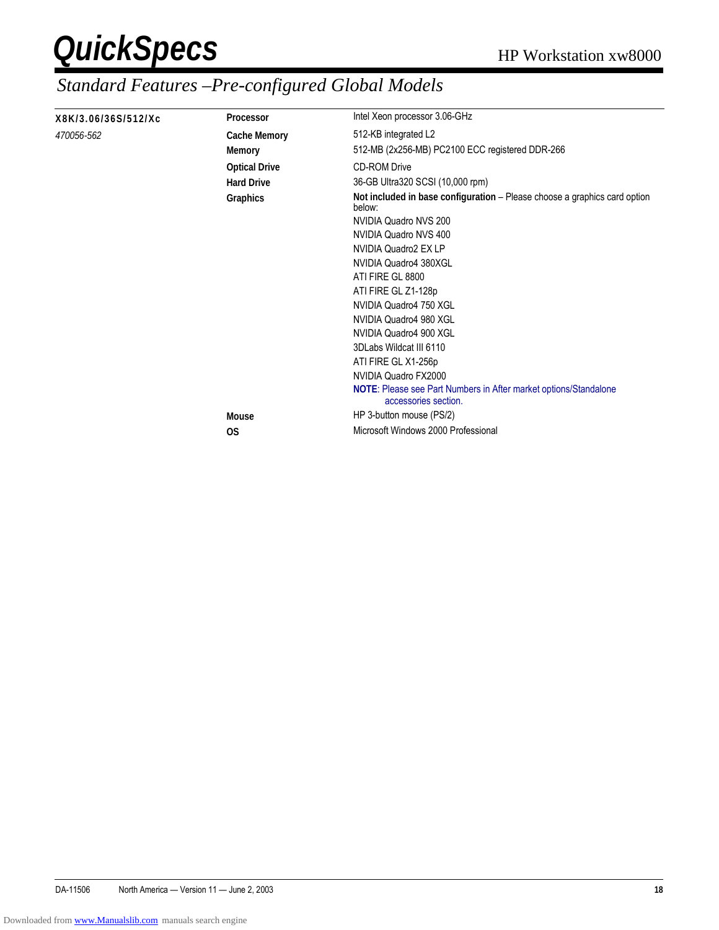| X8K/3.06/36S/512/Xc | Processor            | Intel Xeon processor 3.06-GHz                                                                   |  |  |
|---------------------|----------------------|-------------------------------------------------------------------------------------------------|--|--|
| 470056-562          | <b>Cache Memory</b>  | 512-KB integrated L2                                                                            |  |  |
|                     | <b>Memory</b>        | 512-MB (2x256-MB) PC2100 ECC registered DDR-266                                                 |  |  |
|                     | <b>Optical Drive</b> | <b>CD-ROM Drive</b>                                                                             |  |  |
|                     | <b>Hard Drive</b>    | 36-GB Ultra320 SCSI (10,000 rpm)                                                                |  |  |
|                     | Graphics             | Not included in base configuration - Please choose a graphics card option<br>below:             |  |  |
|                     |                      | NVIDIA Quadro NVS 200                                                                           |  |  |
|                     |                      | NVIDIA Quadro NVS 400                                                                           |  |  |
|                     |                      | NVIDIA Quadro2 EX LP                                                                            |  |  |
|                     |                      | NVIDIA Quadro4 380XGL                                                                           |  |  |
|                     |                      | ATI FIRE GL 8800                                                                                |  |  |
|                     |                      | ATI FIRE GL Z1-128p                                                                             |  |  |
|                     |                      | NVIDIA Quadro4 750 XGL                                                                          |  |  |
|                     |                      | NVIDIA Quadro4 980 XGL                                                                          |  |  |
|                     |                      | NVIDIA Quadro4 900 XGL                                                                          |  |  |
|                     |                      | 3DLabs Wildcat III 6110                                                                         |  |  |
|                     |                      | ATI FIRE GL X1-256p                                                                             |  |  |
|                     |                      | NVIDIA Quadro FX2000                                                                            |  |  |
|                     |                      | <b>NOTE:</b> Please see Part Numbers in After market options/Standalone<br>accessories section. |  |  |
|                     | <b>Mouse</b>         | HP 3-button mouse (PS/2)                                                                        |  |  |
|                     | <b>OS</b>            | Microsoft Windows 2000 Professional                                                             |  |  |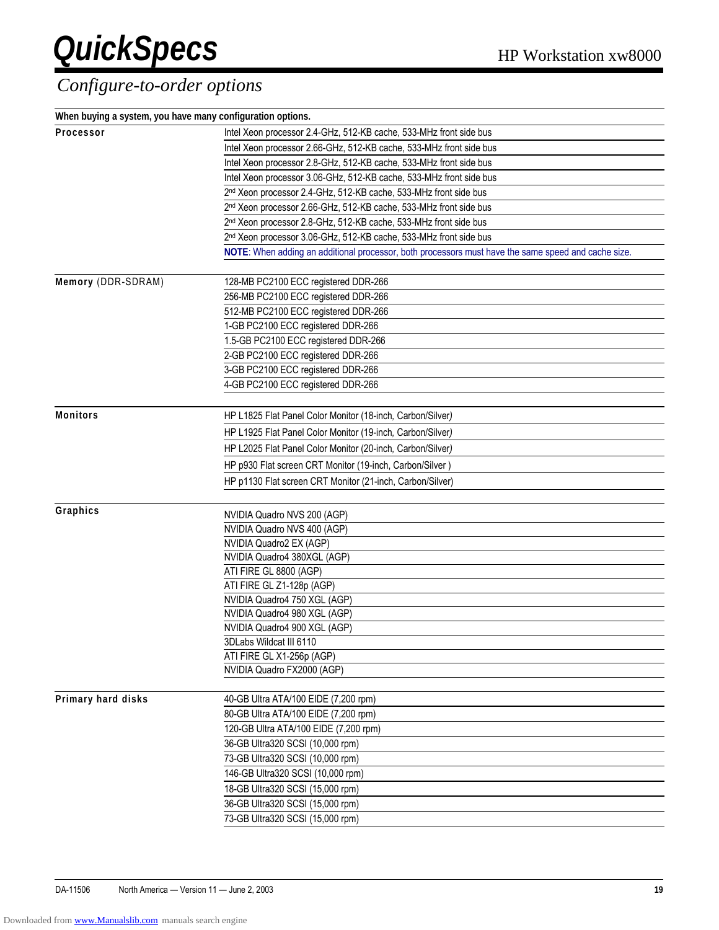#### *Configure-to-order options*

| When buying a system, you have many configuration options. |                                                                                                     |  |  |  |
|------------------------------------------------------------|-----------------------------------------------------------------------------------------------------|--|--|--|
| Processor                                                  | Intel Xeon processor 2.4-GHz, 512-KB cache, 533-MHz front side bus                                  |  |  |  |
|                                                            | Intel Xeon processor 2.66-GHz, 512-KB cache, 533-MHz front side bus                                 |  |  |  |
|                                                            | Intel Xeon processor 2.8-GHz, 512-KB cache, 533-MHz front side bus                                  |  |  |  |
|                                                            | Intel Xeon processor 3.06-GHz, 512-KB cache, 533-MHz front side bus                                 |  |  |  |
|                                                            | 2 <sup>nd</sup> Xeon processor 2.4-GHz, 512-KB cache, 533-MHz front side bus                        |  |  |  |
|                                                            | 2 <sup>nd</sup> Xeon processor 2.66-GHz, 512-KB cache, 533-MHz front side bus                       |  |  |  |
|                                                            | 2 <sup>nd</sup> Xeon processor 2.8-GHz, 512-KB cache, 533-MHz front side bus                        |  |  |  |
|                                                            | 2 <sup>nd</sup> Xeon processor 3.06-GHz, 512-KB cache, 533-MHz front side bus                       |  |  |  |
|                                                            | NOTE: When adding an additional processor, both processors must have the same speed and cache size. |  |  |  |
|                                                            |                                                                                                     |  |  |  |
| Memory (DDR-SDRAM)                                         | 128-MB PC2100 ECC registered DDR-266                                                                |  |  |  |
|                                                            | 256-MB PC2100 ECC registered DDR-266                                                                |  |  |  |
|                                                            | 512-MB PC2100 ECC registered DDR-266                                                                |  |  |  |
|                                                            | 1-GB PC2100 ECC registered DDR-266                                                                  |  |  |  |
|                                                            | 1.5-GB PC2100 ECC registered DDR-266                                                                |  |  |  |
|                                                            | 2-GB PC2100 ECC registered DDR-266                                                                  |  |  |  |
|                                                            | 3-GB PC2100 ECC registered DDR-266                                                                  |  |  |  |
|                                                            | 4-GB PC2100 ECC registered DDR-266                                                                  |  |  |  |
|                                                            |                                                                                                     |  |  |  |
| <b>Monitors</b>                                            | HP L1825 Flat Panel Color Monitor (18-inch, Carbon/Silver)                                          |  |  |  |
|                                                            | HP L1925 Flat Panel Color Monitor (19-inch, Carbon/Silver)                                          |  |  |  |
|                                                            | HP L2025 Flat Panel Color Monitor (20-inch, Carbon/Silver)                                          |  |  |  |
|                                                            | HP p930 Flat screen CRT Monitor (19-inch, Carbon/Silver)                                            |  |  |  |
|                                                            | HP p1130 Flat screen CRT Monitor (21-inch, Carbon/Silver)                                           |  |  |  |
|                                                            |                                                                                                     |  |  |  |
| Graphics                                                   | NVIDIA Quadro NVS 200 (AGP)                                                                         |  |  |  |
|                                                            | NVIDIA Quadro NVS 400 (AGP)                                                                         |  |  |  |
|                                                            | NVIDIA Quadro2 EX (AGP)                                                                             |  |  |  |
|                                                            | NVIDIA Quadro4 380XGL (AGP)                                                                         |  |  |  |
|                                                            | ATI FIRE GL 8800 (AGP)                                                                              |  |  |  |
|                                                            | ATI FIRE GL Z1-128p (AGP)                                                                           |  |  |  |
|                                                            | NVIDIA Quadro4 750 XGL (AGP)                                                                        |  |  |  |
|                                                            | NVIDIA Quadro4 980 XGL (AGP)                                                                        |  |  |  |
|                                                            | NVIDIA Quadro4 900 XGL (AGP)                                                                        |  |  |  |
|                                                            | 3DLabs Wildcat III 6110                                                                             |  |  |  |
|                                                            | ATI FIRE GL X1-256p (AGP)                                                                           |  |  |  |
|                                                            | NVIDIA Quadro FX2000 (AGP)                                                                          |  |  |  |
|                                                            |                                                                                                     |  |  |  |
| Primary hard disks                                         | 40-GB Ultra ATA/100 EIDE (7,200 rpm)                                                                |  |  |  |
|                                                            | 80-GB Ultra ATA/100 EIDE (7,200 rpm)                                                                |  |  |  |
|                                                            | 120-GB Ultra ATA/100 EIDE (7,200 rpm)                                                               |  |  |  |
|                                                            | 36-GB Ultra320 SCSI (10,000 rpm)                                                                    |  |  |  |
|                                                            | 73-GB Ultra320 SCSI (10,000 rpm)                                                                    |  |  |  |
|                                                            | 146-GB Ultra320 SCSI (10,000 rpm)                                                                   |  |  |  |
|                                                            | 18-GB Ultra320 SCSI (15,000 rpm)                                                                    |  |  |  |
|                                                            | 36-GB Ultra320 SCSI (15,000 rpm)                                                                    |  |  |  |
|                                                            | 73-GB Ultra320 SCSI (15,000 rpm)                                                                    |  |  |  |
|                                                            |                                                                                                     |  |  |  |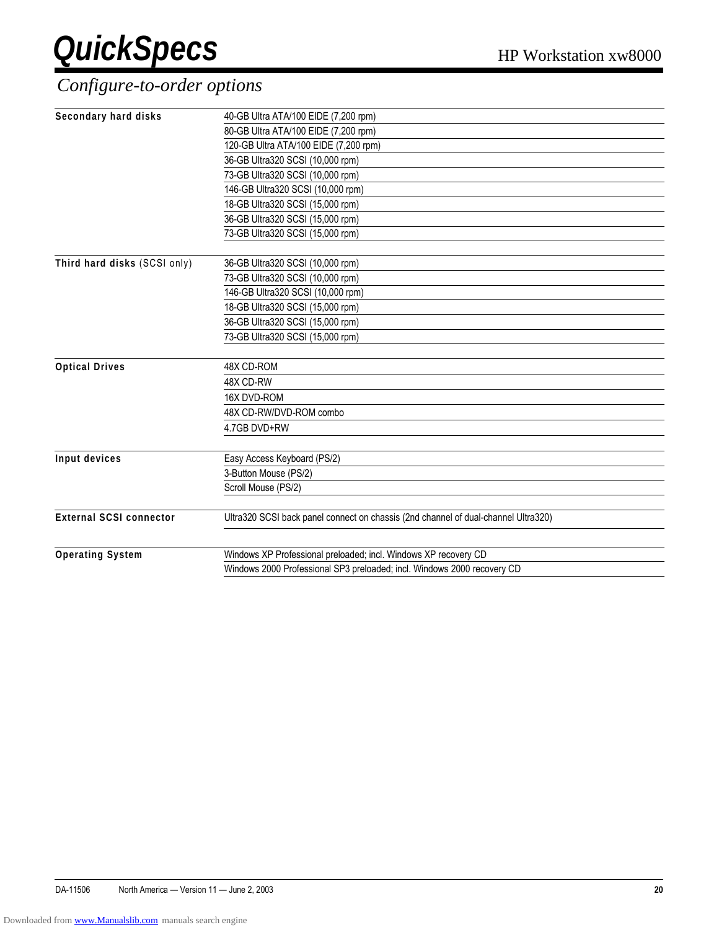#### *Configure-to-order options*

| Secondary hard disks           | 40-GB Ultra ATA/100 EIDE (7,200 rpm)                                               |  |  |  |
|--------------------------------|------------------------------------------------------------------------------------|--|--|--|
|                                | 80-GB Ultra ATA/100 EIDE (7,200 rpm)                                               |  |  |  |
|                                | 120-GB Ultra ATA/100 EIDE (7,200 rpm)                                              |  |  |  |
|                                | 36-GB Ultra320 SCSI (10,000 rpm)                                                   |  |  |  |
|                                | 73-GB Ultra320 SCSI (10,000 rpm)                                                   |  |  |  |
|                                | 146-GB Ultra320 SCSI (10,000 rpm)                                                  |  |  |  |
|                                | 18-GB Ultra320 SCSI (15,000 rpm)                                                   |  |  |  |
|                                | 36-GB Ultra320 SCSI (15,000 rpm)                                                   |  |  |  |
|                                | 73-GB Ultra320 SCSI (15,000 rpm)                                                   |  |  |  |
|                                |                                                                                    |  |  |  |
| Third hard disks (SCSI only)   | 36-GB Ultra320 SCSI (10,000 rpm)                                                   |  |  |  |
|                                | 73-GB Ultra320 SCSI (10,000 rpm)                                                   |  |  |  |
|                                | 146-GB Ultra320 SCSI (10,000 rpm)                                                  |  |  |  |
|                                | 18-GB Ultra320 SCSI (15,000 rpm)                                                   |  |  |  |
|                                | 36-GB Ultra320 SCSI (15,000 rpm)                                                   |  |  |  |
|                                | 73-GB Ultra320 SCSI (15,000 rpm)                                                   |  |  |  |
|                                |                                                                                    |  |  |  |
| <b>Optical Drives</b>          | 48X CD-ROM                                                                         |  |  |  |
|                                | 48X CD-RW                                                                          |  |  |  |
|                                | 16X DVD-ROM                                                                        |  |  |  |
|                                | 48X CD-RW/DVD-ROM combo                                                            |  |  |  |
|                                | 4.7GB DVD+RW                                                                       |  |  |  |
| Input devices                  | Easy Access Keyboard (PS/2)                                                        |  |  |  |
|                                | 3-Button Mouse (PS/2)                                                              |  |  |  |
|                                | Scroll Mouse (PS/2)                                                                |  |  |  |
| <b>External SCSI connector</b> | Ultra320 SCSI back panel connect on chassis (2nd channel of dual-channel Ultra320) |  |  |  |
|                                |                                                                                    |  |  |  |
| <b>Operating System</b>        | Windows XP Professional preloaded; incl. Windows XP recovery CD                    |  |  |  |
|                                | Windows 2000 Professional SP3 preloaded; incl. Windows 2000 recovery CD            |  |  |  |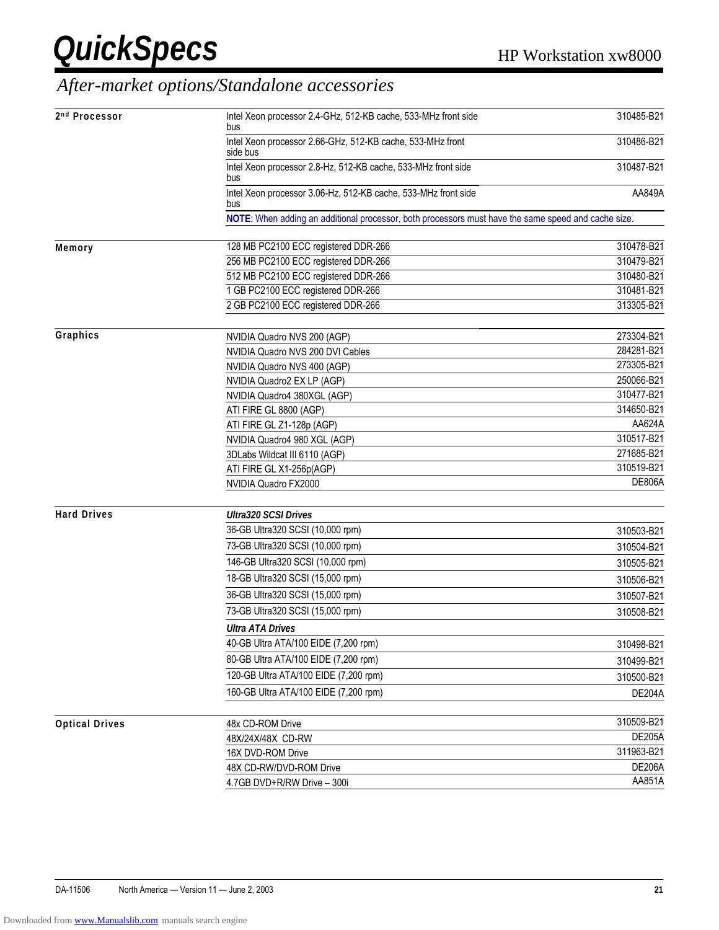### *After-market options/Standalone accessories*

| 2nd Processor         | Intel Xeon processor 2.4-GHz, 512-KB cache, 533-MHz front side<br>bus                               | 310485-B21    |
|-----------------------|-----------------------------------------------------------------------------------------------------|---------------|
|                       | Intel Xeon processor 2.66-GHz, 512-KB cache, 533-MHz front<br>side bus                              | 310486-B21    |
|                       | Intel Xeon processor 2.8-Hz, 512-KB cache, 533-MHz front side<br>bus                                | 310487-B21    |
|                       | Intel Xeon processor 3.06-Hz, 512-KB cache, 533-MHz front side<br>bus                               | AA849A        |
|                       | NOTE: When adding an additional processor, both processors must have the same speed and cache size. |               |
| Memory                | 128 MB PC2100 ECC registered DDR-266                                                                | 310478-B21    |
|                       | 256 MB PC2100 ECC registered DDR-266                                                                | 310479-B21    |
|                       | 512 MB PC2100 ECC registered DDR-266                                                                | 310480-B21    |
|                       | 1 GB PC2100 ECC registered DDR-266                                                                  | 310481-B21    |
|                       | 2 GB PC2100 ECC registered DDR-266                                                                  | 313305-B21    |
| Graphics              | NVIDIA Quadro NVS 200 (AGP)                                                                         | 273304-B21    |
|                       | NVIDIA Quadro NVS 200 DVI Cables                                                                    | 284281-B21    |
|                       | NVIDIA Quadro NVS 400 (AGP)                                                                         | 273305-B21    |
|                       | NVIDIA Quadro2 EX LP (AGP)                                                                          | 250066-B21    |
|                       | NVIDIA Quadro4 380XGL (AGP)                                                                         | 310477-B21    |
|                       | ATI FIRE GL 8800 (AGP)                                                                              | 314650-B21    |
|                       | ATI FIRE GL Z1-128p (AGP)                                                                           | AA624A        |
|                       | NVIDIA Quadro4 980 XGL (AGP)                                                                        | 310517-B21    |
|                       | 3DLabs Wildcat III 6110 (AGP)                                                                       | 271685-B21    |
|                       | ATI FIRE GL X1-256p(AGP)                                                                            | 310519-B21    |
|                       | NVIDIA Quadro FX2000                                                                                | <b>DE806A</b> |
| <b>Hard Drives</b>    | <b>Ultra320 SCSI Drives</b>                                                                         |               |
|                       | 36-GB Ultra320 SCSI (10,000 rpm)                                                                    | 310503-B21    |
|                       | 73-GB Ultra320 SCSI (10,000 rpm)                                                                    | 310504-B21    |
|                       | 146-GB Ultra320 SCSI (10,000 rpm)                                                                   | 310505-B21    |
|                       | 18-GB Ultra320 SCSI (15,000 rpm)                                                                    | 310506-B21    |
|                       | 36-GB Ultra320 SCSI (15,000 rpm)                                                                    | 310507-B21    |
|                       | 73-GB Ultra320 SCSI (15,000 rpm)                                                                    | 310508-B21    |
|                       | <b>Ultra ATA Drives</b>                                                                             |               |
|                       | 40-GB Ultra ATA/100 EIDE (7,200 rpm)                                                                | 310498-B21    |
|                       | 80-GB Ultra ATA/100 EIDE (7,200 rpm)                                                                | 310499-B21    |
|                       | 120-GB Ultra ATA/100 EIDE (7,200 rpm)                                                               | 310500-B21    |
|                       | 160-GB Ultra ATA/100 EIDE (7,200 rpm)                                                               | <b>DE204A</b> |
| <b>Optical Drives</b> | 48x CD-ROM Drive                                                                                    | 310509-B21    |
|                       | 48X/24X/48X CD-RW                                                                                   | <b>DE205A</b> |
|                       | 16X DVD-ROM Drive                                                                                   | 311963-B21    |
|                       | 48X CD-RW/DVD-ROM Drive                                                                             | <b>DE206A</b> |
|                       | 4.7GB DVD+R/RW Drive - 300i                                                                         | AA851A        |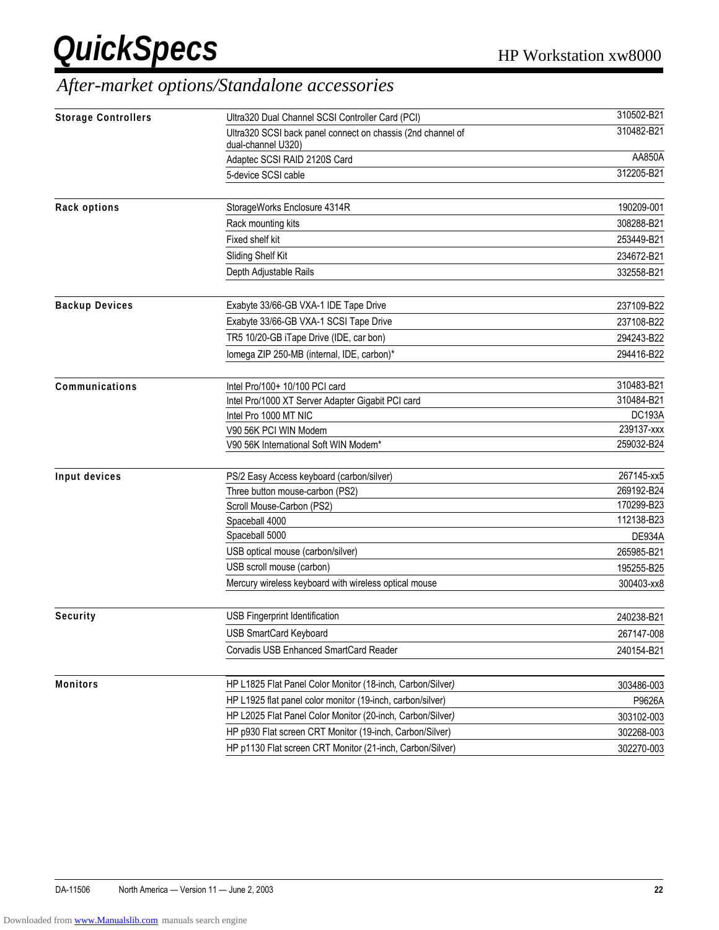### *After-market options/Standalone accessories*

| <b>Storage Controllers</b> | Ultra320 Dual Channel SCSI Controller Card (PCI)            | 310502-B21    |
|----------------------------|-------------------------------------------------------------|---------------|
|                            | Ultra320 SCSI back panel connect on chassis (2nd channel of | 310482-B21    |
|                            | dual-channel U320)                                          |               |
|                            | Adaptec SCSI RAID 2120S Card                                | AA850A        |
|                            | 5-device SCSI cable                                         | 312205-B21    |
| <b>Rack options</b>        | StorageWorks Enclosure 4314R                                | 190209-001    |
|                            | Rack mounting kits                                          | 308288-B21    |
|                            | Fixed shelf kit                                             | 253449-B21    |
|                            | Sliding Shelf Kit                                           | 234672-B21    |
|                            | Depth Adjustable Rails                                      | 332558-B21    |
| <b>Backup Devices</b>      | Exabyte 33/66-GB VXA-1 IDE Tape Drive                       | 237109-B22    |
|                            | Exabyte 33/66-GB VXA-1 SCSI Tape Drive                      | 237108-B22    |
|                            | TR5 10/20-GB iTape Drive (IDE, car bon)                     | 294243-B22    |
|                            | lomega ZIP 250-MB (internal, IDE, carbon)*                  | 294416-B22    |
| Communications             | Intel Pro/100+ 10/100 PCI card                              | 310483-B21    |
|                            | Intel Pro/1000 XT Server Adapter Gigabit PCI card           | 310484-B21    |
|                            | Intel Pro 1000 MT NIC                                       | <b>DC193A</b> |
|                            | V90 56K PCI WIN Modem                                       | 239137-xxx    |
|                            | V90 56K International Soft WIN Modem*                       | 259032-B24    |
| Input devices              | PS/2 Easy Access keyboard (carbon/silver)                   | 267145-xx5    |
|                            | Three button mouse-carbon (PS2)                             | 269192-B24    |
|                            | Scroll Mouse-Carbon (PS2)                                   | 170299-B23    |
|                            | Spaceball 4000                                              | 112138-B23    |
|                            | Spaceball 5000                                              | <b>DE934A</b> |
|                            | USB optical mouse (carbon/silver)                           | 265985-B21    |
|                            | USB scroll mouse (carbon)                                   | 195255-B25    |
|                            | Mercury wireless keyboard with wireless optical mouse       | 300403-xx8    |
| Security                   | USB Fingerprint Identification                              | 240238-B21    |
|                            | <b>USB SmartCard Keyboard</b>                               | 267147-008    |
|                            | Corvadis USB Enhanced SmartCard Reader                      | 240154-B21    |
| <b>Monitors</b>            | HP L1825 Flat Panel Color Monitor (18-inch, Carbon/Silver)  | 303486-003    |
|                            | HP L1925 flat panel color monitor (19-inch, carbon/silver)  | P9626A        |
|                            | HP L2025 Flat Panel Color Monitor (20-inch, Carbon/Silver)  |               |
|                            | HP p930 Flat screen CRT Monitor (19-inch, Carbon/Silver)    | 303102-003    |
|                            |                                                             | 302268-003    |
|                            | HP p1130 Flat screen CRT Monitor (21-inch, Carbon/Silver)   | 302270-003    |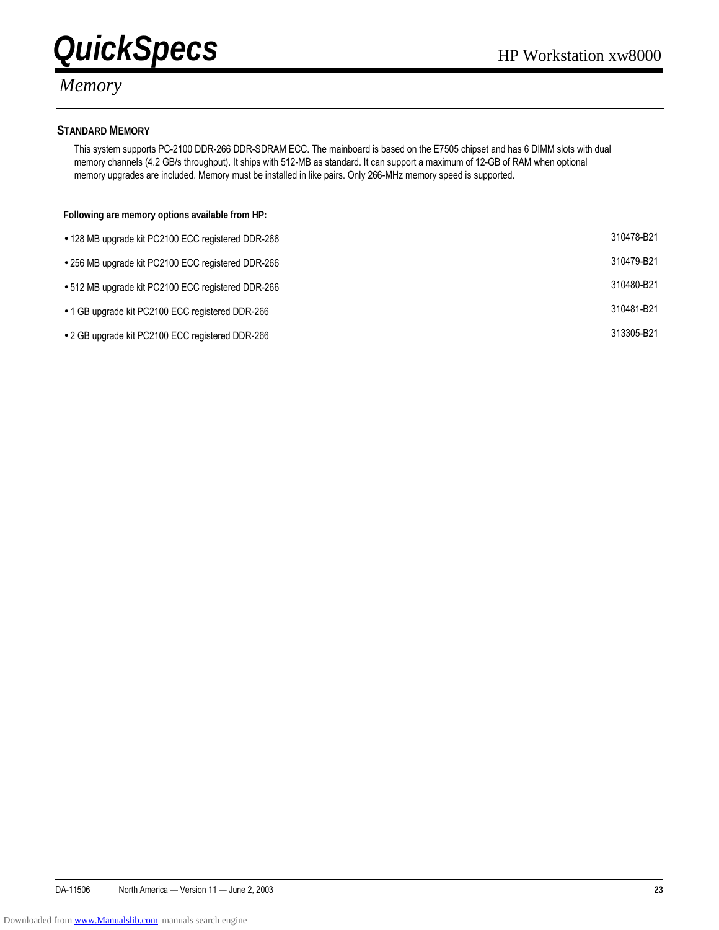



#### *Memory*

#### **STANDARD MEMORY**

This system supports PC-2100 DDR-266 DDR-SDRAM ECC. The mainboard is based on the E7505 chipset and has 6 DIMM slots with dual memory channels (4.2 GB/s throughput). It ships with 512-MB as standard. It can support a maximum of 12-GB of RAM when optional memory upgrades are included. Memory must be installed in like pairs. Only 266-MHz memory speed is supported.

#### **Following are memory options available from HP:**

| • 128 MB upgrade kit PC2100 ECC registered DDR-266 | 310478-B21 |
|----------------------------------------------------|------------|
| ● 256 MB upgrade kit PC2100 ECC registered DDR-266 | 310479-B21 |
| • 512 MB upgrade kit PC2100 ECC registered DDR-266 | 310480-B21 |
| • 1 GB upgrade kit PC2100 ECC registered DDR-266   | 310481-B21 |
| ● 2 GB upgrade kit PC2100 ECC registered DDR-266   | 313305-B21 |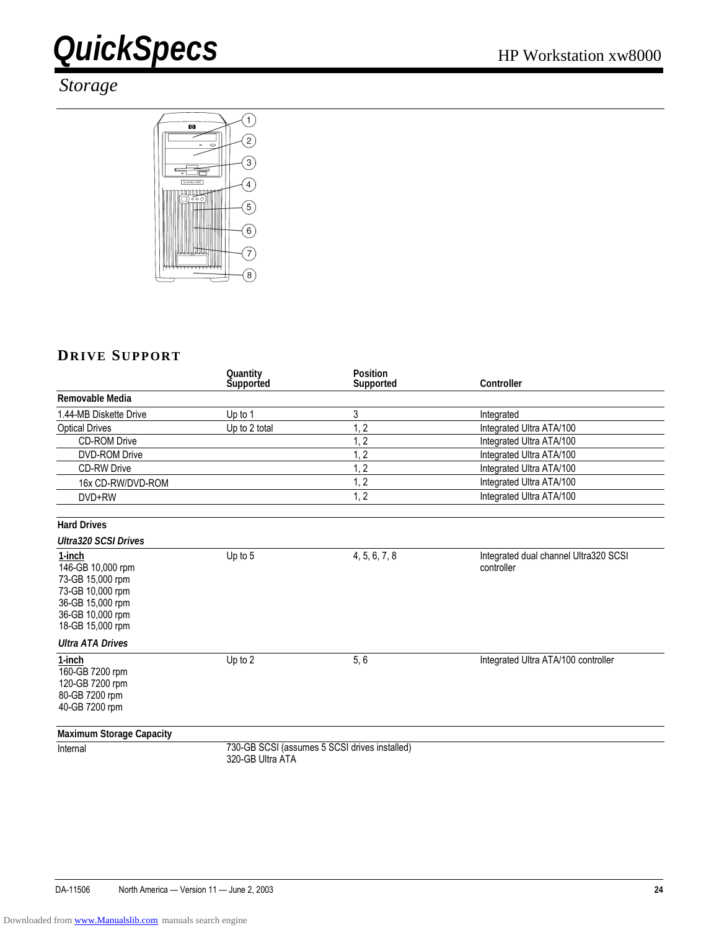#### *Storage*



#### **DRIVE SUPPORT**

|                                                                                                                                 | Quantity<br>Supported | <b>Position</b><br>Supported                  | Controller                                          |
|---------------------------------------------------------------------------------------------------------------------------------|-----------------------|-----------------------------------------------|-----------------------------------------------------|
| Removable Media                                                                                                                 |                       |                                               |                                                     |
| 1.44-MB Diskette Drive                                                                                                          | Up to 1               | 3                                             | Integrated                                          |
| <b>Optical Drives</b>                                                                                                           | Up to 2 total         | 1, 2                                          | Integrated Ultra ATA/100                            |
| <b>CD-ROM Drive</b>                                                                                                             |                       | 1, 2                                          | Integrated Ultra ATA/100                            |
| <b>DVD-ROM Drive</b>                                                                                                            |                       | $\overline{2}$                                | Integrated Ultra ATA/100                            |
| <b>CD-RW Drive</b>                                                                                                              |                       | 1, 2                                          | Integrated Ultra ATA/100                            |
| 16x CD-RW/DVD-ROM                                                                                                               |                       | 1, 2                                          | Integrated Ultra ATA/100                            |
| DVD+RW                                                                                                                          |                       | 1, 2                                          | Integrated Ultra ATA/100                            |
| <b>Hard Drives</b>                                                                                                              |                       |                                               |                                                     |
| <b>Ultra320 SCSI Drives</b>                                                                                                     |                       |                                               |                                                     |
| 1-inch<br>146-GB 10,000 rpm<br>73-GB 15,000 rpm<br>73-GB 10,000 rpm<br>36-GB 15,000 rpm<br>36-GB 10,000 rpm<br>18-GB 15,000 rpm | Up to 5               | 4, 5, 6, 7, 8                                 | Integrated dual channel Ultra320 SCSI<br>controller |
| <b>Ultra ATA Drives</b>                                                                                                         |                       |                                               |                                                     |
| 1-inch<br>160-GB 7200 rpm<br>120-GB 7200 rpm<br>80-GB 7200 rpm<br>40-GB 7200 rpm                                                | Up to 2               | 5, 6                                          | Integrated Ultra ATA/100 controller                 |
| <b>Maximum Storage Capacity</b>                                                                                                 |                       |                                               |                                                     |
| Internal                                                                                                                        | 320-GB Ultra ATA      | 730-GB SCSI (assumes 5 SCSI drives installed) |                                                     |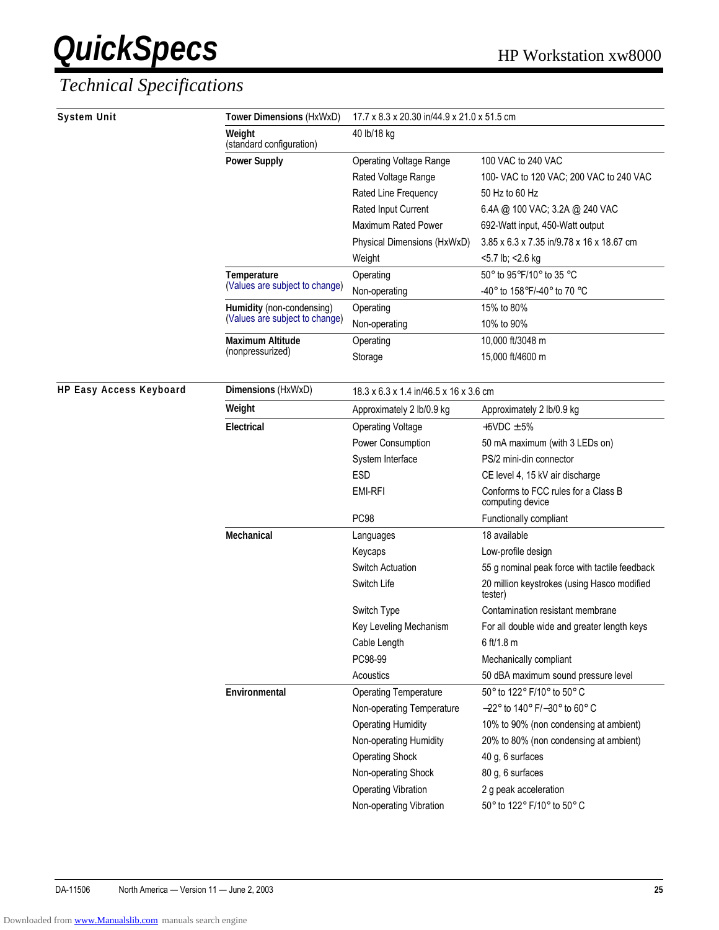| <b>System Unit</b>             | Tower Dimensions (HxWxD)           | 17.7 x 8.3 x 20.30 in/44.9 x 21.0 x 51.5 cm |                                                         |  |
|--------------------------------|------------------------------------|---------------------------------------------|---------------------------------------------------------|--|
|                                | Weight<br>(standard configuration) | 40 lb/18 kg                                 |                                                         |  |
|                                | <b>Power Supply</b>                | <b>Operating Voltage Range</b>              | 100 VAC to 240 VAC                                      |  |
|                                |                                    | Rated Voltage Range                         | 100- VAC to 120 VAC; 200 VAC to 240 VAC                 |  |
|                                |                                    | Rated Line Frequency                        | 50 Hz to 60 Hz                                          |  |
|                                |                                    | Rated Input Current                         | 6.4A @ 100 VAC; 3.2A @ 240 VAC                          |  |
|                                |                                    | Maximum Rated Power                         | 692-Watt input, 450-Watt output                         |  |
|                                |                                    | Physical Dimensions (HxWxD)                 | 3.85 x 6.3 x 7.35 in/9.78 x 16 x 18.67 cm               |  |
|                                |                                    | Weight                                      | <5.7 lb; <2.6 kg                                        |  |
|                                | Temperature                        | Operating                                   | 50° to 95°F/10° to 35 °C                                |  |
|                                | (Values are subject to change)     | Non-operating                               | -40° to 158°F/-40° to 70 °C                             |  |
|                                | Humidity (non-condensing)          | Operating                                   | 15% to 80%                                              |  |
|                                | (Values are subject to change)     | Non-operating                               | 10% to 90%                                              |  |
|                                | <b>Maximum Altitude</b>            | Operating                                   | 10,000 ft/3048 m                                        |  |
|                                | (nonpressurized)                   | Storage                                     | 15,000 ft/4600 m                                        |  |
| <b>HP Easy Access Keyboard</b> | Dimensions (HxWxD)                 | 18.3 x 6.3 x 1.4 in/46.5 x 16 x 3.6 cm      |                                                         |  |
|                                | Weight                             | Approximately 2 lb/0.9 kg                   | Approximately 2 lb/0.9 kg                               |  |
|                                | <b>Electrical</b>                  | <b>Operating Voltage</b>                    | $+5VDC \pm 5%$                                          |  |
|                                |                                    | Power Consumption                           | 50 mA maximum (with 3 LEDs on)                          |  |
|                                |                                    | System Interface                            | PS/2 mini-din connector                                 |  |
|                                |                                    | <b>ESD</b>                                  | CE level 4, 15 kV air discharge                         |  |
|                                |                                    | <b>EMI-RFI</b>                              | Conforms to FCC rules for a Class B<br>computing device |  |
|                                |                                    | PC98                                        | Functionally compliant                                  |  |
|                                | Mechanical                         | Languages                                   | 18 available                                            |  |
|                                |                                    | Keycaps                                     | Low-profile design                                      |  |
|                                |                                    | <b>Switch Actuation</b>                     | 55 g nominal peak force with tactile feedback           |  |
|                                |                                    | Switch Life                                 | 20 million keystrokes (using Hasco modified<br>tester)  |  |
|                                |                                    | Switch Type                                 | Contamination resistant membrane                        |  |
|                                |                                    | Key Leveling Mechanism                      | For all double wide and greater length keys             |  |
|                                |                                    | Cable Length                                | 6 ft/1.8 m                                              |  |
|                                |                                    | PC98-99                                     | Mechanically compliant                                  |  |
|                                |                                    | Acoustics                                   | 50 dBA maximum sound pressure level                     |  |
|                                | Environmental                      | <b>Operating Temperature</b>                | 50° to 122° F/10° to 50° C                              |  |
|                                |                                    | Non-operating Temperature                   | $-22^{\circ}$ to 140° F/ $-30^{\circ}$ to 60° C         |  |
|                                |                                    | <b>Operating Humidity</b>                   | 10% to 90% (non condensing at ambient)                  |  |
|                                |                                    | Non-operating Humidity                      | 20% to 80% (non condensing at ambient)                  |  |
|                                |                                    | <b>Operating Shock</b>                      | 40 g, 6 surfaces                                        |  |
|                                |                                    | Non-operating Shock                         | 80 g, 6 surfaces                                        |  |
|                                |                                    | <b>Operating Vibration</b>                  | 2 g peak acceleration                                   |  |
|                                |                                    | Non-operating Vibration                     | 50° to 122° F/10° to 50° C                              |  |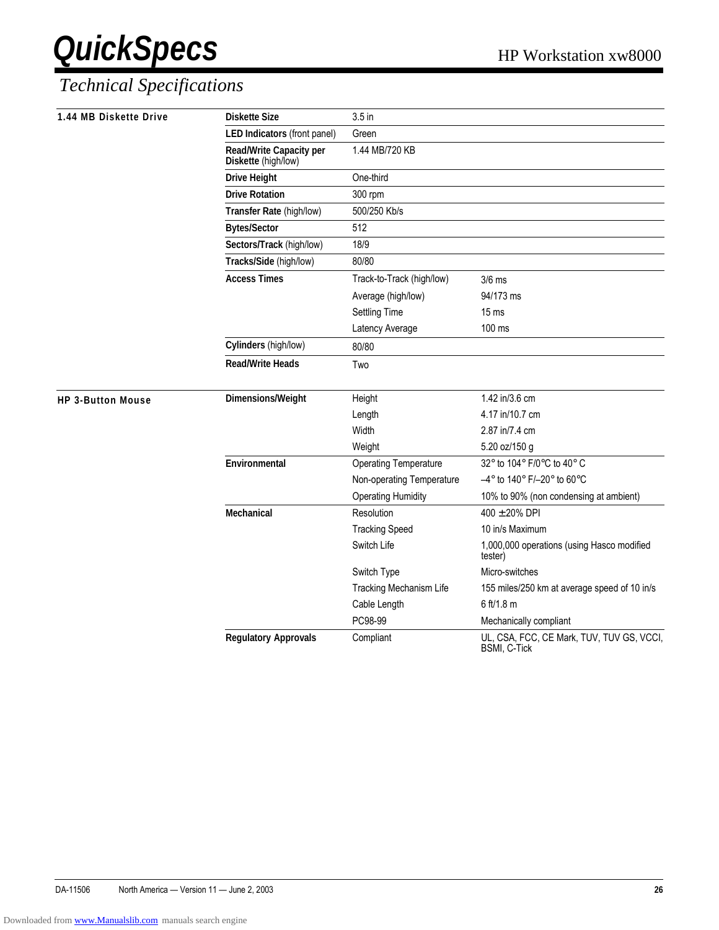| 1.44 MB Diskette Drive   | <b>Diskette Size</b>                           | 3.5 <sub>in</sub>            |                                                                  |
|--------------------------|------------------------------------------------|------------------------------|------------------------------------------------------------------|
|                          | LED Indicators (front panel)                   | Green                        |                                                                  |
|                          | Read/Write Capacity per<br>Diskette (high/low) | 1.44 MB/720 KB               |                                                                  |
|                          | <b>Drive Height</b>                            | One-third                    |                                                                  |
|                          | <b>Drive Rotation</b>                          | 300 rpm                      |                                                                  |
|                          | Transfer Rate (high/low)                       | 500/250 Kb/s                 |                                                                  |
|                          | <b>Bytes/Sector</b>                            | 512                          |                                                                  |
|                          | Sectors/Track (high/low)                       | 18/9                         |                                                                  |
|                          | Tracks/Side (high/low)                         | 80/80                        |                                                                  |
|                          | <b>Access Times</b>                            | Track-to-Track (high/low)    | $3/6$ ms                                                         |
|                          |                                                | Average (high/low)           | 94/173 ms                                                        |
|                          |                                                | <b>Settling Time</b>         | 15 <sub>ms</sub>                                                 |
|                          |                                                | Latency Average              | 100 ms                                                           |
|                          | Cylinders (high/low)                           | 80/80                        |                                                                  |
|                          | <b>Read/Write Heads</b>                        | Two                          |                                                                  |
| <b>HP 3-Button Mouse</b> | Dimensions/Weight                              | Height                       | 1.42 in/3.6 cm                                                   |
|                          |                                                | Length                       | 4.17 in/10.7 cm                                                  |
|                          |                                                | Width                        | 2.87 in/7.4 cm                                                   |
|                          |                                                | Weight                       | 5.20 oz/150 g                                                    |
|                          | Environmental                                  | <b>Operating Temperature</b> | 32° to 104° F/0°C to 40° C                                       |
|                          |                                                | Non-operating Temperature    | $-4^{\circ}$ to 140° F/-20° to 60°C                              |
|                          |                                                | <b>Operating Humidity</b>    | 10% to 90% (non condensing at ambient)                           |
|                          | Mechanical                                     | Resolution                   | $400 \pm 20\%$ DPI                                               |
|                          |                                                | <b>Tracking Speed</b>        | 10 in/s Maximum                                                  |
|                          |                                                | Switch Life                  | 1,000,000 operations (using Hasco modified<br>tester)            |
|                          |                                                | Switch Type                  | Micro-switches                                                   |
|                          |                                                | Tracking Mechanism Life      | 155 miles/250 km at average speed of 10 in/s                     |
|                          |                                                | Cable Length                 | 6 ft/1.8 m                                                       |
|                          |                                                | PC98-99                      | Mechanically compliant                                           |
|                          | <b>Regulatory Approvals</b>                    | Compliant                    | UL, CSA, FCC, CE Mark, TUV, TUV GS, VCCI,<br><b>BSMI, C-Tick</b> |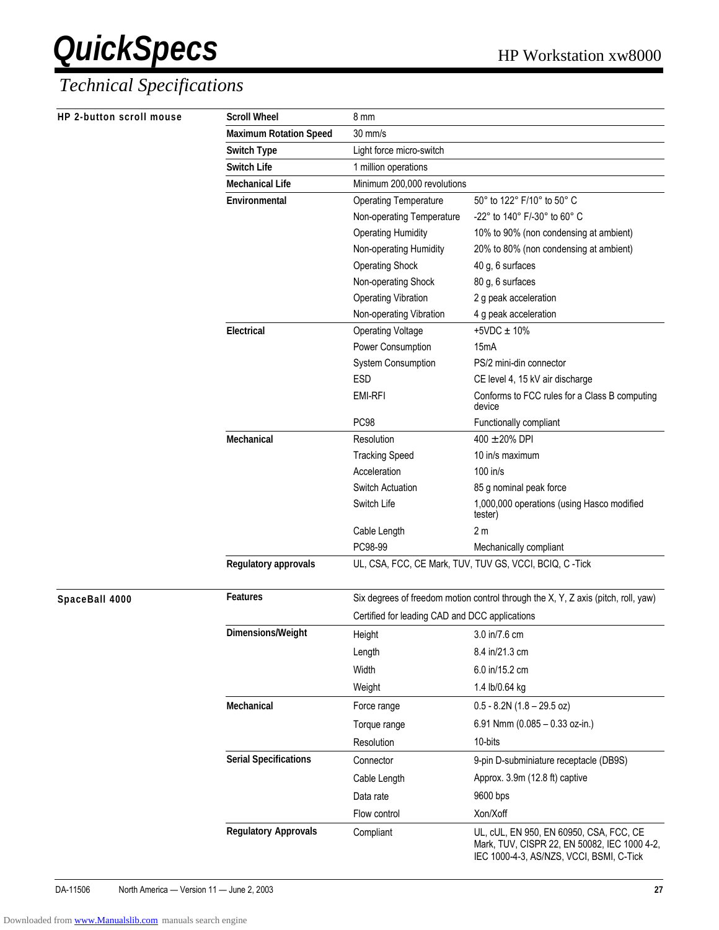| HP 2-button scroll mouse | <b>Scroll Wheel</b>           | 8 mm                                                                              |                                                                                                                                     |  |
|--------------------------|-------------------------------|-----------------------------------------------------------------------------------|-------------------------------------------------------------------------------------------------------------------------------------|--|
|                          | <b>Maximum Rotation Speed</b> | $30$ mm/s                                                                         |                                                                                                                                     |  |
|                          | <b>Switch Type</b>            | Light force micro-switch                                                          |                                                                                                                                     |  |
|                          | <b>Switch Life</b>            | 1 million operations                                                              |                                                                                                                                     |  |
|                          | <b>Mechanical Life</b>        | Minimum 200,000 revolutions                                                       |                                                                                                                                     |  |
|                          | Environmental                 | <b>Operating Temperature</b>                                                      | 50° to 122° F/10° to 50° C                                                                                                          |  |
|                          |                               | Non-operating Temperature                                                         | -22° to 140° F/-30° to 60° C                                                                                                        |  |
|                          |                               | <b>Operating Humidity</b>                                                         | 10% to 90% (non condensing at ambient)                                                                                              |  |
|                          |                               | Non-operating Humidity                                                            | 20% to 80% (non condensing at ambient)                                                                                              |  |
|                          |                               | <b>Operating Shock</b>                                                            | 40 g, 6 surfaces                                                                                                                    |  |
|                          |                               | Non-operating Shock                                                               | 80 g, 6 surfaces                                                                                                                    |  |
|                          |                               | <b>Operating Vibration</b>                                                        | 2 g peak acceleration                                                                                                               |  |
|                          |                               | Non-operating Vibration                                                           | 4 g peak acceleration                                                                                                               |  |
|                          | Electrical                    | <b>Operating Voltage</b>                                                          | $+5VDC \pm 10%$                                                                                                                     |  |
|                          |                               | Power Consumption                                                                 | 15mA                                                                                                                                |  |
|                          |                               | System Consumption                                                                | PS/2 mini-din connector                                                                                                             |  |
|                          |                               | ESD                                                                               | CE level 4, 15 kV air discharge                                                                                                     |  |
|                          |                               | <b>EMI-RFI</b>                                                                    | Conforms to FCC rules for a Class B computing<br>device                                                                             |  |
|                          |                               | PC98                                                                              | Functionally compliant                                                                                                              |  |
|                          | Mechanical                    | Resolution                                                                        | $400 \pm 20\%$ DPI                                                                                                                  |  |
|                          |                               | <b>Tracking Speed</b>                                                             | 10 in/s maximum                                                                                                                     |  |
|                          |                               | Acceleration                                                                      | 100 in/s                                                                                                                            |  |
|                          |                               | Switch Actuation                                                                  | 85 g nominal peak force                                                                                                             |  |
|                          |                               | Switch Life                                                                       | 1,000,000 operations (using Hasco modified<br>tester)                                                                               |  |
|                          |                               | Cable Length                                                                      | 2 <sub>m</sub>                                                                                                                      |  |
|                          |                               | PC98-99                                                                           | Mechanically compliant                                                                                                              |  |
|                          | Regulatory approvals          | UL, CSA, FCC, CE Mark, TUV, TUV GS, VCCI, BCIQ, C-Tick                            |                                                                                                                                     |  |
| SpaceBall 4000           | <b>Features</b>               | Six degrees of freedom motion control through the X, Y, Z axis (pitch, roll, yaw) |                                                                                                                                     |  |
|                          |                               | Certified for leading CAD and DCC applications                                    |                                                                                                                                     |  |
|                          | Dimensions/Weight             | Height                                                                            | 3.0 in/7.6 cm                                                                                                                       |  |
|                          |                               | Length                                                                            | 8.4 in/21.3 cm                                                                                                                      |  |
|                          |                               | Width                                                                             | 6.0 in/15.2 cm                                                                                                                      |  |
|                          |                               | Weight                                                                            | 1.4 lb/0.64 kg                                                                                                                      |  |
|                          | Mechanical                    | Force range                                                                       | $0.5 - 8.2N(1.8 - 29.5)$ oz)                                                                                                        |  |
|                          |                               | Torque range                                                                      | 6.91 Nmm (0.085 - 0.33 oz-in.)                                                                                                      |  |
|                          |                               |                                                                                   |                                                                                                                                     |  |
|                          |                               | Resolution                                                                        | 10-bits                                                                                                                             |  |
|                          | <b>Serial Specifications</b>  | Connector                                                                         | 9-pin D-subminiature receptacle (DB9S)                                                                                              |  |
|                          |                               | Cable Length                                                                      | Approx. 3.9m (12.8 ft) captive                                                                                                      |  |
|                          |                               | Data rate                                                                         | 9600 bps                                                                                                                            |  |
|                          |                               | Flow control                                                                      | Xon/Xoff                                                                                                                            |  |
|                          | <b>Regulatory Approvals</b>   | Compliant                                                                         | UL, cUL, EN 950, EN 60950, CSA, FCC, CE<br>Mark, TUV, CISPR 22, EN 50082, IEC 1000 4-2,<br>IEC 1000-4-3, AS/NZS, VCCI, BSMI, C-Tick |  |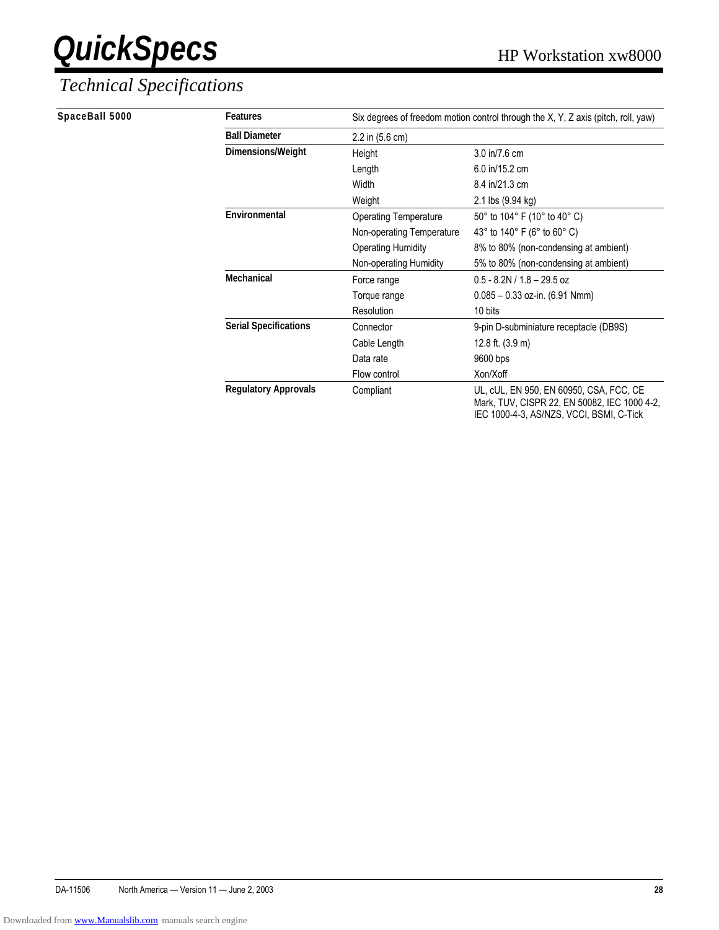#### *Technical Specifications*

**SpaceBall 5000** 

| <b>Features</b>              | Six degrees of freedom motion control through the X, Y, Z axis (pitch, roll, yaw) |                                                                                                                                     |  |  |  |  |
|------------------------------|-----------------------------------------------------------------------------------|-------------------------------------------------------------------------------------------------------------------------------------|--|--|--|--|
| <b>Ball Diameter</b>         | 2.2 in (5.6 cm)                                                                   |                                                                                                                                     |  |  |  |  |
| Dimensions/Weight            | Height                                                                            | 3.0 in/7.6 cm                                                                                                                       |  |  |  |  |
|                              | Length                                                                            | 6.0 in/15.2 cm                                                                                                                      |  |  |  |  |
|                              | Width                                                                             | 8.4 in/21.3 cm                                                                                                                      |  |  |  |  |
|                              | Weight                                                                            | 2.1 lbs (9.94 kg)                                                                                                                   |  |  |  |  |
| Environmental                | <b>Operating Temperature</b>                                                      | 50° to 104° F (10° to 40° C)                                                                                                        |  |  |  |  |
|                              | Non-operating Temperature                                                         | 43° to 140° F (6° to 60° C)                                                                                                         |  |  |  |  |
|                              | <b>Operating Humidity</b>                                                         | 8% to 80% (non-condensing at ambient)                                                                                               |  |  |  |  |
|                              | Non-operating Humidity                                                            | 5% to 80% (non-condensing at ambient)                                                                                               |  |  |  |  |
| Mechanical                   | Force range                                                                       | $0.5 - 8.2N / 1.8 - 29.5$ oz                                                                                                        |  |  |  |  |
|                              | Torque range                                                                      | $0.085 - 0.33$ oz-in. (6.91 Nmm)                                                                                                    |  |  |  |  |
|                              | Resolution                                                                        | 10 bits                                                                                                                             |  |  |  |  |
| <b>Serial Specifications</b> | Connector                                                                         | 9-pin D-subminiature receptacle (DB9S)                                                                                              |  |  |  |  |
|                              | Cable Length                                                                      | 12.8 ft. (3.9 m)                                                                                                                    |  |  |  |  |
|                              | Data rate                                                                         | 9600 bps                                                                                                                            |  |  |  |  |
|                              | Flow control                                                                      | Xon/Xoff                                                                                                                            |  |  |  |  |
| <b>Regulatory Approvals</b>  | Compliant                                                                         | UL, cUL, EN 950, EN 60950, CSA, FCC, CE<br>Mark, TUV, CISPR 22, EN 50082, IEC 1000 4-2,<br>IEC 1000-4-3, AS/NZS, VCCI, BSMI, C-Tick |  |  |  |  |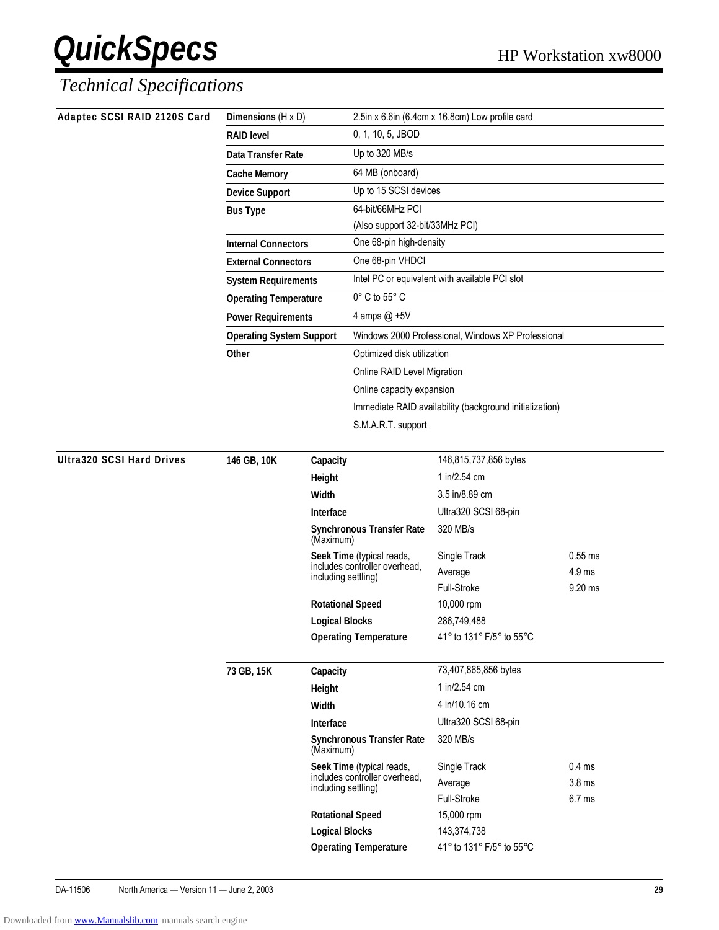| Adaptec SCSI RAID 2120S Card     | Dimensions (H x D)              |                                                  | 2.5in x 6.6in (6.4cm x 16.8cm) Low profile card            |                                                    |                   |
|----------------------------------|---------------------------------|--------------------------------------------------|------------------------------------------------------------|----------------------------------------------------|-------------------|
|                                  | <b>RAID level</b>               |                                                  | 0, 1, 10, 5, JBOD                                          |                                                    |                   |
|                                  | Data Transfer Rate              |                                                  | Up to 320 MB/s                                             |                                                    |                   |
|                                  | <b>Cache Memory</b>             |                                                  | 64 MB (onboard)                                            |                                                    |                   |
|                                  | <b>Device Support</b>           |                                                  | Up to 15 SCSI devices                                      |                                                    |                   |
|                                  | <b>Bus Type</b>                 |                                                  | 64-bit/66MHz PCI                                           |                                                    |                   |
|                                  |                                 |                                                  | (Also support 32-bit/33MHz PCI)                            |                                                    |                   |
|                                  | <b>Internal Connectors</b>      |                                                  | One 68-pin high-density                                    |                                                    |                   |
|                                  | <b>External Connectors</b>      |                                                  | One 68-pin VHDCI                                           |                                                    |                   |
|                                  | <b>System Requirements</b>      |                                                  |                                                            | Intel PC or equivalent with available PCI slot     |                   |
|                                  | <b>Operating Temperature</b>    |                                                  | 0° C to 55° C                                              |                                                    |                   |
|                                  | <b>Power Requirements</b>       |                                                  | 4 amps @ +5V                                               |                                                    |                   |
|                                  | <b>Operating System Support</b> |                                                  |                                                            | Windows 2000 Professional, Windows XP Professional |                   |
|                                  | Other                           |                                                  | Optimized disk utilization                                 |                                                    |                   |
|                                  |                                 |                                                  | Online RAID Level Migration                                |                                                    |                   |
|                                  |                                 |                                                  | Online capacity expansion                                  |                                                    |                   |
|                                  |                                 |                                                  | Immediate RAID availability (background initialization)    |                                                    |                   |
|                                  |                                 |                                                  | S.M.A.R.T. support                                         |                                                    |                   |
| <b>Ultra320 SCSI Hard Drives</b> | 146 GB, 10K<br>Capacity         |                                                  |                                                            | 146,815,737,856 bytes                              |                   |
|                                  |                                 | Height                                           |                                                            | 1 in/2.54 cm                                       |                   |
|                                  |                                 | Width                                            |                                                            | 3.5 in/8.89 cm                                     |                   |
|                                  |                                 | Interface                                        |                                                            | Ultra320 SCSI 68-pin                               |                   |
|                                  |                                 | (Maximum)                                        | <b>Synchronous Transfer Rate</b>                           | 320 MB/s                                           |                   |
|                                  |                                 |                                                  | Seek Time (typical reads,<br>includes controller overhead, | Single Track                                       | $0.55$ ms         |
|                                  |                                 | including settling)                              |                                                            | Average                                            | 4.9 ms            |
|                                  |                                 |                                                  |                                                            | Full-Stroke                                        | 9.20 ms           |
|                                  |                                 | <b>Rotational Speed</b>                          |                                                            | 10,000 rpm                                         |                   |
|                                  |                                 | <b>Logical Blocks</b>                            | <b>Operating Temperature</b>                               | 286,749,488<br>41° to 131° F/5° to 55°C            |                   |
|                                  |                                 |                                                  |                                                            |                                                    |                   |
|                                  | 73 GB, 15K                      | Capacity                                         |                                                            | 73,407,865,856 bytes                               |                   |
|                                  |                                 | Height                                           |                                                            | 1 in/2.54 cm                                       |                   |
|                                  |                                 | Width                                            |                                                            | 4 in/10.16 cm                                      |                   |
|                                  |                                 | Interface                                        |                                                            | Ultra320 SCSI 68-pin                               |                   |
|                                  |                                 | (Maximum)                                        | <b>Synchronous Transfer Rate</b>                           | 320 MB/s                                           |                   |
|                                  |                                 |                                                  | Seek Time (typical reads,<br>includes controller overhead, | Single Track                                       | 0.4 <sub>ms</sub> |
|                                  |                                 | including settling)                              |                                                            | Average                                            | 3.8 <sub>ms</sub> |
|                                  |                                 |                                                  |                                                            | Full-Stroke                                        | 6.7 <sub>ms</sub> |
|                                  |                                 | <b>Rotational Speed</b><br><b>Logical Blocks</b> |                                                            | 15,000 rpm                                         |                   |
|                                  |                                 |                                                  | <b>Operating Temperature</b>                               | 143,374,738<br>41° to 131° F/5° to 55°C            |                   |
|                                  |                                 |                                                  |                                                            |                                                    |                   |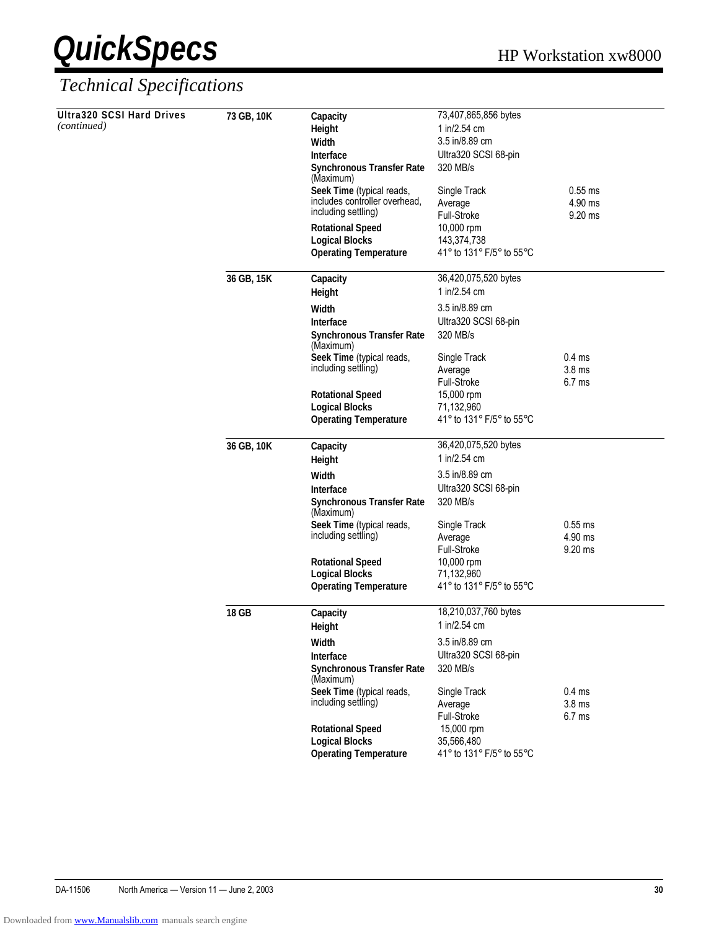| <b>Ultra320 SCSI Hard Drives</b> | 73 GB, 10K | Capacity                                              | 73,407,865,856 bytes                   |                   |
|----------------------------------|------------|-------------------------------------------------------|----------------------------------------|-------------------|
| (continued)                      |            | Height                                                | 1 in/2.54 cm                           |                   |
|                                  |            | Width                                                 | 3.5 in/8.89 cm                         |                   |
|                                  |            | <b>Interface</b>                                      | Ultra320 SCSI 68-pin                   |                   |
|                                  |            | <b>Synchronous Transfer Rate</b><br>(Maximum)         | 320 MB/s                               |                   |
|                                  |            | Seek Time (typical reads,                             | Single Track                           | $0.55$ ms         |
|                                  |            | includes controller overhead,<br>including settling)  | Average                                | 4.90 ms           |
|                                  |            |                                                       | Full-Stroke<br>10,000 rpm              | 9.20 ms           |
|                                  |            | <b>Rotational Speed</b><br><b>Logical Blocks</b>      | 143,374,738                            |                   |
|                                  |            | <b>Operating Temperature</b>                          | 41° to 131° F/5° to 55°C               |                   |
|                                  | 36 GB, 15K | Capacity                                              | 36,420,075,520 bytes                   |                   |
|                                  |            | Height                                                | 1 in/2.54 cm                           |                   |
|                                  |            | Width                                                 | 3.5 in/8.89 cm                         |                   |
|                                  |            | Interface                                             | Ultra320 SCSI 68-pin                   |                   |
|                                  |            | <b>Synchronous Transfer Rate</b><br>(Maximum)         | 320 MB/s                               |                   |
|                                  |            | Seek Time (typical reads,                             | Single Track                           | 0.4 <sub>ms</sub> |
|                                  |            | including settling)                                   | Average                                | 3.8 <sub>ms</sub> |
|                                  |            |                                                       | Full-Stroke                            | 6.7 <sub>ms</sub> |
|                                  |            | <b>Rotational Speed</b>                               | 15,000 rpm                             |                   |
|                                  |            | <b>Logical Blocks</b><br><b>Operating Temperature</b> | 71,132,960<br>41° to 131° F/5° to 55°C |                   |
|                                  |            |                                                       |                                        |                   |
|                                  | 36 GB, 10K | Capacity                                              | 36,420,075,520 bytes                   |                   |
|                                  |            | Height                                                | 1 in/2.54 cm                           |                   |
|                                  |            | Width                                                 | 3.5 in/8.89 cm                         |                   |
|                                  |            | <b>Interface</b>                                      | Ultra320 SCSI 68-pin                   |                   |
|                                  |            | <b>Synchronous Transfer Rate</b><br>(Maximum)         | 320 MB/s                               |                   |
|                                  |            | Seek Time (typical reads,                             | Single Track                           | $0.55$ ms         |
|                                  |            | including settling)                                   | Average                                | 4.90 ms           |
|                                  |            |                                                       | Full-Stroke                            | 9.20 ms           |
|                                  |            | <b>Rotational Speed</b><br><b>Logical Blocks</b>      | 10,000 rpm<br>71,132,960               |                   |
|                                  |            | <b>Operating Temperature</b>                          | 41° to 131° F/5° to 55°C               |                   |
|                                  | 18 GB      | Capacity                                              | 18,210,037,760 bytes                   |                   |
|                                  |            | Height                                                | 1 in/2.54 cm                           |                   |
|                                  |            | Width                                                 | 3.5 in/8.89 cm                         |                   |
|                                  |            | Interface                                             | Ultra320 SCSI 68-pin                   |                   |
|                                  |            | <b>Synchronous Transfer Rate</b><br>(Maximum)         | 320 MB/s                               |                   |
|                                  |            | Seek Time (typical reads,                             | Single Track                           | 0.4 <sub>ms</sub> |
|                                  |            | including settling)                                   | Average                                | 3.8 <sub>ms</sub> |
|                                  |            |                                                       | Full-Stroke                            | 6.7 <sub>ms</sub> |
|                                  |            | <b>Rotational Speed</b>                               | 15,000 rpm                             |                   |
|                                  |            | <b>Logical Blocks</b>                                 | 35,566,480                             |                   |
|                                  |            | <b>Operating Temperature</b>                          | 41° to 131° F/5° to 55°C               |                   |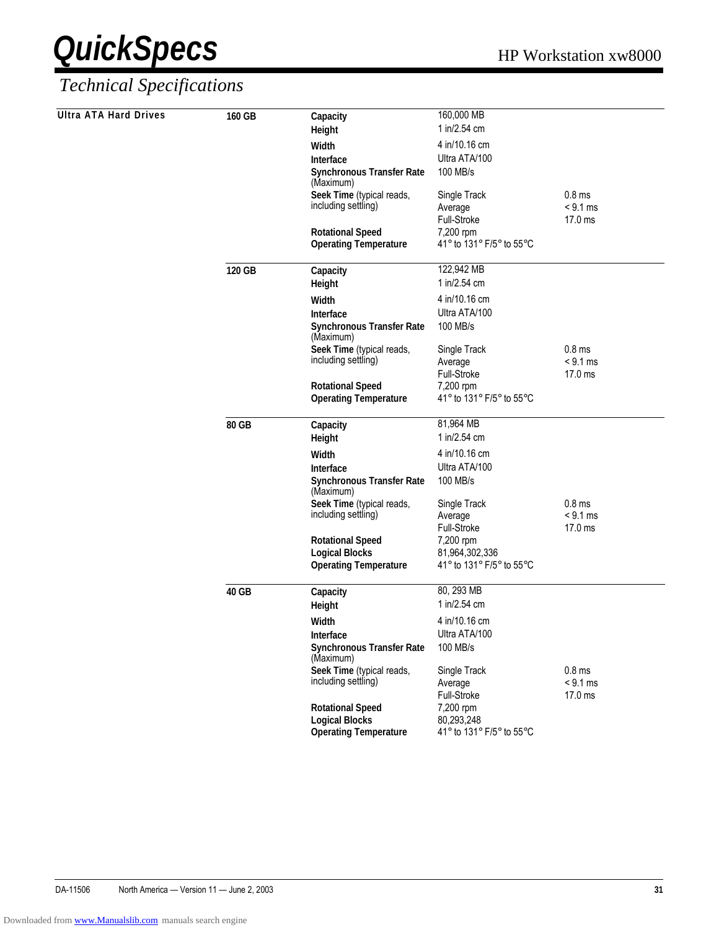| <b>Ultra ATA Hard Drives</b> | 160 GB | Capacity                                                | 160,000 MB                            |                   |
|------------------------------|--------|---------------------------------------------------------|---------------------------------------|-------------------|
|                              |        | Height                                                  | 1 in/2.54 cm                          |                   |
|                              |        | Width                                                   | 4 in/10.16 cm                         |                   |
|                              |        | Interface                                               | Ultra ATA/100                         |                   |
|                              |        | <b>Synchronous Transfer Rate</b><br>(Maximum)           | 100 MB/s                              |                   |
|                              |        | Seek Time (typical reads,                               | Single Track                          | 0.8 <sub>ms</sub> |
|                              |        | including settling)                                     | Average                               | $< 9.1$ ms        |
|                              |        |                                                         | Full-Stroke                           | 17.0 ms           |
|                              |        | <b>Rotational Speed</b><br><b>Operating Temperature</b> | 7,200 rpm<br>41° to 131° F/5° to 55°C |                   |
|                              |        |                                                         |                                       |                   |
|                              | 120 GB | Capacity                                                | 122,942 MB                            |                   |
|                              |        | Height                                                  | 1 in/2.54 cm                          |                   |
|                              |        | Width                                                   | 4 in/10.16 cm                         |                   |
|                              |        | Interface                                               | Ultra ATA/100                         |                   |
|                              |        | <b>Synchronous Transfer Rate</b><br>(Maximum)           | 100 MB/s                              |                   |
|                              |        | Seek Time (typical reads,                               | Single Track                          | 0.8 <sub>ms</sub> |
|                              |        | including settling)                                     | Average                               | $< 9.1$ ms        |
|                              |        | <b>Rotational Speed</b>                                 | Full-Stroke                           | 17.0 ms           |
|                              |        | <b>Operating Temperature</b>                            | 7,200 rpm<br>41° to 131° F/5° to 55°C |                   |
|                              |        |                                                         |                                       |                   |
|                              | 80 GB  | Capacity                                                | 81,964 MB                             |                   |
|                              |        | Height                                                  | 1 in/2.54 cm                          |                   |
|                              |        | Width                                                   | 4 in/10.16 cm                         |                   |
|                              |        | Interface                                               | Ultra ATA/100                         |                   |
|                              |        | <b>Synchronous Transfer Rate</b><br>(Maximum)           | 100 MB/s                              |                   |
|                              |        | Seek Time (typical reads,                               | Single Track                          | 0.8 <sub>ms</sub> |
|                              |        | including settling)                                     | Average                               | $< 9.1$ ms        |
|                              |        | <b>Rotational Speed</b>                                 | Full-Stroke<br>7,200 rpm              | 17.0 ms           |
|                              |        | <b>Logical Blocks</b>                                   | 81,964,302,336                        |                   |
|                              |        | <b>Operating Temperature</b>                            | 41° to 131° F/5° to 55°C              |                   |
|                              |        |                                                         |                                       |                   |
|                              | 40 GB  | Capacity                                                | 80, 293 MB                            |                   |
|                              |        | Height                                                  | 1 in/2.54 cm                          |                   |
|                              |        | Width                                                   | 4 in/10.16 cm                         |                   |
|                              |        | Interface                                               | Ultra ATA/100                         |                   |
|                              |        | <b>Synchronous Transfer Rate</b><br>(Maximum)           | 100 MB/s                              |                   |
|                              |        | Seek Time (typical reads,                               | Single Track                          | 0.8 <sub>ms</sub> |
|                              |        | including settling)                                     | Average                               | $< 9.1$ ms        |
|                              |        | <b>Rotational Speed</b>                                 | Full-Stroke<br>7,200 rpm              | 17.0 ms           |
|                              |        | <b>Logical Blocks</b>                                   | 80,293,248                            |                   |
|                              |        | <b>Operating Temperature</b>                            | 41° to 131° F/5° to 55°C              |                   |
|                              |        |                                                         |                                       |                   |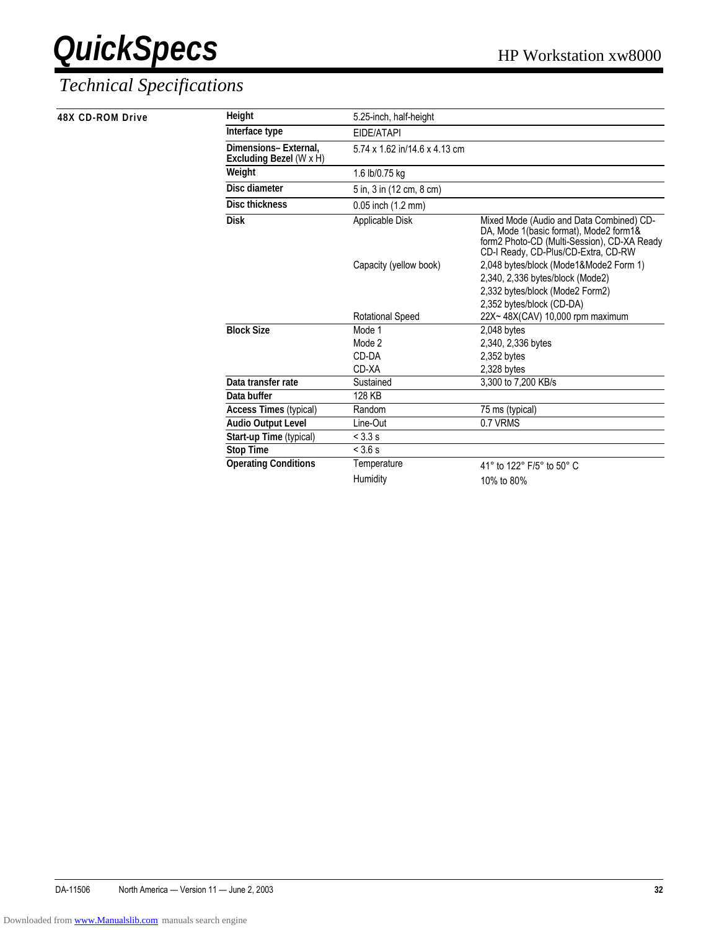| 48X CD-ROM Drive | Height                                          | 5.25-inch, half-height        |                                                                                                                                                                          |
|------------------|-------------------------------------------------|-------------------------------|--------------------------------------------------------------------------------------------------------------------------------------------------------------------------|
|                  | Interface type                                  | EIDE/ATAPI                    |                                                                                                                                                                          |
|                  | Dimensions-External.<br>Excluding Bezel (W x H) | 5.74 x 1.62 in/14.6 x 4.13 cm |                                                                                                                                                                          |
|                  | Weight                                          | 1.6 lb/0.75 kg                |                                                                                                                                                                          |
|                  | Disc diameter                                   | 5 in, 3 in (12 cm, 8 cm)      |                                                                                                                                                                          |
|                  | <b>Disc thickness</b>                           | 0.05 inch (1.2 mm)            |                                                                                                                                                                          |
|                  | <b>Disk</b>                                     | Applicable Disk               | Mixed Mode (Audio and Data Combined) CD-<br>DA, Mode 1(basic format), Mode2 form1&<br>form2 Photo-CD (Multi-Session), CD-XA Ready<br>CD-I Ready, CD-Plus/CD-Extra, CD-RW |
|                  |                                                 | Capacity (yellow book)        | 2,048 bytes/block (Mode1&Mode2 Form 1)<br>2,340, 2,336 bytes/block (Mode2)<br>2,332 bytes/block (Mode2 Form2)                                                            |
|                  |                                                 | <b>Rotational Speed</b>       | 2,352 bytes/block (CD-DA)<br>22X~48X(CAV) 10,000 rpm maximum                                                                                                             |
|                  | <b>Block Size</b>                               | Mode 1                        | $2,048$ bytes                                                                                                                                                            |
|                  |                                                 | Mode 2                        | 2,340, 2,336 bytes                                                                                                                                                       |
|                  |                                                 | CD-DA                         | $2,352$ bytes                                                                                                                                                            |
|                  |                                                 | CD-XA                         | $2,328$ bytes                                                                                                                                                            |
|                  | Data transfer rate                              | Sustained                     | 3,300 to 7,200 KB/s                                                                                                                                                      |
|                  | Data buffer                                     | 128 KB                        |                                                                                                                                                                          |
|                  | <b>Access Times (typical)</b>                   | Random                        | 75 ms (typical)                                                                                                                                                          |
|                  | <b>Audio Output Level</b>                       | Line-Out                      | 0.7 VRMS                                                                                                                                                                 |
|                  | Start-up Time (typical)                         | < 3.3 s                       |                                                                                                                                                                          |
|                  | <b>Stop Time</b>                                | < 3.6 s                       |                                                                                                                                                                          |
|                  | <b>Operating Conditions</b>                     | Temperature                   | 41° to 122° F/5° to 50° C                                                                                                                                                |
|                  |                                                 | Humidity                      | 10% to 80%                                                                                                                                                               |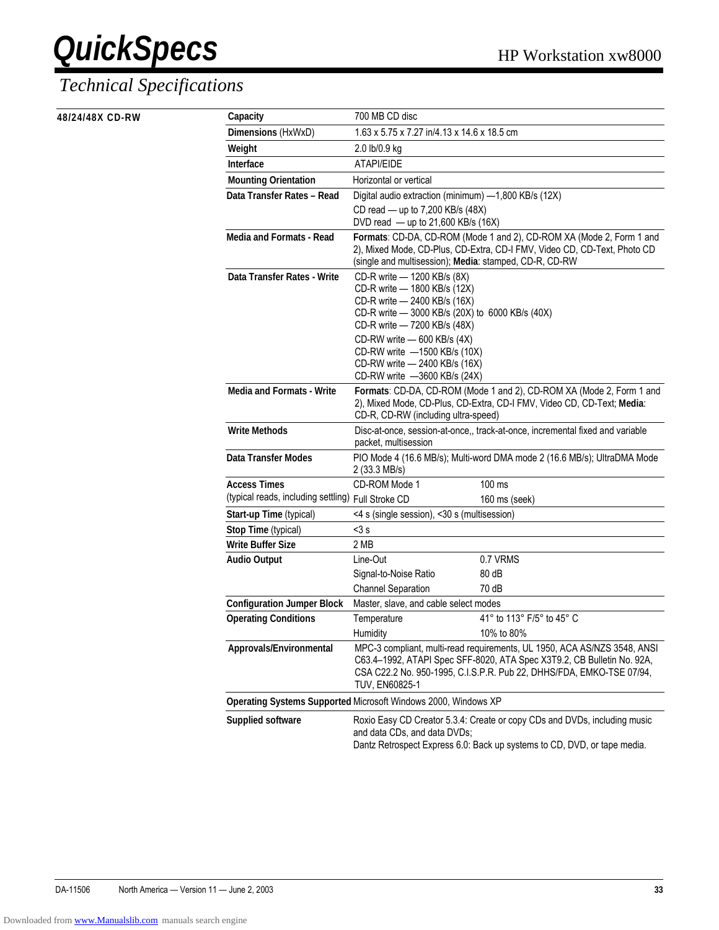#### *Technical Specifications*

**48/24/48X CD-RW Capacity** 700 MB CD disc

| Capacity                                           | 700 MB CD disc                                                                                                                                                                                                                                                                                                 |                                                                          |  |  |  |
|----------------------------------------------------|----------------------------------------------------------------------------------------------------------------------------------------------------------------------------------------------------------------------------------------------------------------------------------------------------------------|--------------------------------------------------------------------------|--|--|--|
| Dimensions (HxWxD)                                 | 1.63 x 5.75 x 7.27 in/4.13 x 14.6 x 18.5 cm                                                                                                                                                                                                                                                                    |                                                                          |  |  |  |
| Weight                                             | 2.0 lb/0.9 kg                                                                                                                                                                                                                                                                                                  |                                                                          |  |  |  |
| Interface                                          | ATAPI/EIDE                                                                                                                                                                                                                                                                                                     |                                                                          |  |  |  |
| <b>Mounting Orientation</b>                        | Horizontal or vertical                                                                                                                                                                                                                                                                                         |                                                                          |  |  |  |
| Data Transfer Rates - Read                         | Digital audio extraction (minimum) -1,800 KB/s (12X)                                                                                                                                                                                                                                                           |                                                                          |  |  |  |
|                                                    | CD read - up to 7,200 KB/s (48X)                                                                                                                                                                                                                                                                               |                                                                          |  |  |  |
|                                                    | DVD read - up to 21,600 KB/s (16X)                                                                                                                                                                                                                                                                             |                                                                          |  |  |  |
| <b>Media and Formats - Read</b>                    | Formats: CD-DA, CD-ROM (Mode 1 and 2), CD-ROM XA (Mode 2, Form 1 and<br>2), Mixed Mode, CD-Plus, CD-Extra, CD-I FMV, Video CD, CD-Text, Photo CD<br>(single and multisession); Media: stamped, CD-R, CD-RW                                                                                                     |                                                                          |  |  |  |
| Data Transfer Rates - Write                        | CD-R write - 1200 KB/s (8X)<br>CD-R write - 1800 KB/s (12X)<br>CD-R write - 2400 KB/s (16X)<br>CD-R write - 3000 KB/s (20X) to 6000 KB/s (40X)<br>CD-R write - 7200 KB/s (48X)<br>CD-RW write - 600 KB/s (4X)<br>CD-RW write -1500 KB/s (10X)<br>CD-RW write - 2400 KB/s (16X)<br>CD-RW write -3600 KB/s (24X) |                                                                          |  |  |  |
| <b>Media and Formats - Write</b>                   | Formats: CD-DA, CD-ROM (Mode 1 and 2), CD-ROM XA (Mode 2, Form 1 and<br>2), Mixed Mode, CD-Plus, CD-Extra, CD-I FMV, Video CD, CD-Text; Media:<br>CD-R, CD-RW (including ultra-speed)                                                                                                                          |                                                                          |  |  |  |
| <b>Write Methods</b>                               | Disc-at-once, session-at-once,, track-at-once, incremental fixed and variable<br>packet, multisession                                                                                                                                                                                                          |                                                                          |  |  |  |
| <b>Data Transfer Modes</b>                         | 2 (33.3 MB/s)                                                                                                                                                                                                                                                                                                  | PIO Mode 4 (16.6 MB/s); Multi-word DMA mode 2 (16.6 MB/s); UltraDMA Mode |  |  |  |
| <b>Access Times</b>                                | CD-ROM Mode 1                                                                                                                                                                                                                                                                                                  | 100 ms                                                                   |  |  |  |
| (typical reads, including settling) Full Stroke CD |                                                                                                                                                                                                                                                                                                                | 160 ms (seek)                                                            |  |  |  |
| Start-up Time (typical)                            | <4 s (single session), <30 s (multisession)                                                                                                                                                                                                                                                                    |                                                                          |  |  |  |
| Stop Time (typical)                                | $<$ 3 $s$                                                                                                                                                                                                                                                                                                      |                                                                          |  |  |  |
| <b>Write Buffer Size</b>                           | 2 MB                                                                                                                                                                                                                                                                                                           |                                                                          |  |  |  |
| <b>Audio Output</b>                                | Line-Out                                                                                                                                                                                                                                                                                                       | 0.7 VRMS                                                                 |  |  |  |
|                                                    | Signal-to-Noise Ratio                                                                                                                                                                                                                                                                                          | 80 dB                                                                    |  |  |  |
|                                                    | <b>Channel Separation</b><br>70 dB                                                                                                                                                                                                                                                                             |                                                                          |  |  |  |
| <b>Configuration Jumper Block</b>                  | Master, slave, and cable select modes                                                                                                                                                                                                                                                                          |                                                                          |  |  |  |
| <b>Operating Conditions</b>                        | Temperature                                                                                                                                                                                                                                                                                                    | 41° to 113° F/5° to 45° C                                                |  |  |  |
|                                                    | <b>Humidity</b>                                                                                                                                                                                                                                                                                                | 10% to 80%                                                               |  |  |  |
| Approvals/Environmental                            | MPC-3 compliant, multi-read requirements, UL 1950, ACA AS/NZS 3548, ANSI<br>C63.4-1992, ATAPI Spec SFF-8020, ATA Spec X3T9.2, CB Bulletin No. 92A,<br>CSA C22.2 No. 950-1995, C.I.S.P.R. Pub 22, DHHS/FDA, EMKO-TSE 07/94,<br><b>TUV, EN60825-1</b>                                                            |                                                                          |  |  |  |
|                                                    | Operating Systems Supported Microsoft Windows 2000, Windows XP                                                                                                                                                                                                                                                 |                                                                          |  |  |  |
| <b>Supplied software</b>                           | Roxio Easy CD Creator 5.3.4: Create or copy CDs and DVDs, including music<br>and data CDs, and data DVDs;<br>Dantz Retrospect Express 6.0: Back up systems to CD, DVD, or tape media.                                                                                                                          |                                                                          |  |  |  |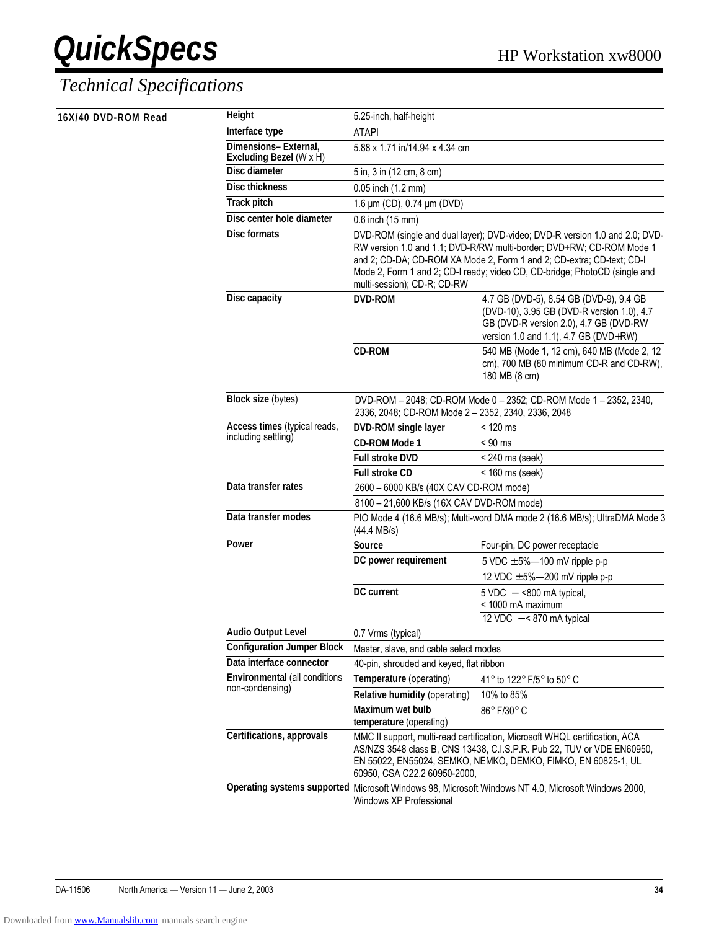| 16X/40 DVD-ROM Read | Height                                           | 5.25-inch, half-height                                                                                                                                                                                                                                                                                                                    |                                                                                                                                                                          |  |
|---------------------|--------------------------------------------------|-------------------------------------------------------------------------------------------------------------------------------------------------------------------------------------------------------------------------------------------------------------------------------------------------------------------------------------------|--------------------------------------------------------------------------------------------------------------------------------------------------------------------------|--|
|                     | Interface type                                   | <b>ATAPI</b>                                                                                                                                                                                                                                                                                                                              |                                                                                                                                                                          |  |
|                     | Dimensions-External,<br>Excluding Bezel (W x H)  | 5.88 x 1.71 in/14.94 x 4.34 cm                                                                                                                                                                                                                                                                                                            |                                                                                                                                                                          |  |
|                     | <b>Disc diameter</b>                             | 5 in, 3 in (12 cm, 8 cm)                                                                                                                                                                                                                                                                                                                  |                                                                                                                                                                          |  |
|                     | <b>Disc thickness</b>                            | 0.05 inch (1.2 mm)                                                                                                                                                                                                                                                                                                                        |                                                                                                                                                                          |  |
|                     | <b>Track pitch</b>                               | 1.6 µm (CD), 0.74 µm (DVD)                                                                                                                                                                                                                                                                                                                |                                                                                                                                                                          |  |
|                     | Disc center hole diameter                        | 0.6 inch (15 mm)                                                                                                                                                                                                                                                                                                                          |                                                                                                                                                                          |  |
|                     | <b>Disc formats</b>                              | DVD-ROM (single and dual layer); DVD-video; DVD-R version 1.0 and 2.0; DVD-<br>RW version 1.0 and 1.1; DVD-R/RW multi-border; DVD+RW; CD-ROM Mode 1<br>and 2; CD-DA; CD-ROM XA Mode 2, Form 1 and 2; CD-extra; CD-text; CD-I<br>Mode 2, Form 1 and 2; CD-I ready; video CD, CD-bridge; PhotoCD (single and<br>multi-session); CD-R; CD-RW |                                                                                                                                                                          |  |
|                     | Disc capacity                                    | <b>DVD-ROM</b>                                                                                                                                                                                                                                                                                                                            | 4.7 GB (DVD-5), 8.54 GB (DVD-9), 9.4 GB<br>(DVD-10), 3.95 GB (DVD-R version 1.0), 4.7<br>GB (DVD-R version 2.0), 4.7 GB (DVD-RW<br>version 1.0 and 1.1), 4.7 GB (DVD+RW) |  |
|                     |                                                  | <b>CD-ROM</b>                                                                                                                                                                                                                                                                                                                             | 540 MB (Mode 1, 12 cm), 640 MB (Mode 2, 12<br>cm), 700 MB (80 minimum CD-R and CD-RW),<br>180 MB (8 cm)                                                                  |  |
|                     | <b>Block size (bytes)</b>                        | DVD-ROM - 2048; CD-ROM Mode 0 - 2352; CD-ROM Mode 1 - 2352, 2340,<br>2336, 2048; CD-ROM Mode 2 - 2352, 2340, 2336, 2048                                                                                                                                                                                                                   |                                                                                                                                                                          |  |
|                     | Access times (typical reads,                     | DVD-ROM single layer                                                                                                                                                                                                                                                                                                                      | $< 120$ ms                                                                                                                                                               |  |
|                     | including settling)                              | <b>CD-ROM Mode 1</b>                                                                                                                                                                                                                                                                                                                      | $< 90$ ms                                                                                                                                                                |  |
|                     |                                                  | <b>Full stroke DVD</b>                                                                                                                                                                                                                                                                                                                    | $<$ 240 ms (seek)                                                                                                                                                        |  |
|                     |                                                  | <b>Full stroke CD</b>                                                                                                                                                                                                                                                                                                                     | $<$ 160 ms (seek)                                                                                                                                                        |  |
|                     | Data transfer rates                              | 2600 - 6000 KB/s (40X CAV CD-ROM mode)                                                                                                                                                                                                                                                                                                    |                                                                                                                                                                          |  |
|                     |                                                  | 8100 - 21,600 KB/s (16X CAV DVD-ROM mode)                                                                                                                                                                                                                                                                                                 |                                                                                                                                                                          |  |
|                     | Data transfer modes                              | PIO Mode 4 (16.6 MB/s); Multi-word DMA mode 2 (16.6 MB/s); UltraDMA Mode 3<br>$(44.4 \text{ MB/s})$                                                                                                                                                                                                                                       |                                                                                                                                                                          |  |
|                     | Power                                            | Source                                                                                                                                                                                                                                                                                                                                    | Four-pin, DC power receptacle                                                                                                                                            |  |
|                     |                                                  | DC power requirement                                                                                                                                                                                                                                                                                                                      | 5 VDC $\pm$ 5%-100 mV ripple p-p                                                                                                                                         |  |
|                     |                                                  |                                                                                                                                                                                                                                                                                                                                           | 12 VDC $\pm$ 5%—200 mV ripple p-p                                                                                                                                        |  |
|                     |                                                  | DC current                                                                                                                                                                                                                                                                                                                                | $5 \text{ VDC} - 800 \text{ mA}$ typical,<br>< 1000 mA maximum                                                                                                           |  |
|                     |                                                  |                                                                                                                                                                                                                                                                                                                                           | 12 VDC $-$ < 870 mA typical                                                                                                                                              |  |
|                     | <b>Audio Output Level</b>                        | 0.7 Vrms (typical)                                                                                                                                                                                                                                                                                                                        |                                                                                                                                                                          |  |
|                     | <b>Configuration Jumper Block</b>                | Master, slave, and cable select modes                                                                                                                                                                                                                                                                                                     |                                                                                                                                                                          |  |
|                     | Data interface connector                         | 40-pin, shrouded and keyed, flat ribbon                                                                                                                                                                                                                                                                                                   |                                                                                                                                                                          |  |
|                     | Environmental (all conditions<br>non-condensing) | Temperature (operating)                                                                                                                                                                                                                                                                                                                   | 41° to 122° F/5° to 50° C                                                                                                                                                |  |
|                     |                                                  | Relative humidity (operating)                                                                                                                                                                                                                                                                                                             | 10% to 85%                                                                                                                                                               |  |
|                     |                                                  | Maximum wet bulb<br>temperature (operating)                                                                                                                                                                                                                                                                                               | 86° F/30° C                                                                                                                                                              |  |
|                     | Certifications, approvals                        | MMC II support, multi-read certification, Microsoft WHQL certification, ACA<br>AS/NZS 3548 class B, CNS 13438, C.I.S.P.R. Pub 22, TUV or VDE EN60950,<br>EN 55022, EN55024, SEMKO, NEMKO, DEMKO, FIMKO, EN 60825-1, UL<br>60950, CSA C22.2 60950-2000,                                                                                    |                                                                                                                                                                          |  |
|                     |                                                  | Windows XP Professional                                                                                                                                                                                                                                                                                                                   | Operating systems supported Microsoft Windows 98, Microsoft Windows NT 4.0, Microsoft Windows 2000,                                                                      |  |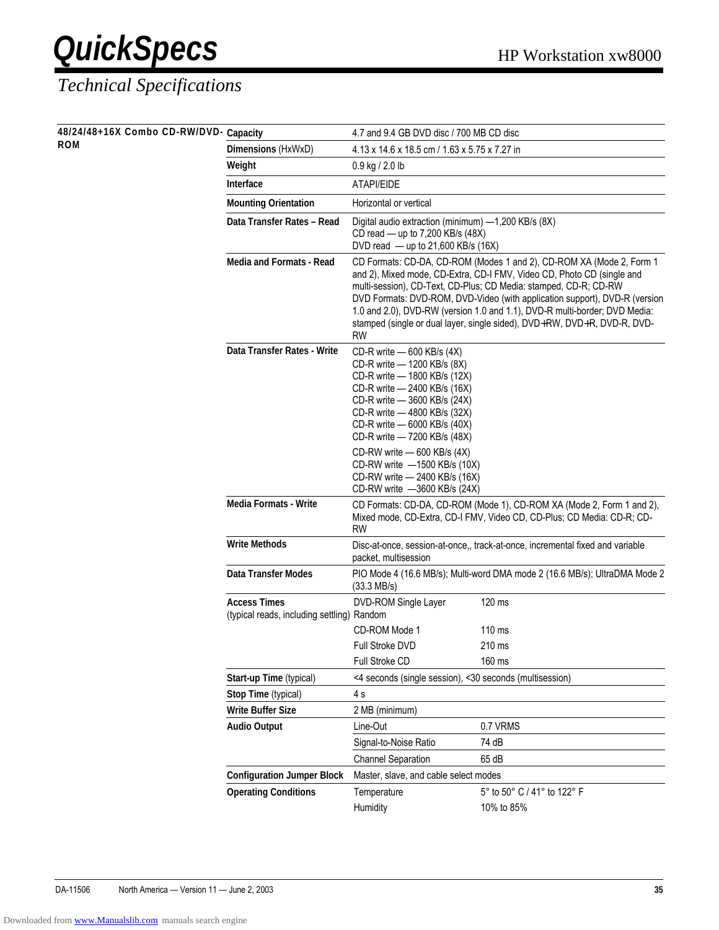### *Technical Specifications*

**48/24/48+16X Combo CD-RW/DVD-**<br>**ROM** 

| 48/24/48+16X Combo CD-RW/DVD- Capacity |                                                                   | 4.7 and 9.4 GB DVD disc / 700 MB CD disc                                                                                                                                                                                                                  |                                                                                                                                                                                                                                                                                                                                                                                                                                                            |  |
|----------------------------------------|-------------------------------------------------------------------|-----------------------------------------------------------------------------------------------------------------------------------------------------------------------------------------------------------------------------------------------------------|------------------------------------------------------------------------------------------------------------------------------------------------------------------------------------------------------------------------------------------------------------------------------------------------------------------------------------------------------------------------------------------------------------------------------------------------------------|--|
| ROM                                    | Dimensions (HxWxD)                                                | 4.13 x 14.6 x 18.5 cm / 1.63 x 5.75 x 7.27 in                                                                                                                                                                                                             |                                                                                                                                                                                                                                                                                                                                                                                                                                                            |  |
|                                        | Weight                                                            | 0.9 kg / 2.0 lb                                                                                                                                                                                                                                           |                                                                                                                                                                                                                                                                                                                                                                                                                                                            |  |
|                                        | <b>Interface</b>                                                  | ATAPI/EIDE                                                                                                                                                                                                                                                |                                                                                                                                                                                                                                                                                                                                                                                                                                                            |  |
|                                        | <b>Mounting Orientation</b>                                       | Horizontal or vertical                                                                                                                                                                                                                                    |                                                                                                                                                                                                                                                                                                                                                                                                                                                            |  |
|                                        | Data Transfer Rates - Read                                        | Digital audio extraction (minimum) -1,200 KB/s (8X)<br>CD read $-$ up to 7,200 KB/s (48X)<br>DVD read $-$ up to 21,600 KB/s (16X)                                                                                                                         |                                                                                                                                                                                                                                                                                                                                                                                                                                                            |  |
|                                        | Media and Formats - Read                                          | <b>RW</b>                                                                                                                                                                                                                                                 | CD Formats: CD-DA, CD-ROM (Modes 1 and 2), CD-ROM XA (Mode 2, Form 1<br>and 2), Mixed mode, CD-Extra, CD-I FMV, Video CD, Photo CD (single and<br>multi-session), CD-Text, CD-Plus; CD Media: stamped, CD-R; CD-RW<br>DVD Formats: DVD-ROM, DVD-Video (with application support), DVD-R (version<br>1.0 and 2.0), DVD-RW (version 1.0 and 1.1), DVD-R multi-border; DVD Media:<br>stamped (single or dual layer, single sided), DVD+RW, DVD+R, DVD-R, DVD- |  |
|                                        | Data Transfer Rates - Write                                       | CD-R write - 600 KB/s (4X)<br>CD-R write - 1200 KB/s (8X)<br>CD-R write - 1800 KB/s (12X)<br>CD-R write - 2400 KB/s (16X)<br>CD-R write - 3600 KB/s (24X)<br>CD-R write - 4800 KB/s (32X)<br>CD-R write - 6000 KB/s (40X)<br>CD-R write - 7200 KB/s (48X) |                                                                                                                                                                                                                                                                                                                                                                                                                                                            |  |
|                                        |                                                                   | CD-RW write - 600 KB/s (4X)<br>CD-RW write -1500 KB/s (10X)<br>CD-RW write - 2400 KB/s (16X)<br>CD-RW write -3600 KB/s (24X)                                                                                                                              |                                                                                                                                                                                                                                                                                                                                                                                                                                                            |  |
|                                        | <b>Media Formats - Write</b>                                      | <b>RW</b>                                                                                                                                                                                                                                                 | CD Formats: CD-DA, CD-ROM (Mode 1), CD-ROM XA (Mode 2, Form 1 and 2),<br>Mixed mode, CD-Extra, CD-I FMV, Video CD, CD-Plus; CD Media: CD-R; CD-                                                                                                                                                                                                                                                                                                            |  |
|                                        | <b>Write Methods</b>                                              | packet, multisession                                                                                                                                                                                                                                      | Disc-at-once, session-at-once,, track-at-once, incremental fixed and variable                                                                                                                                                                                                                                                                                                                                                                              |  |
|                                        | <b>Data Transfer Modes</b>                                        | $(33.3 \text{ MB/s})$                                                                                                                                                                                                                                     | PIO Mode 4 (16.6 MB/s); Multi-word DMA mode 2 (16.6 MB/s); UltraDMA Mode 2                                                                                                                                                                                                                                                                                                                                                                                 |  |
|                                        | <b>Access Times</b><br>(typical reads, including settling) Random | DVD-ROM Single Layer                                                                                                                                                                                                                                      | 120 ms                                                                                                                                                                                                                                                                                                                                                                                                                                                     |  |
|                                        |                                                                   | CD-ROM Mode 1                                                                                                                                                                                                                                             | $110 \text{ ms}$                                                                                                                                                                                                                                                                                                                                                                                                                                           |  |
|                                        |                                                                   | <b>Full Stroke DVD</b>                                                                                                                                                                                                                                    | 210 ms                                                                                                                                                                                                                                                                                                                                                                                                                                                     |  |
|                                        |                                                                   | Full Stroke CD                                                                                                                                                                                                                                            | 160 ms                                                                                                                                                                                                                                                                                                                                                                                                                                                     |  |
|                                        | Start-up Time (typical)                                           | <4 seconds (single session), <30 seconds (multisession)                                                                                                                                                                                                   |                                                                                                                                                                                                                                                                                                                                                                                                                                                            |  |
|                                        | Stop Time (typical)                                               | 4s                                                                                                                                                                                                                                                        |                                                                                                                                                                                                                                                                                                                                                                                                                                                            |  |
|                                        | <b>Write Buffer Size</b>                                          | 2 MB (minimum)                                                                                                                                                                                                                                            |                                                                                                                                                                                                                                                                                                                                                                                                                                                            |  |
|                                        | <b>Audio Output</b>                                               | Line-Out                                                                                                                                                                                                                                                  | 0.7 VRMS                                                                                                                                                                                                                                                                                                                                                                                                                                                   |  |
|                                        |                                                                   | Signal-to-Noise Ratio                                                                                                                                                                                                                                     | 74 dB                                                                                                                                                                                                                                                                                                                                                                                                                                                      |  |
|                                        |                                                                   | <b>Channel Separation</b>                                                                                                                                                                                                                                 | 65 dB                                                                                                                                                                                                                                                                                                                                                                                                                                                      |  |
|                                        | <b>Configuration Jumper Block</b>                                 | Master, slave, and cable select modes                                                                                                                                                                                                                     |                                                                                                                                                                                                                                                                                                                                                                                                                                                            |  |
|                                        | <b>Operating Conditions</b>                                       | Temperature<br>Humidity                                                                                                                                                                                                                                   | 5° to 50° C / 41° to 122° F<br>10% to 85%                                                                                                                                                                                                                                                                                                                                                                                                                  |  |
|                                        |                                                                   |                                                                                                                                                                                                                                                           |                                                                                                                                                                                                                                                                                                                                                                                                                                                            |  |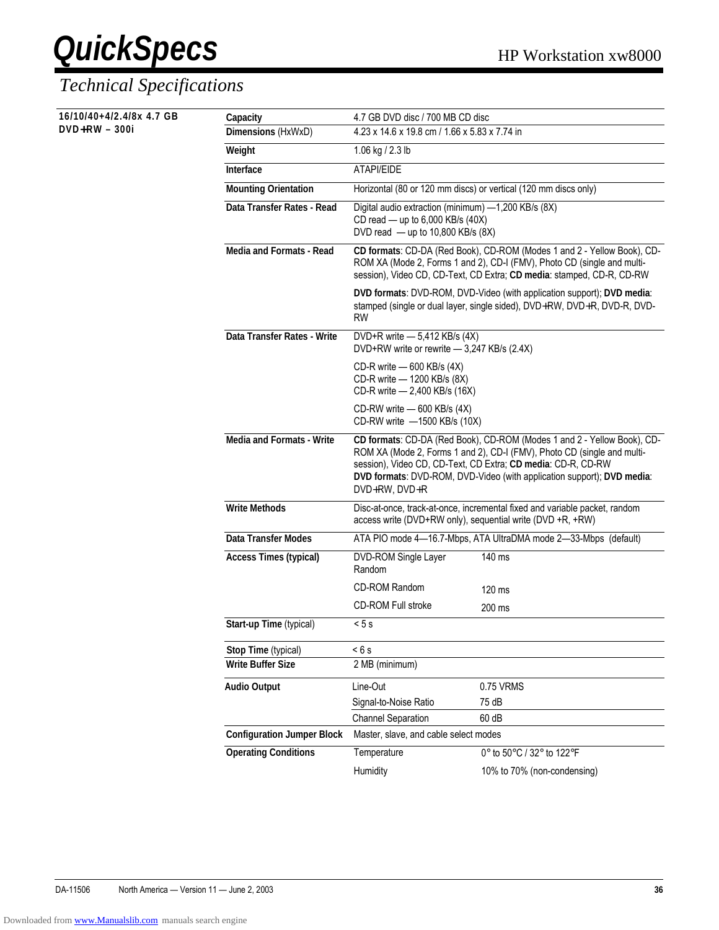**16/10/40+4/2.4/8x 4.7 GB** 

**DVD+RW - 300i** 

| Capacity                          | 4.7 GB DVD disc / 700 MB CD disc                                                                                                                                                                                            |                                                                                                                                                                                                                                                                                              |  |  |
|-----------------------------------|-----------------------------------------------------------------------------------------------------------------------------------------------------------------------------------------------------------------------------|----------------------------------------------------------------------------------------------------------------------------------------------------------------------------------------------------------------------------------------------------------------------------------------------|--|--|
| Dimensions (HxWxD)                | 4.23 x 14.6 x 19.8 cm / 1.66 x 5.83 x 7.74 in                                                                                                                                                                               |                                                                                                                                                                                                                                                                                              |  |  |
| Weight                            | 1.06 kg / 2.3 lb                                                                                                                                                                                                            |                                                                                                                                                                                                                                                                                              |  |  |
| Interface                         | ATAPI/EIDE                                                                                                                                                                                                                  |                                                                                                                                                                                                                                                                                              |  |  |
| <b>Mounting Orientation</b>       |                                                                                                                                                                                                                             | Horizontal (80 or 120 mm discs) or vertical (120 mm discs only)                                                                                                                                                                                                                              |  |  |
| Data Transfer Rates - Read        | Digital audio extraction (minimum) -1,200 KB/s (8X)<br>CD read - up to 6,000 KB/s (40X)<br>DVD read $-$ up to 10,800 KB/s (8X)                                                                                              |                                                                                                                                                                                                                                                                                              |  |  |
| Media and Formats - Read          | CD formats: CD-DA (Red Book), CD-ROM (Modes 1 and 2 - Yellow Book), CD-<br>ROM XA (Mode 2, Forms 1 and 2), CD-I (FMV), Photo CD (single and multi-<br>session), Video CD, CD-Text, CD Extra; CD media: stamped, CD-R, CD-RW |                                                                                                                                                                                                                                                                                              |  |  |
|                                   | <b>RW</b>                                                                                                                                                                                                                   | DVD formats: DVD-ROM, DVD-Video (with application support); DVD media:<br>stamped (single or dual layer, single sided), DVD+RW, DVD+R, DVD-R, DVD-                                                                                                                                           |  |  |
| Data Transfer Rates - Write       | DVD+R write - 5,412 KB/s (4X)<br>DVD+RW write or rewrite - 3,247 KB/s (2.4X)                                                                                                                                                |                                                                                                                                                                                                                                                                                              |  |  |
|                                   | CD-R write - 600 KB/s (4X)<br>CD-R write - 1200 KB/s (8X)<br>CD-R write - 2,400 KB/s (16X)                                                                                                                                  |                                                                                                                                                                                                                                                                                              |  |  |
|                                   | CD-RW write - 600 KB/s (4X)<br>CD-RW write -1500 KB/s (10X)                                                                                                                                                                 |                                                                                                                                                                                                                                                                                              |  |  |
| <b>Media and Formats - Write</b>  | DVD+RW, DVD+R                                                                                                                                                                                                               | CD formats: CD-DA (Red Book), CD-ROM (Modes 1 and 2 - Yellow Book), CD-<br>ROM XA (Mode 2, Forms 1 and 2), CD-I (FMV), Photo CD (single and multi-<br>session), Video CD, CD-Text, CD Extra; CD media: CD-R, CD-RW<br>DVD formats: DVD-ROM, DVD-Video (with application support); DVD media: |  |  |
| <b>Write Methods</b>              |                                                                                                                                                                                                                             | Disc-at-once, track-at-once, incremental fixed and variable packet, random<br>access write (DVD+RW only), sequential write (DVD +R, +RW)                                                                                                                                                     |  |  |
| Data Transfer Modes               |                                                                                                                                                                                                                             | ATA PIO mode 4-16.7-Mbps, ATA UltraDMA mode 2-33-Mbps (default)                                                                                                                                                                                                                              |  |  |
| <b>Access Times (typical)</b>     | DVD-ROM Single Layer<br>Random                                                                                                                                                                                              | 140 ms                                                                                                                                                                                                                                                                                       |  |  |
|                                   | <b>CD-ROM Random</b>                                                                                                                                                                                                        | 120 ms                                                                                                                                                                                                                                                                                       |  |  |
|                                   | <b>CD-ROM Full stroke</b>                                                                                                                                                                                                   | 200 ms                                                                                                                                                                                                                                                                                       |  |  |
| Start-up Time (typical)           | < 5s                                                                                                                                                                                                                        |                                                                                                                                                                                                                                                                                              |  |  |
| Stop Time (typical)               | < 6s                                                                                                                                                                                                                        |                                                                                                                                                                                                                                                                                              |  |  |
| <b>Write Buffer Size</b>          | 2 MB (minimum)                                                                                                                                                                                                              |                                                                                                                                                                                                                                                                                              |  |  |
| <b>Audio Output</b>               | Line-Out                                                                                                                                                                                                                    | 0.75 VRMS                                                                                                                                                                                                                                                                                    |  |  |
|                                   | Signal-to-Noise Ratio                                                                                                                                                                                                       | 75 dB                                                                                                                                                                                                                                                                                        |  |  |
|                                   | <b>Channel Separation</b>                                                                                                                                                                                                   | 60 dB                                                                                                                                                                                                                                                                                        |  |  |
| <b>Configuration Jumper Block</b> | Master, slave, and cable select modes                                                                                                                                                                                       |                                                                                                                                                                                                                                                                                              |  |  |
| <b>Operating Conditions</b>       | Temperature                                                                                                                                                                                                                 | 0° to 50°C / 32° to 122°F                                                                                                                                                                                                                                                                    |  |  |
|                                   | Humidity                                                                                                                                                                                                                    | 10% to 70% (non-condensing)                                                                                                                                                                                                                                                                  |  |  |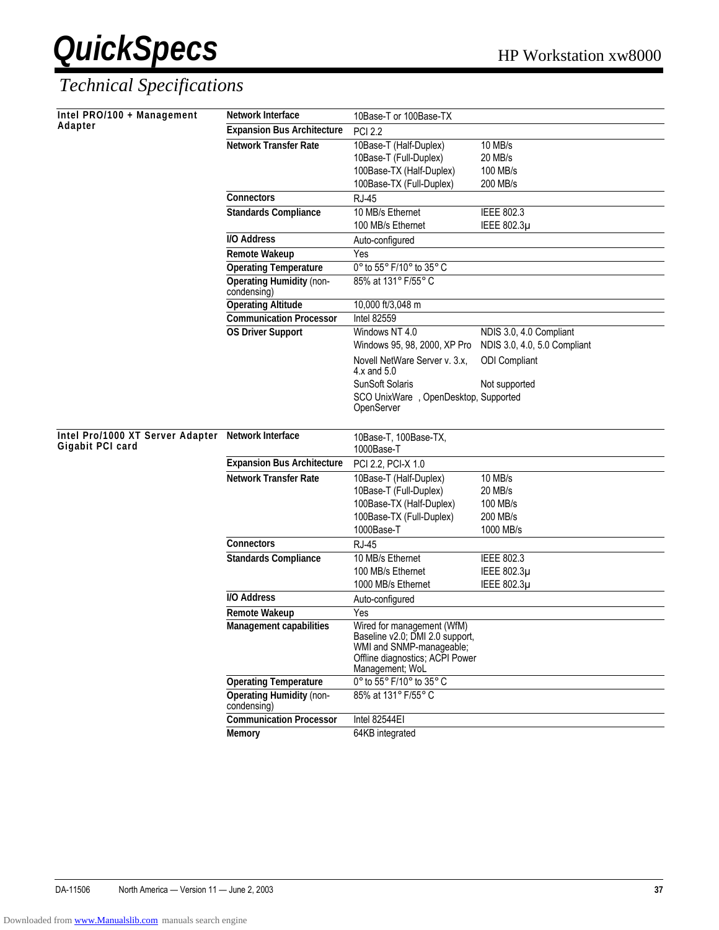| Intel PRO/100 + Management                                             | <b>Network Interface</b>                       | 10Base-T or 100Base-TX                                                                    |                                                         |
|------------------------------------------------------------------------|------------------------------------------------|-------------------------------------------------------------------------------------------|---------------------------------------------------------|
| Adapter                                                                | <b>Expansion Bus Architecture</b>              | <b>PCI 2.2</b>                                                                            |                                                         |
|                                                                        | <b>Network Transfer Rate</b>                   | 10Base-T (Half-Duplex)                                                                    | 10 MB/s                                                 |
|                                                                        |                                                | 10Base-T (Full-Duplex)                                                                    | 20 MB/s                                                 |
|                                                                        |                                                | 100Base-TX (Half-Duplex)                                                                  | 100 MB/s                                                |
|                                                                        |                                                | 100Base-TX (Full-Duplex)                                                                  | 200 MB/s                                                |
|                                                                        | <b>Connectors</b>                              | <b>RJ-45</b>                                                                              |                                                         |
|                                                                        | <b>Standards Compliance</b>                    | 10 MB/s Ethernet                                                                          | IEEE 802.3                                              |
|                                                                        |                                                | 100 MB/s Ethernet                                                                         | IEEE 802.3µ                                             |
|                                                                        | <b>I/O Address</b>                             | Auto-configured                                                                           |                                                         |
|                                                                        | <b>Remote Wakeup</b>                           | Yes                                                                                       |                                                         |
|                                                                        | <b>Operating Temperature</b>                   | 0° to 55° F/10° to 35° C                                                                  |                                                         |
|                                                                        | <b>Operating Humidity (non-</b><br>condensing) | 85% at 131° F/55° C                                                                       |                                                         |
|                                                                        | <b>Operating Altitude</b>                      | 10,000 ft/3,048 m                                                                         |                                                         |
|                                                                        | <b>Communication Processor</b>                 | <b>Intel 82559</b>                                                                        |                                                         |
|                                                                        | <b>OS Driver Support</b>                       | Windows NT 4.0<br>Windows 95, 98, 2000, XP Pro                                            | NDIS 3.0, 4.0 Compliant<br>NDIS 3.0, 4.0, 5.0 Compliant |
|                                                                        |                                                | Novell NetWare Server v. 3.x,<br>$4.x$ and $5.0$                                          | <b>ODI</b> Compliant                                    |
|                                                                        |                                                | <b>SunSoft Solaris</b>                                                                    | Not supported                                           |
|                                                                        |                                                | SCO UnixWare <sup>®</sup> , OpenDesktop, Supported                                        |                                                         |
|                                                                        |                                                | OpenServer                                                                                |                                                         |
|                                                                        |                                                |                                                                                           |                                                         |
| Intel Pro/1000 XT Server Adapter Network Interface<br>Gigabit PCI card |                                                | 10Base-T, 100Base-TX,<br>1000Base-T                                                       |                                                         |
|                                                                        | <b>Expansion Bus Architecture</b>              | PCI 2.2, PCI-X 1.0                                                                        |                                                         |
|                                                                        | <b>Network Transfer Rate</b>                   | 10Base-T (Half-Duplex)                                                                    | 10 MB/s                                                 |
|                                                                        |                                                | 10Base-T (Full-Duplex)                                                                    | 20 MB/s                                                 |
|                                                                        |                                                | 100Base-TX (Half-Duplex)                                                                  | 100 MB/s                                                |
|                                                                        |                                                | 100Base-TX (Full-Duplex)                                                                  | 200 MB/s                                                |
|                                                                        |                                                | 1000Base-T                                                                                | 1000 MB/s                                               |
|                                                                        | Connectors                                     | <b>RJ-45</b>                                                                              |                                                         |
|                                                                        | <b>Standards Compliance</b>                    | 10 MB/s Ethernet                                                                          | <b>IEEE 802.3</b>                                       |
|                                                                        |                                                | 100 MB/s Ethernet                                                                         | IEEE 802.3µ                                             |
|                                                                        |                                                | 1000 MB/s Ethernet                                                                        | IEEE 802.3µ                                             |
|                                                                        | I/O Address                                    | Auto-configured                                                                           |                                                         |
|                                                                        | <b>Remote Wakeup</b>                           | Yes                                                                                       |                                                         |
|                                                                        | Management capabilities                        | Wired for management (WfM)<br>Baseline v2.0; DMI 2.0 support,<br>WMI and SNMP-manageable; |                                                         |
|                                                                        |                                                | Offline diagnostics; ACPI Power                                                           |                                                         |
|                                                                        |                                                | Management; WoL                                                                           |                                                         |
|                                                                        | <b>Operating Temperature</b>                   | 0° to 55° F/10° to 35° C                                                                  |                                                         |
|                                                                        | <b>Operating Humidity (non-</b><br>condensing) | 85% at 131° F/55° C                                                                       |                                                         |
|                                                                        | <b>Communication Processor</b>                 | Intel 82544EI                                                                             |                                                         |
|                                                                        | <b>Memory</b>                                  | 64KB integrated                                                                           |                                                         |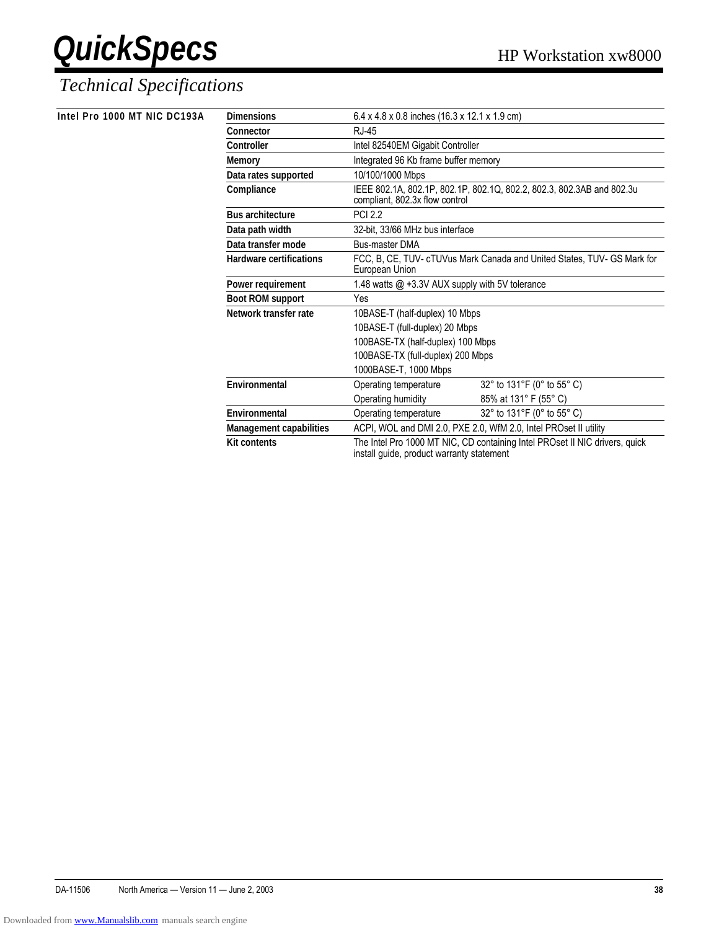| Intel Pro 1000 MT NIC DC193A | <b>Dimensions</b>              | $6.4 \times 4.8 \times 0.8$ inches (16.3 x 12.1 x 1.9 cm)                                                                |
|------------------------------|--------------------------------|--------------------------------------------------------------------------------------------------------------------------|
|                              | Connector                      | <b>RJ-45</b>                                                                                                             |
|                              | Controller                     | Intel 82540EM Gigabit Controller                                                                                         |
|                              | <b>Memory</b>                  | Integrated 96 Kb frame buffer memory                                                                                     |
|                              | Data rates supported           | 10/100/1000 Mbps                                                                                                         |
|                              | Compliance                     | IEEE 802.1A, 802.1P, 802.1P, 802.1Q, 802.2, 802.3, 802.3AB and 802.3u<br>compliant, 802.3x flow control                  |
|                              | <b>Bus architecture</b>        | <b>PCI 2.2</b>                                                                                                           |
|                              | Data path width                | 32-bit. 33/66 MHz bus interface                                                                                          |
|                              | Data transfer mode             | <b>Bus-master DMA</b>                                                                                                    |
|                              | <b>Hardware certifications</b> | FCC, B, CE, TUV- cTUVus Mark Canada and United States, TUV- GS Mark for<br>European Union                                |
|                              | Power requirement              | 1.48 watts $@ + 3.3V$ AUX supply with 5V tolerance                                                                       |
|                              | <b>Boot ROM support</b>        | Yes                                                                                                                      |
|                              | Network transfer rate          | 10BASE-T (half-duplex) 10 Mbps                                                                                           |
|                              |                                | 10BASE-T (full-duplex) 20 Mbps                                                                                           |
|                              |                                | 100BASE-TX (half-duplex) 100 Mbps                                                                                        |
|                              |                                | 100BASE-TX (full-duplex) 200 Mbps                                                                                        |
|                              |                                | 1000BASE-T, 1000 Mbps                                                                                                    |
|                              | Environmental                  | 32° to 131°F (0° to 55° C)<br>Operating temperature                                                                      |
|                              |                                | 85% at 131° F (55° C)<br>Operating humidity                                                                              |
|                              | Environmental                  | 32° to 131°F (0° to 55° C)<br>Operating temperature                                                                      |
|                              | Management capabilities        | ACPI, WOL and DMI 2.0, PXE 2.0, WfM 2.0, Intel PROset II utility                                                         |
|                              | <b>Kit contents</b>            | The Intel Pro 1000 MT NIC, CD containing Intel PROset II NIC drivers, quick<br>install guide, product warranty statement |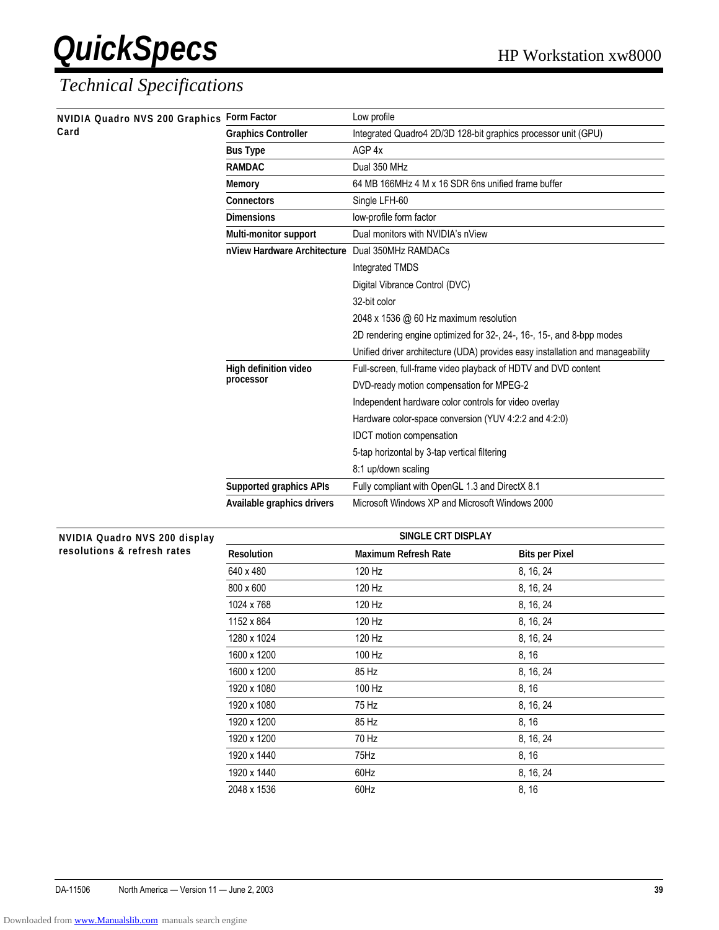| NVIDIA Quadro NVS 200 Graphics<br>Card | <b>Form Factor</b>                              | Low profile                                                                    |
|----------------------------------------|-------------------------------------------------|--------------------------------------------------------------------------------|
|                                        | <b>Graphics Controller</b>                      | Integrated Quadro4 2D/3D 128-bit graphics processor unit (GPU)                 |
|                                        | <b>Bus Type</b>                                 | AGP 4x                                                                         |
|                                        | <b>RAMDAC</b>                                   | Dual 350 MHz                                                                   |
|                                        | <b>Memory</b>                                   | 64 MB 166MHz 4 M x 16 SDR 6ns unified frame buffer                             |
|                                        | <b>Connectors</b>                               | Single LFH-60                                                                  |
|                                        | <b>Dimensions</b>                               | low-profile form factor                                                        |
|                                        | <b>Multi-monitor support</b>                    | Dual monitors with NVIDIA's nView                                              |
|                                        | nView Hardware Architecture Dual 350MHz RAMDACs |                                                                                |
|                                        |                                                 | Integrated TMDS                                                                |
|                                        |                                                 | Digital Vibrance Control (DVC)                                                 |
|                                        |                                                 | 32-bit color                                                                   |
|                                        |                                                 | 2048 x 1536 @ 60 Hz maximum resolution                                         |
|                                        |                                                 | 2D rendering engine optimized for 32-, 24-, 16-, 15-, and 8-bpp modes          |
|                                        |                                                 | Unified driver architecture (UDA) provides easy installation and manageability |
|                                        | High definition video                           | Full-screen, full-frame video playback of HDTV and DVD content                 |
|                                        | processor                                       | DVD-ready motion compensation for MPEG-2                                       |
|                                        |                                                 | Independent hardware color controls for video overlay                          |
|                                        |                                                 | Hardware color-space conversion (YUV 4:2:2 and 4:2:0)                          |
|                                        |                                                 | IDCT motion compensation                                                       |
|                                        |                                                 | 5-tap horizontal by 3-tap vertical filtering                                   |
|                                        |                                                 | 8:1 up/down scaling                                                            |
|                                        | <b>Supported graphics APIs</b>                  | Fully compliant with OpenGL 1.3 and DirectX 8.1                                |
|                                        | Available graphics drivers                      | Microsoft Windows XP and Microsoft Windows 2000                                |

| <b>NVIDIA Quadro NVS 200 display</b> |                   | SINGLE CRT DISPLAY          |                       |  |
|--------------------------------------|-------------------|-----------------------------|-----------------------|--|
| resolutions & refresh rates          | <b>Resolution</b> | <b>Maximum Refresh Rate</b> | <b>Bits per Pixel</b> |  |
|                                      | 640 x 480         | 120 Hz                      | 8, 16, 24             |  |
|                                      | 800 x 600         | 120 Hz                      | 8, 16, 24             |  |
|                                      | 1024 x 768        | 120 Hz                      | 8, 16, 24             |  |
|                                      | 1152 x 864        | 120 Hz                      | 8, 16, 24             |  |
|                                      | 1280 x 1024       | 120 Hz                      | 8, 16, 24             |  |
|                                      | 1600 x 1200       | 100 Hz                      | 8, 16                 |  |
|                                      | 1600 x 1200       | 85 Hz                       | 8, 16, 24             |  |
|                                      | 1920 x 1080       | 100 Hz                      | 8, 16                 |  |
|                                      | 1920 x 1080       | 75 Hz                       | 8, 16, 24             |  |
|                                      | 1920 x 1200       | 85 Hz                       | 8, 16                 |  |
|                                      | 1920 x 1200       | 70 Hz                       | 8, 16, 24             |  |
|                                      | 1920 x 1440       | 75Hz                        | 8, 16                 |  |
|                                      | 1920 x 1440       | 60Hz                        | 8, 16, 24             |  |
|                                      | 2048 x 1536       | 60Hz                        | 8, 16                 |  |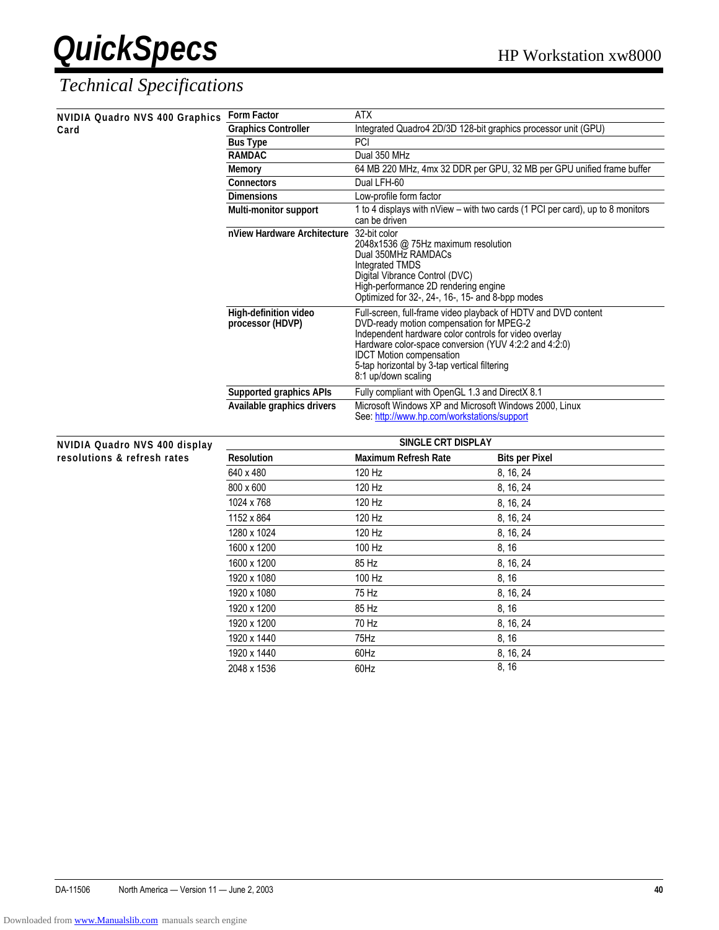| NVIDIA Quadro NVS 400 Graphics Form Factor |                                           | <b>ATX</b>                                                                                                                                                                                                                                                                                                                             |                                                                                |
|--------------------------------------------|-------------------------------------------|----------------------------------------------------------------------------------------------------------------------------------------------------------------------------------------------------------------------------------------------------------------------------------------------------------------------------------------|--------------------------------------------------------------------------------|
| Card                                       | <b>Graphics Controller</b>                | Integrated Quadro4 2D/3D 128-bit graphics processor unit (GPU)                                                                                                                                                                                                                                                                         |                                                                                |
|                                            | <b>Bus Type</b>                           | PCI                                                                                                                                                                                                                                                                                                                                    |                                                                                |
|                                            | <b>RAMDAC</b>                             | Dual 350 MHz                                                                                                                                                                                                                                                                                                                           |                                                                                |
|                                            | <b>Memory</b>                             |                                                                                                                                                                                                                                                                                                                                        | 64 MB 220 MHz, 4mx 32 DDR per GPU, 32 MB per GPU unified frame buffer          |
|                                            | <b>Connectors</b>                         | Dual LFH-60                                                                                                                                                                                                                                                                                                                            |                                                                                |
|                                            | <b>Dimensions</b>                         | Low-profile form factor                                                                                                                                                                                                                                                                                                                |                                                                                |
|                                            | Multi-monitor support                     | can be driven                                                                                                                                                                                                                                                                                                                          | 1 to 4 displays with nView - with two cards (1 PCI per card), up to 8 monitors |
|                                            | nView Hardware Architecture               | 32-bit color<br>2048x1536 @ 75Hz maximum resolution<br>Dual 350MHz RAMDACs<br><b>Integrated TMDS</b><br>Digital Vibrance Control (DVC)<br>High-performance 2D rendering engine<br>Optimized for 32-, 24-, 16-, 15- and 8-bpp modes                                                                                                     |                                                                                |
|                                            | High-definition video<br>processor (HDVP) | Full-screen, full-frame video playback of HDTV and DVD content<br>DVD-ready motion compensation for MPEG-2<br>Independent hardware color controls for video overlay<br>Hardware color-space conversion (YUV 4:2:2 and 4:2:0)<br><b>IDCT Motion compensation</b><br>5-tap horizontal by 3-tap vertical filtering<br>8:1 up/down scaling |                                                                                |
|                                            | <b>Supported graphics APIs</b>            | Fully compliant with OpenGL 1.3 and DirectX 8.1                                                                                                                                                                                                                                                                                        |                                                                                |
|                                            | Available graphics drivers                | Microsoft Windows XP and Microsoft Windows 2000, Linux<br>See: http://www.hp.com/workstations/support                                                                                                                                                                                                                                  |                                                                                |
| <b>NVIDIA Quadro NVS 400 display</b>       |                                           | SINGLE CRT DISPLAY                                                                                                                                                                                                                                                                                                                     |                                                                                |
| resolutions & refresh rates                | <b>Resolution</b>                         | <b>Maximum Refresh Rate</b>                                                                                                                                                                                                                                                                                                            | <b>Bits per Pixel</b>                                                          |
|                                            | 640 x 480                                 | 120 Hz                                                                                                                                                                                                                                                                                                                                 | 8, 16, 24                                                                      |
|                                            | 800 x 600                                 | 120 Hz                                                                                                                                                                                                                                                                                                                                 | 8, 16, 24                                                                      |
|                                            | 1024 x 768                                | 120 Hz                                                                                                                                                                                                                                                                                                                                 | 8, 16, 24                                                                      |
|                                            | 1152 x 864                                | 120 Hz                                                                                                                                                                                                                                                                                                                                 | 8, 16, 24                                                                      |
|                                            | 1280 x 1024                               | 120 Hz                                                                                                                                                                                                                                                                                                                                 | 8, 16, 24                                                                      |
|                                            | 1600 x 1200                               | 100 Hz                                                                                                                                                                                                                                                                                                                                 | 8, 16                                                                          |
|                                            | 1600 x 1200                               | 85 Hz                                                                                                                                                                                                                                                                                                                                  | 8, 16, 24                                                                      |
|                                            | 1920 x 1080                               | 100 Hz                                                                                                                                                                                                                                                                                                                                 | 8, 16                                                                          |
|                                            | 1920 x 1080                               | 75 Hz                                                                                                                                                                                                                                                                                                                                  | 8, 16, 24                                                                      |
|                                            | 1920 x 1200                               | 85 Hz                                                                                                                                                                                                                                                                                                                                  | 8, 16                                                                          |
|                                            | 1920 x 1200                               | 70 Hz                                                                                                                                                                                                                                                                                                                                  | 8, 16, 24                                                                      |
|                                            | 1920 x 1440                               | 75Hz                                                                                                                                                                                                                                                                                                                                   | 8, 16                                                                          |
|                                            | 1920 x 1440                               | 60Hz                                                                                                                                                                                                                                                                                                                                   | 8, 16, 24                                                                      |
|                                            | 2048 x 1536                               | 60Hz                                                                                                                                                                                                                                                                                                                                   | 8, 16                                                                          |
|                                            |                                           |                                                                                                                                                                                                                                                                                                                                        |                                                                                |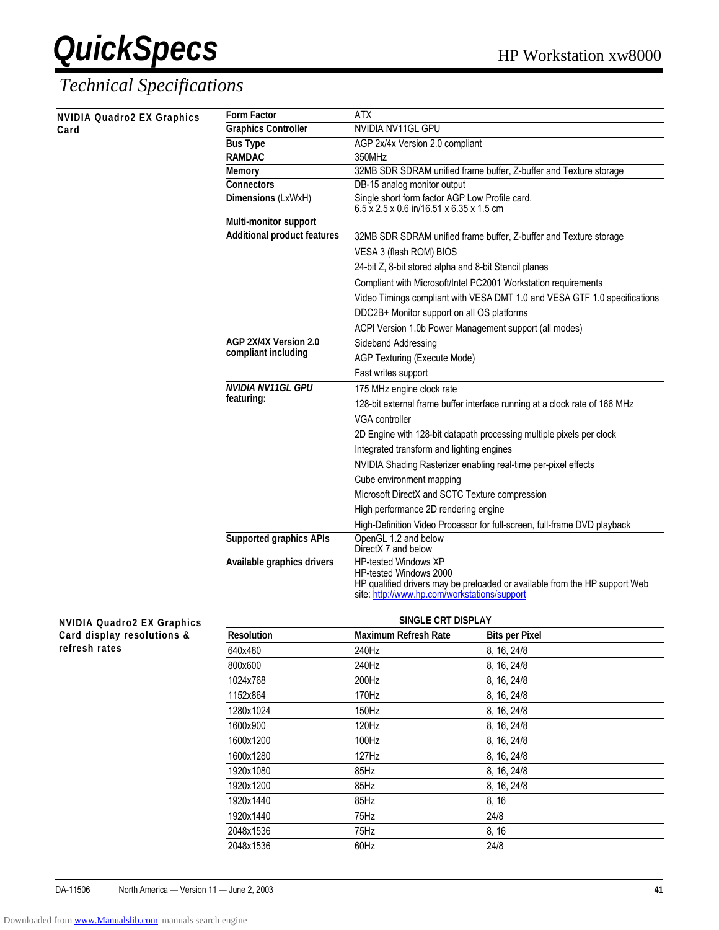#### *Technical Specifications*

**NVIDIA Quadro2 EX Graphics** 

| <b>NVIDIA Quadro2 EX Graphics</b> | <b>Form Factor</b>                           | ATX                                                                                                  |  |
|-----------------------------------|----------------------------------------------|------------------------------------------------------------------------------------------------------|--|
| Card                              | <b>Graphics Controller</b>                   | NVIDIA NV11GL GPU                                                                                    |  |
|                                   | <b>Bus Type</b>                              | AGP 2x/4x Version 2.0 compliant                                                                      |  |
|                                   | <b>RAMDAC</b>                                | 350MHz                                                                                               |  |
|                                   | <b>Memory</b>                                | 32MB SDR SDRAM unified frame buffer, Z-buffer and Texture storage                                    |  |
|                                   | <b>Connectors</b>                            | DB-15 analog monitor output                                                                          |  |
|                                   | Dimensions (LxWxH)                           | Single short form factor AGP Low Profile card.<br>6.5 x 2.5 x 0.6 in/16.51 x 6.35 x 1.5 cm           |  |
|                                   | Multi-monitor support                        |                                                                                                      |  |
|                                   | <b>Additional product features</b>           | 32MB SDR SDRAM unified frame buffer, Z-buffer and Texture storage<br>VESA 3 (flash ROM) BIOS         |  |
|                                   |                                              |                                                                                                      |  |
|                                   |                                              | 24-bit Z, 8-bit stored alpha and 8-bit Stencil planes                                                |  |
|                                   |                                              | Compliant with Microsoft/Intel PC2001 Workstation requirements                                       |  |
|                                   |                                              | Video Timings compliant with VESA DMT 1.0 and VESA GTF 1.0 specifications                            |  |
|                                   |                                              | DDC2B+ Monitor support on all OS platforms                                                           |  |
|                                   |                                              | ACPI Version 1.0b Power Management support (all modes)                                               |  |
|                                   | AGP 2X/4X Version 2.0<br>compliant including | Sideband Addressing                                                                                  |  |
|                                   |                                              | AGP Texturing (Execute Mode)                                                                         |  |
|                                   |                                              | Fast writes support                                                                                  |  |
|                                   | NVIDIA NV11GL GPU<br>featuring:              | 175 MHz engine clock rate                                                                            |  |
|                                   |                                              | 128-bit external frame buffer interface running at a clock rate of 166 MHz                           |  |
|                                   |                                              | VGA controller                                                                                       |  |
|                                   |                                              | 2D Engine with 128-bit datapath processing multiple pixels per clock                                 |  |
|                                   |                                              | Integrated transform and lighting engines                                                            |  |
|                                   |                                              | NVIDIA Shading Rasterizer enabling real-time per-pixel effects                                       |  |
|                                   |                                              | Cube environment mapping                                                                             |  |
|                                   |                                              | Microsoft DirectX and SCTC Texture compression                                                       |  |
|                                   |                                              | High performance 2D rendering engine                                                                 |  |
|                                   |                                              | High-Definition Video Processor for full-screen, full-frame DVD playback                             |  |
|                                   | <b>Supported graphics APIs</b>               | OpenGL 1.2 and below                                                                                 |  |
|                                   |                                              | DirectX 7 and below                                                                                  |  |
|                                   | Available graphics drivers                   | HP-tested Windows XP                                                                                 |  |
|                                   |                                              | HP-tested Windows 2000<br>HP qualified drivers may be preloaded or available from the HP support Web |  |
|                                   |                                              | site: http://www.hp.com/workstations/support                                                         |  |
|                                   |                                              |                                                                                                      |  |

| <b>NVIDIA Quadro2 EX Graphics</b> |                   | SINGLE CRT DISPLAY          |                       |
|-----------------------------------|-------------------|-----------------------------|-----------------------|
| Card display resolutions &        | <b>Resolution</b> | <b>Maximum Refresh Rate</b> | <b>Bits per Pixel</b> |
| refresh rates                     | 640x480           | 240Hz                       | 8, 16, 24/8           |
|                                   | 800x600           | 240Hz                       | 8, 16, 24/8           |
|                                   | 1024x768          | 200Hz                       | 8, 16, 24/8           |
|                                   | 1152x864          | 170Hz                       | 8, 16, 24/8           |
|                                   | 1280x1024         | 150Hz                       | 8, 16, 24/8           |
|                                   | 1600x900          | 120Hz                       | 8, 16, 24/8           |
|                                   | 1600x1200         | 100Hz                       | 8, 16, 24/8           |
|                                   | 1600x1280         | 127Hz                       | 8, 16, 24/8           |
|                                   | 1920x1080         | 85Hz                        | 8, 16, 24/8           |
|                                   | 1920x1200         | 85Hz                        | 8, 16, 24/8           |
|                                   | 1920x1440         | 85Hz                        | 8, 16                 |
|                                   | 1920x1440         | 75Hz                        | 24/8                  |
|                                   | 2048x1536         | 75Hz                        | 8, 16                 |
|                                   | 2048x1536         | 60Hz                        | 24/8                  |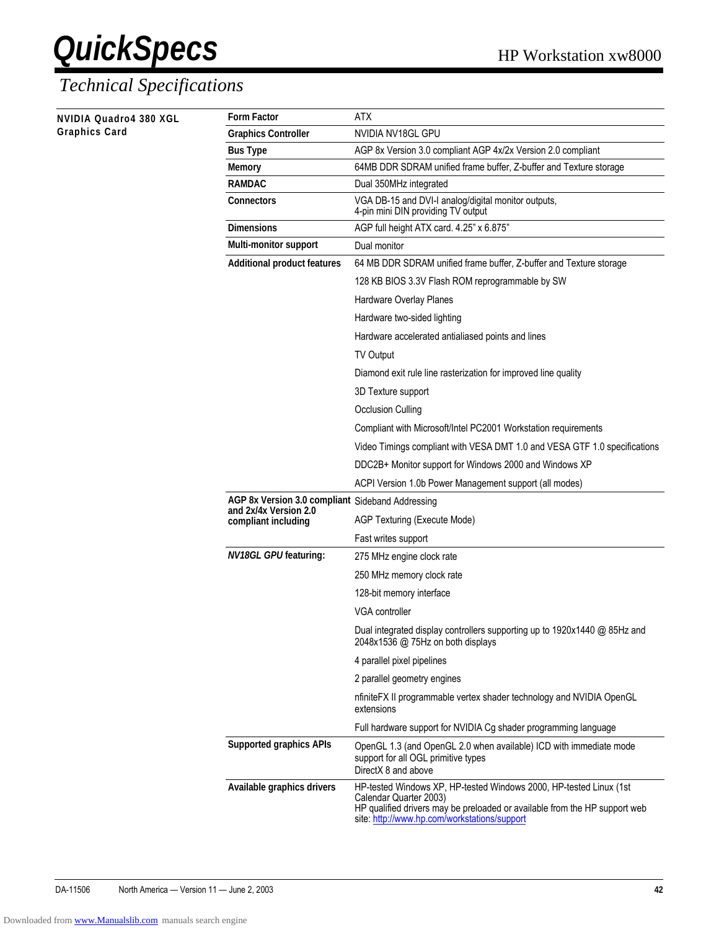| NVIDIA Quadro4 380 XGL | <b>Form Factor</b>                               | ATX                                                                                                                                                                                                                        |  |
|------------------------|--------------------------------------------------|----------------------------------------------------------------------------------------------------------------------------------------------------------------------------------------------------------------------------|--|
| Graphics Card          | <b>Graphics Controller</b>                       | NVIDIA NV18GL GPU                                                                                                                                                                                                          |  |
|                        | <b>Bus Type</b>                                  | AGP 8x Version 3.0 compliant AGP 4x/2x Version 2.0 compliant                                                                                                                                                               |  |
|                        | <b>Memory</b>                                    | 64MB DDR SDRAM unified frame buffer, Z-buffer and Texture storage                                                                                                                                                          |  |
|                        | <b>RAMDAC</b>                                    | Dual 350MHz integrated                                                                                                                                                                                                     |  |
|                        | <b>Connectors</b>                                | VGA DB-15 and DVI-I analog/digital monitor outputs,<br>4-pin mini DIN providing TV output                                                                                                                                  |  |
|                        | <b>Dimensions</b>                                | AGP full height ATX card. 4.25" x 6.875"                                                                                                                                                                                   |  |
|                        | Multi-monitor support                            | Dual monitor                                                                                                                                                                                                               |  |
|                        | <b>Additional product features</b>               | 64 MB DDR SDRAM unified frame buffer, Z-buffer and Texture storage                                                                                                                                                         |  |
|                        |                                                  | 128 KB BIOS 3.3V Flash ROM reprogrammable by SW                                                                                                                                                                            |  |
|                        |                                                  | Hardware Overlay Planes                                                                                                                                                                                                    |  |
|                        |                                                  | Hardware two-sided lighting                                                                                                                                                                                                |  |
|                        |                                                  | Hardware accelerated antialiased points and lines                                                                                                                                                                          |  |
|                        |                                                  | <b>TV Output</b>                                                                                                                                                                                                           |  |
|                        |                                                  | Diamond exit rule line rasterization for improved line quality                                                                                                                                                             |  |
|                        |                                                  | 3D Texture support                                                                                                                                                                                                         |  |
|                        |                                                  | <b>Occlusion Culling</b>                                                                                                                                                                                                   |  |
|                        |                                                  | Compliant with Microsoft/Intel PC2001 Workstation requirements                                                                                                                                                             |  |
|                        |                                                  | Video Timings compliant with VESA DMT 1.0 and VESA GTF 1.0 specifications                                                                                                                                                  |  |
|                        |                                                  | DDC2B+ Monitor support for Windows 2000 and Windows XP                                                                                                                                                                     |  |
|                        |                                                  | ACPI Version 1.0b Power Management support (all modes)                                                                                                                                                                     |  |
|                        | AGP 8x Version 3.0 compliant Sideband Addressing |                                                                                                                                                                                                                            |  |
|                        | and 2x/4x Version 2.0                            |                                                                                                                                                                                                                            |  |
|                        | compliant including                              | AGP Texturing (Execute Mode)                                                                                                                                                                                               |  |
|                        |                                                  | Fast writes support                                                                                                                                                                                                        |  |
|                        | <b>NV18GL GPU featuring:</b>                     | 275 MHz engine clock rate                                                                                                                                                                                                  |  |
|                        |                                                  | 250 MHz memory clock rate                                                                                                                                                                                                  |  |
|                        |                                                  | 128-bit memory interface                                                                                                                                                                                                   |  |
|                        |                                                  | VGA controller                                                                                                                                                                                                             |  |
|                        |                                                  | Dual integrated display controllers supporting up to 1920x1440 @ 85Hz and<br>2048x1536 @ 75Hz on both displays                                                                                                             |  |
|                        |                                                  | 4 parallel pixel pipelines                                                                                                                                                                                                 |  |
|                        |                                                  | 2 parallel geometry engines                                                                                                                                                                                                |  |
|                        |                                                  | nfiniteFX II programmable vertex shader technology and NVIDIA OpenGL<br>extensions                                                                                                                                         |  |
|                        |                                                  | Full hardware support for NVIDIA Cg shader programming language                                                                                                                                                            |  |
|                        | <b>Supported graphics APIs</b>                   | OpenGL 1.3 (and OpenGL 2.0 when available) ICD with immediate mode<br>support for all OGL primitive types<br>DirectX 8 and above                                                                                           |  |
|                        | Available graphics drivers                       | HP-tested Windows XP, HP-tested Windows 2000, HP-tested Linux (1st<br>Calendar Quarter 2003)<br>HP qualified drivers may be preloaded or available from the HP support web<br>site: http://www.hp.com/workstations/support |  |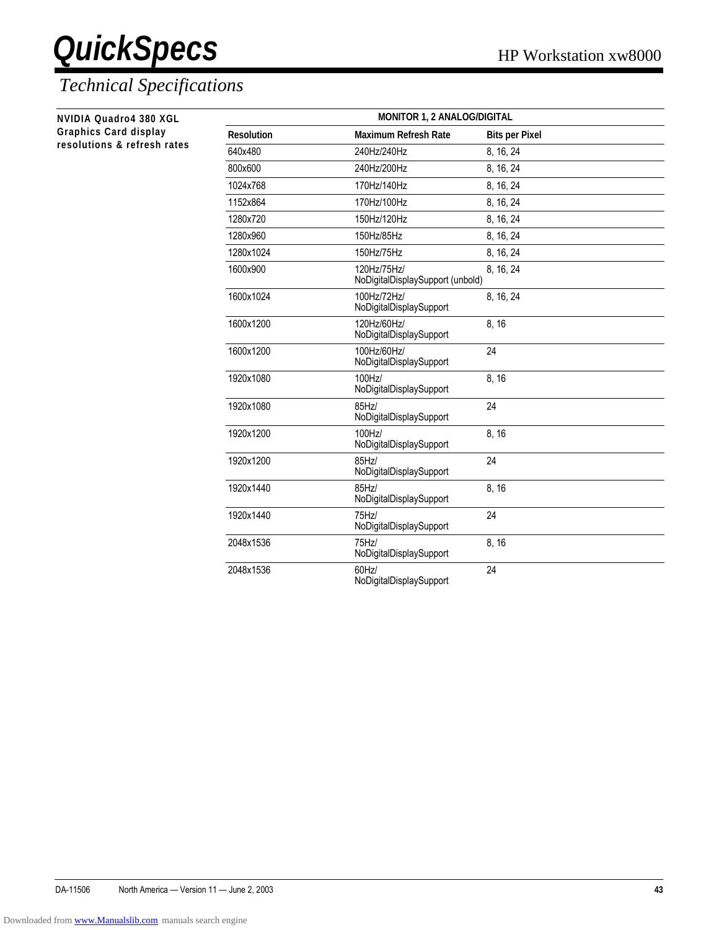#### *Technical Specifications*

**NVIDIA Quadro4 380 XGL Graphics Card display** resolutions & refresh rates

| <b>MONITOR 1, 2 ANALOG/DIGITAL</b> |                                                 |                       |  |
|------------------------------------|-------------------------------------------------|-----------------------|--|
| <b>Resolution</b>                  | <b>Maximum Refresh Rate</b>                     | <b>Bits per Pixel</b> |  |
| 640×480                            | 240Hz/240Hz                                     | 8, 16, 24             |  |
| 800x600                            | 240Hz/200Hz                                     | 8, 16, 24             |  |
| 1024x768                           | 170Hz/140Hz                                     | 8, 16, 24             |  |
| 1152x864                           | 170Hz/100Hz                                     | 8, 16, 24             |  |
| 1280x720                           | 150Hz/120Hz                                     | 8, 16, 24             |  |
| 1280x960                           | 150Hz/85Hz                                      | 8, 16, 24             |  |
| 1280x1024                          | 150Hz/75Hz                                      | 8, 16, 24             |  |
| 1600x900                           | 120Hz/75Hz/<br>NoDigitalDisplaySupport (unbold) | 8, 16, 24             |  |
| 1600x1024                          | 100Hz/72Hz/<br>NoDigitalDisplaySupport          | 8, 16, 24             |  |
| 1600x1200                          | 120Hz/60Hz/<br>NoDigitalDisplaySupport          | 8, 16                 |  |
| 1600x1200                          | 100Hz/60Hz/<br>NoDigitalDisplaySupport          | 24                    |  |
| 1920x1080                          | 100Hz/<br>NoDigitalDisplaySupport               | 8, 16                 |  |
| 1920x1080                          | 85Hz/<br>NoDigitalDisplaySupport                | 24                    |  |
| 1920x1200                          | 100Hz/<br>NoDigitalDisplaySupport               | 8, 16                 |  |
| 1920x1200                          | 85Hz/<br>NoDigitalDisplaySupport                | 24                    |  |
| 1920x1440                          | 85Hz/<br>NoDigitalDisplaySupport                | 8, 16                 |  |
| 1920x1440                          | 75Hz/<br>NoDigitalDisplaySupport                | 24                    |  |
| 2048x1536                          | 75Hz<br>NoDigitalDisplaySupport                 | 8, 16                 |  |
| 2048x1536                          | $60$ Hz $/$<br>NoDigitalDisplaySupport          | 24                    |  |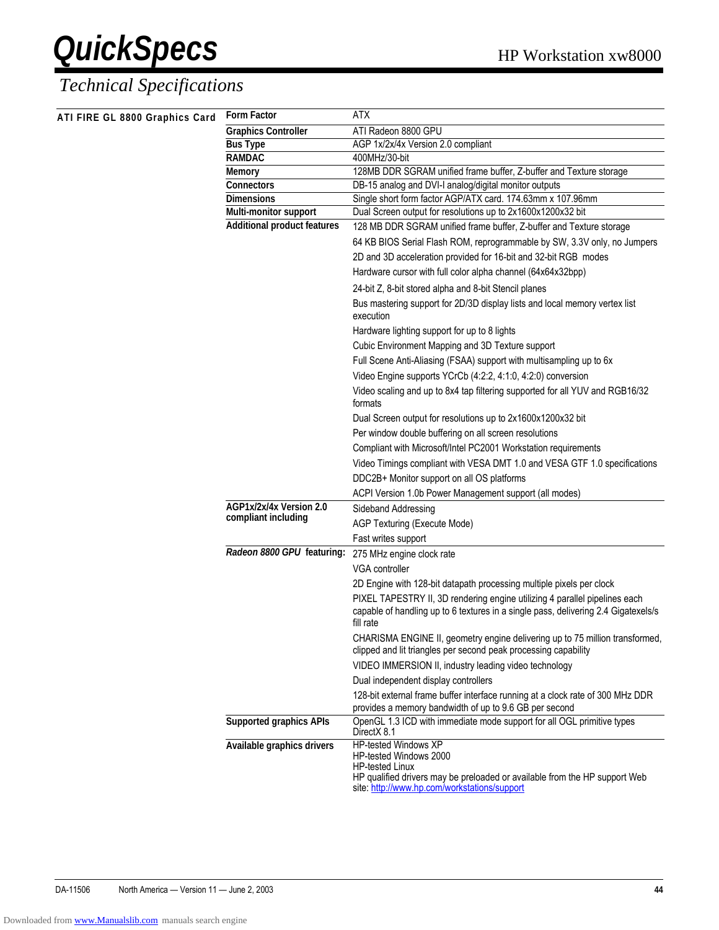| ATI FIRE GL 8800 Graphics Card | <b>Form Factor</b>                             | <b>ATX</b>                                                                                                                                                                                             |  |
|--------------------------------|------------------------------------------------|--------------------------------------------------------------------------------------------------------------------------------------------------------------------------------------------------------|--|
|                                | <b>Graphics Controller</b>                     | ATI Radeon 8800 GPU                                                                                                                                                                                    |  |
|                                | <b>Bus Type</b>                                | AGP 1x/2x/4x Version 2.0 compliant                                                                                                                                                                     |  |
|                                | <b>RAMDAC</b>                                  | 400MHz/30-bit                                                                                                                                                                                          |  |
|                                | <b>Memory</b>                                  | 128MB DDR SGRAM unified frame buffer, Z-buffer and Texture storage                                                                                                                                     |  |
|                                | <b>Connectors</b>                              | DB-15 analog and DVI-I analog/digital monitor outputs                                                                                                                                                  |  |
|                                | <b>Dimensions</b>                              | Single short form factor AGP/ATX card. 174.63mm x 107.96mm                                                                                                                                             |  |
|                                | Multi-monitor support                          | Dual Screen output for resolutions up to 2x1600x1200x32 bit                                                                                                                                            |  |
|                                | <b>Additional product features</b>             | 128 MB DDR SGRAM unified frame buffer, Z-buffer and Texture storage                                                                                                                                    |  |
|                                |                                                | 64 KB BIOS Serial Flash ROM, reprogrammable by SW, 3.3V only, no Jumpers                                                                                                                               |  |
|                                |                                                | 2D and 3D acceleration provided for 16-bit and 32-bit RGB modes                                                                                                                                        |  |
|                                |                                                | Hardware cursor with full color alpha channel (64x64x32bpp)                                                                                                                                            |  |
|                                |                                                | 24-bit Z, 8-bit stored alpha and 8-bit Stencil planes                                                                                                                                                  |  |
|                                |                                                | Bus mastering support for 2D/3D display lists and local memory vertex list<br>execution                                                                                                                |  |
|                                |                                                | Hardware lighting support for up to 8 lights                                                                                                                                                           |  |
|                                |                                                | Cubic Environment Mapping and 3D Texture support                                                                                                                                                       |  |
|                                |                                                | Full Scene Anti-Aliasing (FSAA) support with multisampling up to 6x                                                                                                                                    |  |
|                                |                                                | Video Engine supports YCrCb (4:2:2, 4:1:0, 4:2:0) conversion                                                                                                                                           |  |
|                                |                                                | Video scaling and up to 8x4 tap filtering supported for all YUV and RGB16/32<br>formats                                                                                                                |  |
|                                |                                                | Dual Screen output for resolutions up to 2x1600x1200x32 bit                                                                                                                                            |  |
|                                |                                                | Per window double buffering on all screen resolutions                                                                                                                                                  |  |
|                                |                                                | Compliant with Microsoft/Intel PC2001 Workstation requirements                                                                                                                                         |  |
|                                |                                                | Video Timings compliant with VESA DMT 1.0 and VESA GTF 1.0 specifications                                                                                                                              |  |
|                                |                                                | DDC2B+ Monitor support on all OS platforms                                                                                                                                                             |  |
|                                |                                                | ACPI Version 1.0b Power Management support (all modes)                                                                                                                                                 |  |
|                                | AGP1x/2x/4x Version 2.0<br>compliant including | Sideband Addressing                                                                                                                                                                                    |  |
|                                |                                                | AGP Texturing (Execute Mode)                                                                                                                                                                           |  |
|                                |                                                | Fast writes support                                                                                                                                                                                    |  |
|                                | Radeon 8800 GPU featuring:                     | 275 MHz engine clock rate                                                                                                                                                                              |  |
|                                |                                                | VGA controller                                                                                                                                                                                         |  |
|                                |                                                | 2D Engine with 128-bit datapath processing multiple pixels per clock                                                                                                                                   |  |
|                                |                                                | PIXEL TAPESTRY II, 3D rendering engine utilizing 4 parallel pipelines each                                                                                                                             |  |
|                                |                                                | capable of handling up to 6 textures in a single pass, delivering 2.4 Gigatexels/s<br>fill rate                                                                                                        |  |
|                                |                                                | CHARISMA ENGINE II, geometry engine delivering up to 75 million transformed,<br>clipped and lit triangles per second peak processing capability                                                        |  |
|                                |                                                | VIDEO IMMERSION II, industry leading video technology                                                                                                                                                  |  |
|                                |                                                | Dual independent display controllers                                                                                                                                                                   |  |
|                                |                                                | 128-bit external frame buffer interface running at a clock rate of 300 MHz DDR<br>provides a memory bandwidth of up to 9.6 GB per second                                                               |  |
|                                | <b>Supported graphics APIs</b>                 | OpenGL 1.3 ICD with immediate mode support for all OGL primitive types<br>DirectX 8.1                                                                                                                  |  |
|                                | Available graphics drivers                     | HP-tested Windows XP<br>HP-tested Windows 2000<br><b>HP-tested Linux</b><br>HP qualified drivers may be preloaded or available from the HP support Web<br>site: http://www.hp.com/workstations/support |  |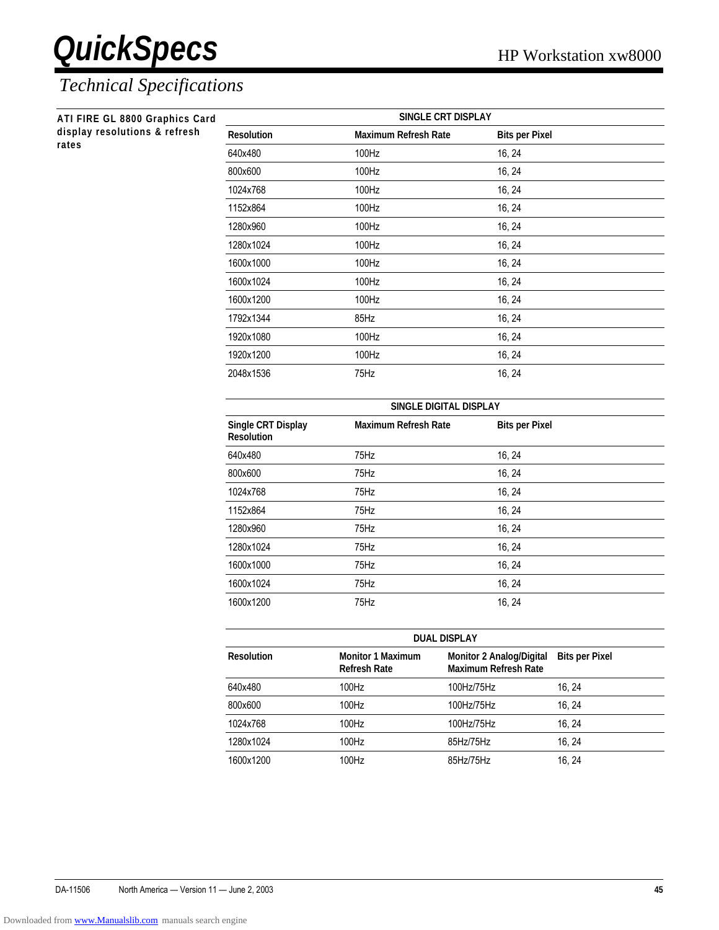| ATI FIRE GL 8800 Graphics Card |                                         | SINGLE CRT DISPLAY          |                       |
|--------------------------------|-----------------------------------------|-----------------------------|-----------------------|
| display resolutions & refresh  | <b>Resolution</b>                       | <b>Maximum Refresh Rate</b> | <b>Bits per Pixel</b> |
| rates                          | 640x480                                 | 100Hz                       | 16, 24                |
|                                | 800x600                                 | 100Hz                       | 16, 24                |
|                                | 1024x768                                | 100Hz                       | 16, 24                |
|                                | 1152x864                                | 100Hz                       | 16, 24                |
|                                | 1280x960                                | 100Hz                       | 16, 24                |
|                                | 1280x1024                               | 100Hz                       | 16, 24                |
|                                | 1600x1000                               | 100Hz                       | 16, 24                |
|                                | 1600x1024                               | 100Hz                       | 16, 24                |
|                                | 1600x1200                               | 100Hz                       | 16, 24                |
|                                | 1792x1344                               | 85Hz                        | 16, 24                |
|                                | 1920x1080                               | 100Hz                       | 16, 24                |
|                                | 1920x1200                               | 100Hz                       | 16, 24                |
|                                | 2048x1536                               | 75Hz                        | 16, 24                |
|                                |                                         | SINGLE DIGITAL DISPLAY      |                       |
|                                | Single CRT Display<br><b>Resolution</b> | <b>Maximum Refresh Rate</b> | <b>Bits per Pixel</b> |
|                                | 640x480                                 | 75Hz                        | 16, 24                |
|                                | 800x600                                 | 75Hz                        | 16, 24                |
|                                | 1024x768                                | 75Hz                        | 16, 24                |
|                                | 1152x864                                | 75Hz                        | 16, 24                |
|                                | 1280x960                                | 75Hz                        | 16, 24                |
|                                | 1280x1024                               | 75Hz                        | 16, 24                |
|                                | 1600x1000                               | 75Hz                        | 16, 24                |
|                                | 1600x1024                               | 75Hz                        | 16, 24                |
|                                | 1600x1200                               | 75Hz                        | 16, 24                |

| <b>DUAL DISPLAY</b> |                                                 |                                                                |                       |
|---------------------|-------------------------------------------------|----------------------------------------------------------------|-----------------------|
| <b>Resolution</b>   | <b>Monitor 1 Maximum</b><br><b>Refresh Rate</b> | <b>Monitor 2 Analog/Digital</b><br><b>Maximum Refresh Rate</b> | <b>Bits per Pixel</b> |
| 640x480             | 100Hz                                           | 100Hz/75Hz                                                     | 16.24                 |
| 800x600             | 100Hz                                           | 100Hz/75Hz                                                     | 16.24                 |
| 1024x768            | 100Hz                                           | 100Hz/75Hz                                                     | 16.24                 |
| 1280x1024           | 100Hz                                           | 85Hz/75Hz                                                      | 16.24                 |
| 1600x1200           | 100Hz                                           | 85Hz/75Hz                                                      | 16.24                 |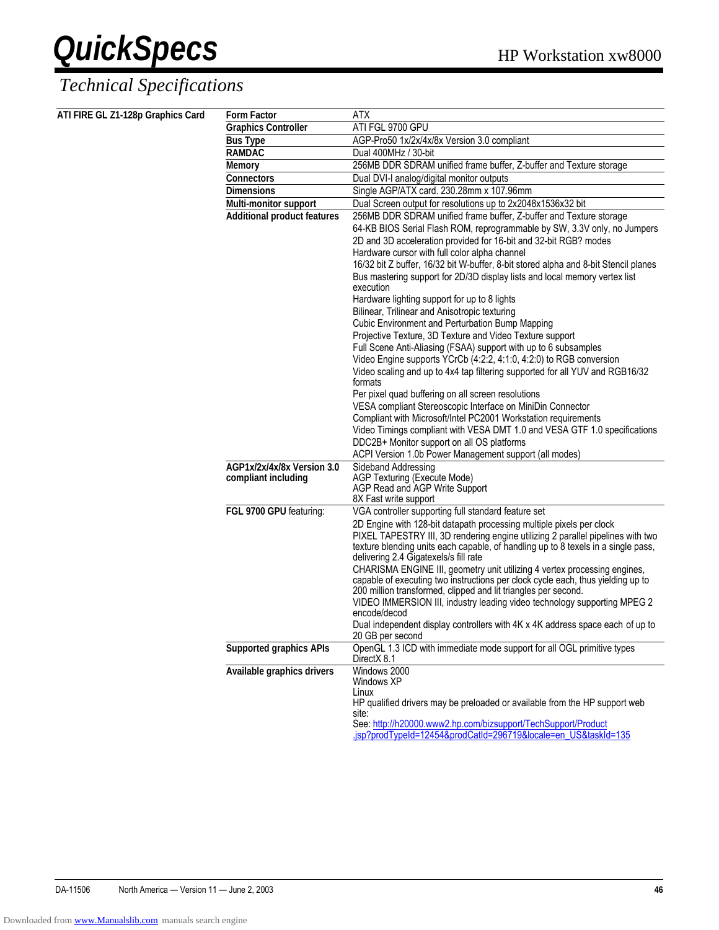### **QuickSpecs** HP Workstation xw8000 *Technical Specifications*

| ATI FIRE GL Z1-128p Graphics Card | <b>Form Factor</b>                 | <b>ATX</b>                                                                                                                                              |
|-----------------------------------|------------------------------------|---------------------------------------------------------------------------------------------------------------------------------------------------------|
|                                   | <b>Graphics Controller</b>         | ATI FGL 9700 GPU                                                                                                                                        |
|                                   | <b>Bus Type</b>                    | AGP-Pro50 1x/2x/4x/8x Version 3.0 compliant                                                                                                             |
|                                   | <b>RAMDAC</b>                      | Dual 400MHz / 30-bit                                                                                                                                    |
|                                   | <b>Memory</b>                      | 256MB DDR SDRAM unified frame buffer, Z-buffer and Texture storage                                                                                      |
|                                   | <b>Connectors</b>                  | Dual DVI-I analog/digital monitor outputs                                                                                                               |
|                                   | <b>Dimensions</b>                  | Single AGP/ATX card. 230.28mm x 107.96mm                                                                                                                |
|                                   | Multi-monitor support              | Dual Screen output for resolutions up to 2x2048x1536x32 bit                                                                                             |
|                                   | <b>Additional product features</b> | 256MB DDR SDRAM unified frame buffer, Z-buffer and Texture storage                                                                                      |
|                                   |                                    | 64-KB BIOS Serial Flash ROM, reprogrammable by SW, 3.3V only, no Jumpers<br>2D and 3D acceleration provided for 16-bit and 32-bit RGB? modes            |
|                                   |                                    | Hardware cursor with full color alpha channel                                                                                                           |
|                                   |                                    | 16/32 bit Z buffer, 16/32 bit W-buffer, 8-bit stored alpha and 8-bit Stencil planes                                                                     |
|                                   |                                    | Bus mastering support for 2D/3D display lists and local memory vertex list<br>execution                                                                 |
|                                   |                                    | Hardware lighting support for up to 8 lights                                                                                                            |
|                                   |                                    | Bilinear, Trilinear and Anisotropic texturing                                                                                                           |
|                                   |                                    | Cubic Environment and Perturbation Bump Mapping                                                                                                         |
|                                   |                                    | Projective Texture, 3D Texture and Video Texture support                                                                                                |
|                                   |                                    | Full Scene Anti-Aliasing (FSAA) support with up to 6 subsamples                                                                                         |
|                                   |                                    | Video Engine supports YCrCb (4:2:2, 4:1:0, 4:2:0) to RGB conversion<br>Video scaling and up to 4x4 tap filtering supported for all YUV and RGB16/32     |
|                                   |                                    | formats                                                                                                                                                 |
|                                   |                                    | Per pixel quad buffering on all screen resolutions                                                                                                      |
|                                   |                                    | VESA compliant Stereoscopic Interface on MiniDin Connector                                                                                              |
|                                   |                                    | Compliant with Microsoft/Intel PC2001 Workstation requirements                                                                                          |
|                                   |                                    | Video Timings compliant with VESA DMT 1.0 and VESA GTF 1.0 specifications                                                                               |
|                                   |                                    | DDC2B+ Monitor support on all OS platforms                                                                                                              |
|                                   |                                    | ACPI Version 1.0b Power Management support (all modes)                                                                                                  |
|                                   | AGP1x/2x/4x/8x Version 3.0         | Sideband Addressing                                                                                                                                     |
|                                   | compliant including                | AGP Texturing (Execute Mode)                                                                                                                            |
|                                   |                                    | AGP Read and AGP Write Support                                                                                                                          |
|                                   |                                    | 8X Fast write support                                                                                                                                   |
|                                   | FGL 9700 GPU featuring:            | VGA controller supporting full standard feature set                                                                                                     |
|                                   |                                    | 2D Engine with 128-bit datapath processing multiple pixels per clock<br>PIXEL TAPESTRY III, 3D rendering engine utilizing 2 parallel pipelines with two |
|                                   |                                    | texture blending units each capable, of handling up to 8 texels in a single pass,<br>delivering 2.4 Gigatexels/s fill rate                              |
|                                   |                                    | CHARISMA ENGINE III, geometry unit utilizing 4 vertex processing engines,                                                                               |
|                                   |                                    | capable of executing two instructions per clock cycle each, thus yielding up to                                                                         |
|                                   |                                    | 200 million transformed, clipped and lit triangles per second.                                                                                          |
|                                   |                                    | VIDEO IMMERSION III, industry leading video technology supporting MPEG 2<br>encode/decod                                                                |
|                                   |                                    | Dual independent display controllers with 4K x 4K address space each of up to<br>20 GB per second                                                       |
|                                   | <b>Supported graphics APIs</b>     | OpenGL 1.3 ICD with immediate mode support for all OGL primitive types<br>DirectX 8.1                                                                   |
|                                   | Available graphics drivers         | Windows 2000<br>Windows XP                                                                                                                              |
|                                   |                                    | Linux<br>HP qualified drivers may be preloaded or available from the HP support web                                                                     |
|                                   |                                    | site:<br>See: http://h20000.www2.hp.com/bizsupport/TechSupport/Product<br>.jsp?prodTypeId=12454&prodCatId=296719&locale=en_US&taskId=135                |
|                                   |                                    |                                                                                                                                                         |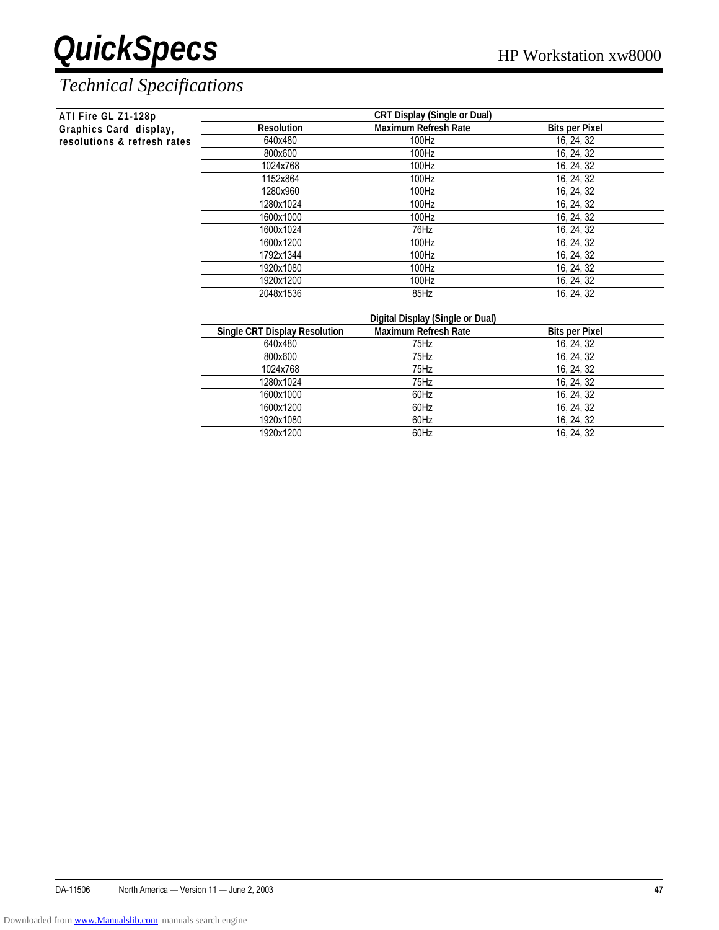| <b>CRT Display (Single or Dual)</b><br>ATI Fire GL Z1-128p |                                      |                                  |                       |
|------------------------------------------------------------|--------------------------------------|----------------------------------|-----------------------|
| Graphics Card display,                                     | <b>Resolution</b>                    | <b>Maximum Refresh Rate</b>      | <b>Bits per Pixel</b> |
| resolutions & refresh rates                                | 640x480                              | 100Hz                            | 16, 24, 32            |
|                                                            | 800x600                              | 100Hz                            | 16, 24, 32            |
|                                                            | 1024x768                             | 100Hz                            | 16, 24, 32            |
|                                                            | 1152x864                             | 100Hz                            | 16, 24, 32            |
|                                                            | 1280x960                             | 100Hz                            | 16, 24, 32            |
|                                                            | 1280x1024                            | 100Hz                            | 16, 24, 32            |
|                                                            | 1600x1000                            | 100Hz                            | 16, 24, 32            |
|                                                            | 1600x1024                            | 76Hz                             | 16, 24, 32            |
|                                                            | 1600x1200                            | 100Hz                            | 16, 24, 32            |
|                                                            | 1792x1344                            | 100Hz                            | 16, 24, 32            |
|                                                            | 1920x1080                            | 100Hz                            | 16, 24, 32            |
|                                                            | 1920x1200                            | 100Hz                            | 16, 24, 32            |
|                                                            | 2048x1536                            | 85Hz                             | 16, 24, 32            |
|                                                            |                                      | Digital Display (Single or Dual) |                       |
|                                                            | <b>Single CRT Display Resolution</b> | <b>Maximum Refresh Rate</b>      | <b>Bits per Pixel</b> |
|                                                            | 640x480                              | 75Hz                             | 16, 24, 32            |

| onigio on'i bispiay nosolationi |      | וטאו ו ועש טוש |
|---------------------------------|------|----------------|
| 640x480                         | 75Hz | 16, 24, 32     |
| 800x600                         | 75Hz | 16, 24, 32     |
| 1024x768                        | 75Hz | 16, 24, 32     |
| 1280x1024                       | 75Hz | 16, 24, 32     |
| 1600x1000                       | 60Hz | 16, 24, 32     |
| 1600x1200                       | 60Hz | 16, 24, 32     |
| 1920x1080                       | 60Hz | 16, 24, 32     |
| 1920x1200                       | 60Hz | 16, 24, 32     |
|                                 |      |                |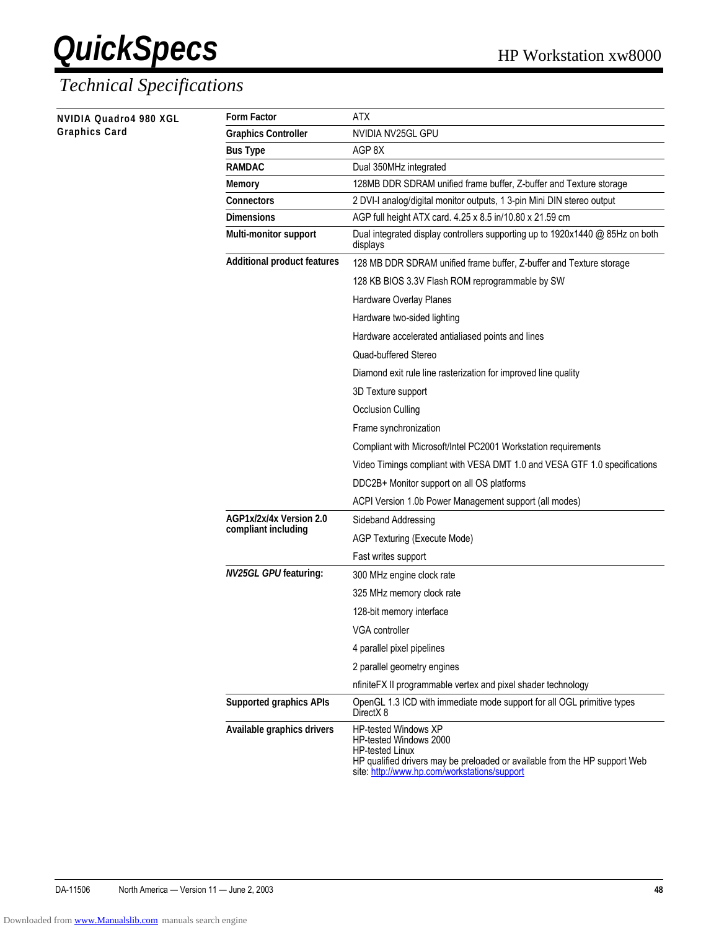| NVIDIA Quadro4 980 XGL<br>Graphics Card | <b>Form Factor</b>                 | ATX                                                                                                                                                                                                           |
|-----------------------------------------|------------------------------------|---------------------------------------------------------------------------------------------------------------------------------------------------------------------------------------------------------------|
|                                         | <b>Graphics Controller</b>         | NVIDIA NV25GL GPU                                                                                                                                                                                             |
|                                         | <b>Bus Type</b>                    | AGP 8X                                                                                                                                                                                                        |
|                                         | <b>RAMDAC</b>                      | Dual 350MHz integrated                                                                                                                                                                                        |
|                                         | <b>Memory</b>                      | 128MB DDR SDRAM unified frame buffer, Z-buffer and Texture storage                                                                                                                                            |
|                                         | <b>Connectors</b>                  | 2 DVI-I analog/digital monitor outputs, 1 3-pin Mini DIN stereo output                                                                                                                                        |
|                                         | <b>Dimensions</b>                  | AGP full height ATX card. 4.25 x 8.5 in/10.80 x 21.59 cm                                                                                                                                                      |
|                                         | Multi-monitor support              | Dual integrated display controllers supporting up to 1920x1440 @ 85Hz on both<br>displays                                                                                                                     |
|                                         | <b>Additional product features</b> | 128 MB DDR SDRAM unified frame buffer, Z-buffer and Texture storage                                                                                                                                           |
|                                         |                                    | 128 KB BIOS 3.3V Flash ROM reprogrammable by SW                                                                                                                                                               |
|                                         |                                    | Hardware Overlay Planes                                                                                                                                                                                       |
|                                         |                                    | Hardware two-sided lighting                                                                                                                                                                                   |
|                                         |                                    | Hardware accelerated antialiased points and lines                                                                                                                                                             |
|                                         |                                    | Quad-buffered Stereo                                                                                                                                                                                          |
|                                         |                                    | Diamond exit rule line rasterization for improved line quality                                                                                                                                                |
|                                         |                                    | 3D Texture support                                                                                                                                                                                            |
|                                         |                                    | <b>Occlusion Culling</b>                                                                                                                                                                                      |
|                                         |                                    | Frame synchronization                                                                                                                                                                                         |
|                                         |                                    | Compliant with Microsoft/Intel PC2001 Workstation requirements                                                                                                                                                |
|                                         |                                    | Video Timings compliant with VESA DMT 1.0 and VESA GTF 1.0 specifications                                                                                                                                     |
|                                         |                                    | DDC2B+ Monitor support on all OS platforms                                                                                                                                                                    |
|                                         |                                    | ACPI Version 1.0b Power Management support (all modes)                                                                                                                                                        |
|                                         | AGP1x/2x/4x Version 2.0            | Sideband Addressing                                                                                                                                                                                           |
|                                         | compliant including                | AGP Texturing (Execute Mode)                                                                                                                                                                                  |
|                                         |                                    | Fast writes support                                                                                                                                                                                           |
|                                         | <b>NV25GL GPUfeaturing:</b>        | 300 MHz engine clock rate                                                                                                                                                                                     |
|                                         |                                    | 325 MHz memory clock rate                                                                                                                                                                                     |
|                                         |                                    | 128-bit memory interface                                                                                                                                                                                      |
|                                         |                                    | VGA controller                                                                                                                                                                                                |
|                                         |                                    | 4 parallel pixel pipelines                                                                                                                                                                                    |
|                                         |                                    |                                                                                                                                                                                                               |
|                                         |                                    | 2 parallel geometry engines                                                                                                                                                                                   |
|                                         |                                    | nfiniteFX II programmable vertex and pixel shader technology                                                                                                                                                  |
|                                         | <b>Supported graphics APIs</b>     | OpenGL 1.3 ICD with immediate mode support for all OGL primitive types<br>DirectX <sub>8</sub>                                                                                                                |
|                                         | Available graphics drivers         | <b>HP-tested Windows XP</b><br>HP-tested Windows 2000<br><b>HP-tested Linux</b><br>HP qualified drivers may be preloaded or available from the HP support Web<br>site: http://www.hp.com/workstations/support |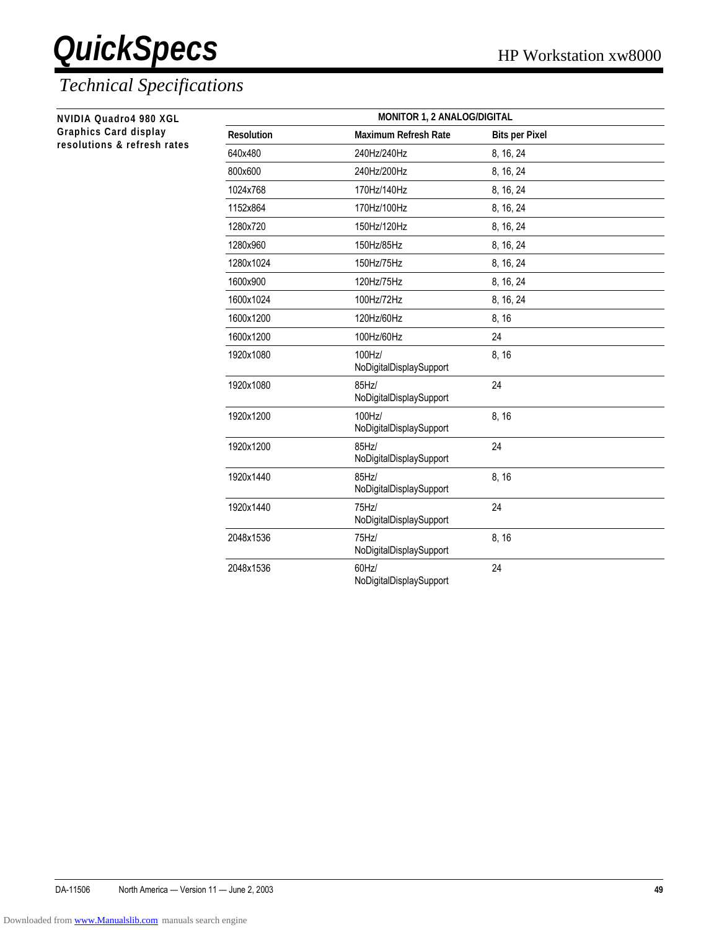| NVIDIA Quadro4 980 XGL      |
|-----------------------------|
| Graphics Card display       |
| resolutions & refresh rates |

| <b>MONITOR 1, 2 ANALOG/DIGITAL</b> |                                        |                       |  |
|------------------------------------|----------------------------------------|-----------------------|--|
| <b>Resolution</b>                  | <b>Maximum Refresh Rate</b>            | <b>Bits per Pixel</b> |  |
| 640x480                            | 240Hz/240Hz                            | 8, 16, 24             |  |
| 800x600                            | 240Hz/200Hz                            | 8, 16, 24             |  |
| 1024x768                           | 170Hz/140Hz                            | 8, 16, 24             |  |
| 1152x864                           | 170Hz/100Hz                            | 8, 16, 24             |  |
| 1280x720                           | 150Hz/120Hz                            | 8, 16, 24             |  |
| 1280x960                           | 150Hz/85Hz                             | 8, 16, 24             |  |
| 1280x1024                          | 150Hz/75Hz                             | 8, 16, 24             |  |
| 1600x900                           | 120Hz/75Hz                             | 8, 16, 24             |  |
| 1600x1024                          | 100Hz/72Hz                             | 8, 16, 24             |  |
| 1600x1200                          | 120Hz/60Hz                             | 8, 16                 |  |
| 1600x1200                          | 100Hz/60Hz                             | 24                    |  |
| 1920x1080                          | 100Hz/<br>NoDigitalDisplaySupport      | 8, 16                 |  |
| 1920x1080                          | 85Hz/<br>NoDigitalDisplaySupport       | 24                    |  |
| 1920x1200                          | 100Hz/<br>NoDigitalDisplaySupport      | 8, 16                 |  |
| 1920x1200                          | 85Hz/<br>NoDigitalDisplaySupport       | 24                    |  |
| 1920x1440                          | 85Hz/<br>NoDigitalDisplaySupport       | 8, 16                 |  |
| 1920x1440                          | 75Hz/<br>NoDigitalDisplaySupport       | 24                    |  |
| 2048x1536                          | 75Hz/<br>NoDigitalDisplaySupport       | 8, 16                 |  |
| 2048x1536                          | $60$ Hz $/$<br>NoDigitalDisplaySupport | 24                    |  |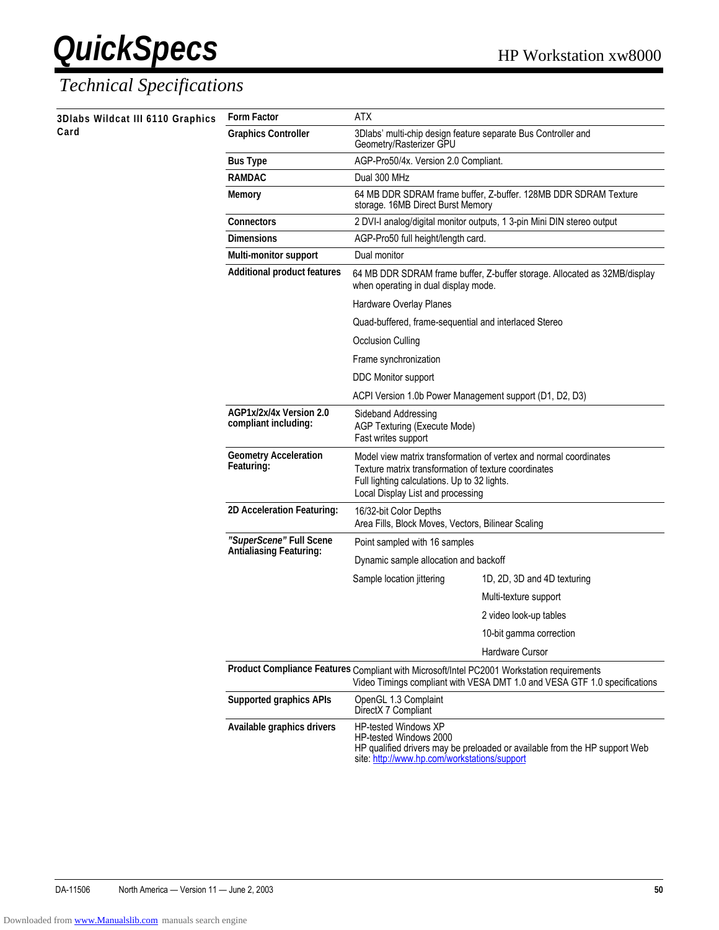| 3Dlabs Wildcat III 6110 Graphics<br>Card | <b>Form Factor</b>                              | <b>ATX</b>                                                                                                                                                                                                     |                                                                                                                                                                         |
|------------------------------------------|-------------------------------------------------|----------------------------------------------------------------------------------------------------------------------------------------------------------------------------------------------------------------|-------------------------------------------------------------------------------------------------------------------------------------------------------------------------|
|                                          | <b>Graphics Controller</b>                      | 3Dlabs' multi-chip design feature separate Bus Controller and<br>Geometry/Rasterizer GPU                                                                                                                       |                                                                                                                                                                         |
|                                          | <b>Bus Type</b>                                 | AGP-Pro50/4x. Version 2.0 Compliant.                                                                                                                                                                           |                                                                                                                                                                         |
|                                          | <b>RAMDAC</b>                                   | Dual 300 MHz                                                                                                                                                                                                   |                                                                                                                                                                         |
|                                          | <b>Memory</b>                                   | storage. 16MB Direct Burst Memory                                                                                                                                                                              | 64 MB DDR SDRAM frame buffer, Z-buffer. 128MB DDR SDRAM Texture                                                                                                         |
|                                          | <b>Connectors</b>                               |                                                                                                                                                                                                                | 2 DVI-I analog/digital monitor outputs, 1 3-pin Mini DIN stereo output                                                                                                  |
|                                          | <b>Dimensions</b>                               | AGP-Pro50 full height/length card.                                                                                                                                                                             |                                                                                                                                                                         |
|                                          | <b>Multi-monitor support</b>                    | Dual monitor                                                                                                                                                                                                   |                                                                                                                                                                         |
|                                          | <b>Additional product features</b>              | 64 MB DDR SDRAM frame buffer, Z-buffer storage. Allocated as 32MB/display<br>when operating in dual display mode.                                                                                              |                                                                                                                                                                         |
|                                          |                                                 | Hardware Overlay Planes                                                                                                                                                                                        |                                                                                                                                                                         |
|                                          |                                                 | Quad-buffered, frame-sequential and interlaced Stereo                                                                                                                                                          |                                                                                                                                                                         |
|                                          |                                                 | Occlusion Culling                                                                                                                                                                                              |                                                                                                                                                                         |
|                                          |                                                 | Frame synchronization                                                                                                                                                                                          |                                                                                                                                                                         |
|                                          |                                                 | DDC Monitor support                                                                                                                                                                                            |                                                                                                                                                                         |
|                                          |                                                 | ACPI Version 1.0b Power Management support (D1, D2, D3)                                                                                                                                                        |                                                                                                                                                                         |
|                                          | AGP1x/2x/4x Version 2.0<br>compliant including: | Sideband Addressing<br>AGP Texturing (Execute Mode)<br>Fast writes support                                                                                                                                     |                                                                                                                                                                         |
|                                          | <b>Geometry Acceleration</b><br>Featuring:      | Model view matrix transformation of vertex and normal coordinates<br>Texture matrix transformation of texture coordinates<br>Full lighting calculations. Up to 32 lights.<br>Local Display List and processing |                                                                                                                                                                         |
|                                          | 2D Acceleration Featuring:                      | 16/32-bit Color Depths<br>Area Fills, Block Moves, Vectors, Bilinear Scaling                                                                                                                                   |                                                                                                                                                                         |
|                                          | "SuperScene" Full Scene                         | Point sampled with 16 samples                                                                                                                                                                                  |                                                                                                                                                                         |
|                                          | <b>Antialiasing Featuring:</b>                  | Dynamic sample allocation and backoff                                                                                                                                                                          |                                                                                                                                                                         |
|                                          |                                                 | Sample location jittering                                                                                                                                                                                      | 1D, 2D, 3D and 4D texturing                                                                                                                                             |
|                                          |                                                 |                                                                                                                                                                                                                | Multi-texture support                                                                                                                                                   |
|                                          |                                                 |                                                                                                                                                                                                                | 2 video look-up tables                                                                                                                                                  |
|                                          |                                                 |                                                                                                                                                                                                                | 10-bit gamma correction                                                                                                                                                 |
|                                          |                                                 |                                                                                                                                                                                                                | <b>Hardware Cursor</b>                                                                                                                                                  |
|                                          |                                                 |                                                                                                                                                                                                                | Product Compliance Features Compliant with Microsoft/Intel PC2001 Workstation requirements<br>Video Timings compliant with VESA DMT 1.0 and VESA GTF 1.0 specifications |
|                                          | <b>Supported graphics APIs</b>                  | OpenGL 1.3 Complaint<br>DirectX 7 Compliant                                                                                                                                                                    |                                                                                                                                                                         |
|                                          | Available graphics drivers                      | HP-tested Windows XP<br><b>HP-tested Windows 2000</b><br>site: http://www.hp.com/workstations/support                                                                                                          | HP qualified drivers may be preloaded or available from the HP support Web                                                                                              |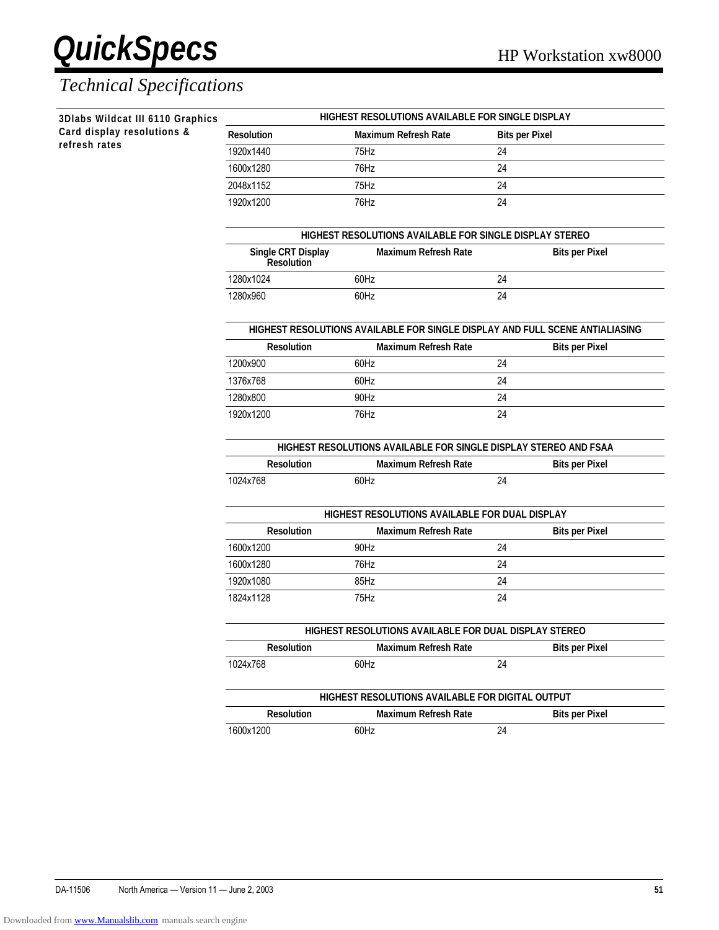$\overline{\phantom{a}}$ 

 $\overline{\phantom{a}}$ 

the control of the con- $\overline{\phantom{a}}$ 

 $\overline{\phantom{a}}$ 

**Contract Contract** 

 $\mathbb{R}^n$ 

### **QuickSpecs** HP Workstation xw8000 *Technical Specifications*

| 3Dlabs Wildcat III 6110 Graphics<br>Card display resolutions & | HIGHEST RESOLUTIONS AVAILABLE FOR SINGLE DISPLAY                 |                                                                              |                       |                       |  |
|----------------------------------------------------------------|------------------------------------------------------------------|------------------------------------------------------------------------------|-----------------------|-----------------------|--|
|                                                                | <b>Resolution</b>                                                | Maximum Refresh Rate                                                         | <b>Bits per Pixel</b> |                       |  |
| refresh rates                                                  | 1920x1440                                                        | 75Hz                                                                         | 24                    |                       |  |
|                                                                | 1600x1280                                                        | 76Hz                                                                         | 24                    |                       |  |
|                                                                | 2048x1152                                                        | 75Hz                                                                         | 24                    |                       |  |
|                                                                | 1920x1200                                                        | 76Hz                                                                         | 24                    |                       |  |
|                                                                |                                                                  | HIGHEST RESOLUTIONS AVAILABLE FOR SINGLE DISPLAY STEREO                      |                       |                       |  |
|                                                                | Single CRT Display<br>Resolution                                 | <b>Maximum Refresh Rate</b>                                                  |                       | <b>Bits per Pixel</b> |  |
|                                                                | 1280x1024                                                        | 60Hz                                                                         | 24                    |                       |  |
|                                                                | 1280x960                                                         | 60Hz                                                                         | 24                    |                       |  |
|                                                                |                                                                  | HIGHEST RESOLUTIONS AVAILABLE FOR SINGLE DISPLAY AND FULL SCENE ANTIALIASING |                       |                       |  |
|                                                                | <b>Resolution</b>                                                | <b>Maximum Refresh Rate</b>                                                  |                       | <b>Bits per Pixel</b> |  |
|                                                                | 1200x900                                                         | 60Hz                                                                         | 24                    |                       |  |
|                                                                | 1376x768                                                         | 60Hz                                                                         | 24                    |                       |  |
|                                                                | 1280x800                                                         | 90Hz                                                                         | 24                    |                       |  |
|                                                                | 1920x1200                                                        | 76Hz                                                                         | 24                    |                       |  |
|                                                                | HIGHEST RESOLUTIONS AVAILABLE FOR SINGLE DISPLAY STEREO AND FSAA |                                                                              |                       |                       |  |
|                                                                | <b>Resolution</b>                                                | <b>Maximum Refresh Rate</b>                                                  |                       | <b>Bits per Pixel</b> |  |
|                                                                | 1024x768                                                         | 60Hz                                                                         | 24                    |                       |  |
|                                                                | HIGHEST RESOLUTIONS AVAILABLE FOR DUAL DISPLAY                   |                                                                              |                       |                       |  |
|                                                                | <b>Resolution</b>                                                | <b>Maximum Refresh Rate</b>                                                  |                       | <b>Bits per Pixel</b> |  |
|                                                                | 1600x1200                                                        | 90Hz                                                                         | 24                    |                       |  |
|                                                                | 1600x1280                                                        | 76Hz                                                                         | 24                    |                       |  |
|                                                                | 1920x1080                                                        | 85Hz                                                                         | 24                    |                       |  |
|                                                                | 1824x1128                                                        | 75Hz                                                                         | 24                    |                       |  |
|                                                                |                                                                  | HIGHEST RESOLUTIONS AVAILABLE FOR DUAL DISPLAY STEREO                        |                       |                       |  |
|                                                                | <b>Resolution</b>                                                | <b>Maximum Refresh Rate</b>                                                  |                       | <b>Bits per Pixel</b> |  |
|                                                                | 1024x768                                                         | 60Hz                                                                         | 24                    |                       |  |
|                                                                |                                                                  |                                                                              |                       |                       |  |
|                                                                |                                                                  | HIGHEST RESOLUTIONS AVAILABLE FOR DIGITAL OUTPUT                             |                       |                       |  |
|                                                                | <b>Resolution</b>                                                | <b>Maximum Refresh Rate</b>                                                  | 24                    | <b>Bits per Pixel</b> |  |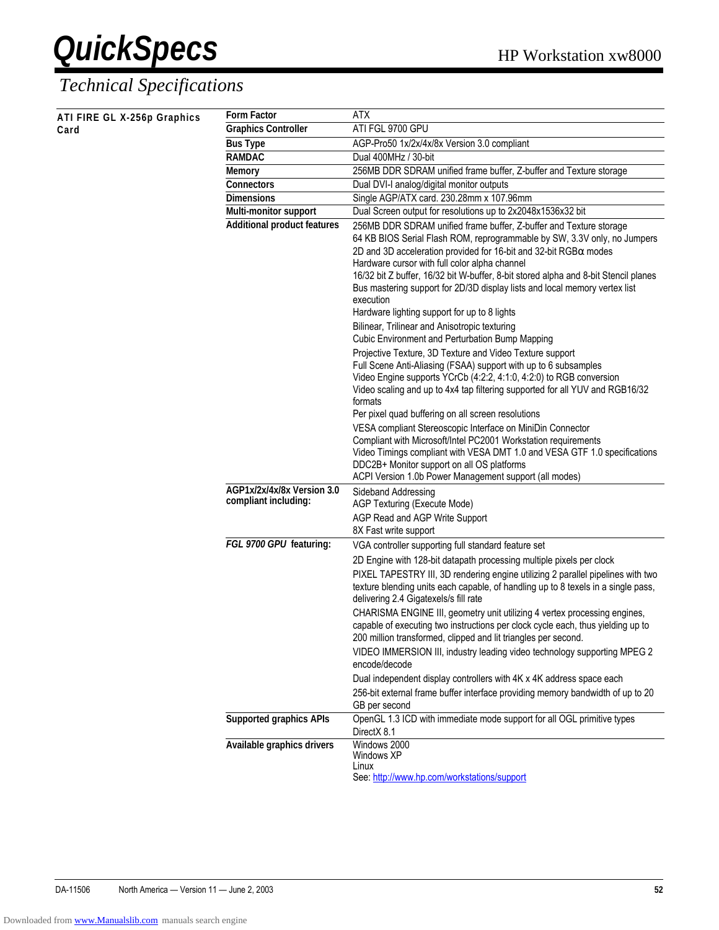| ATI FIRE GL X-256p Graphics | <b>Form Factor</b>                                 | <b>ATX</b>                                                                                                                                                                                                                                                                                                                                                                                                                                                                                                                                                                                                                                                                                                                                                                                                                                                                                              |
|-----------------------------|----------------------------------------------------|---------------------------------------------------------------------------------------------------------------------------------------------------------------------------------------------------------------------------------------------------------------------------------------------------------------------------------------------------------------------------------------------------------------------------------------------------------------------------------------------------------------------------------------------------------------------------------------------------------------------------------------------------------------------------------------------------------------------------------------------------------------------------------------------------------------------------------------------------------------------------------------------------------|
| Card                        | <b>Graphics Controller</b>                         | ATI FGL 9700 GPU                                                                                                                                                                                                                                                                                                                                                                                                                                                                                                                                                                                                                                                                                                                                                                                                                                                                                        |
|                             | <b>Bus Type</b>                                    | AGP-Pro50 1x/2x/4x/8x Version 3.0 compliant                                                                                                                                                                                                                                                                                                                                                                                                                                                                                                                                                                                                                                                                                                                                                                                                                                                             |
|                             | <b>RAMDAC</b>                                      | Dual 400MHz / 30-bit                                                                                                                                                                                                                                                                                                                                                                                                                                                                                                                                                                                                                                                                                                                                                                                                                                                                                    |
|                             | <b>Memory</b>                                      | 256MB DDR SDRAM unified frame buffer, Z-buffer and Texture storage                                                                                                                                                                                                                                                                                                                                                                                                                                                                                                                                                                                                                                                                                                                                                                                                                                      |
|                             | <b>Connectors</b>                                  | Dual DVI-I analog/digital monitor outputs                                                                                                                                                                                                                                                                                                                                                                                                                                                                                                                                                                                                                                                                                                                                                                                                                                                               |
|                             | <b>Dimensions</b>                                  | Single AGP/ATX card. 230.28mm x 107.96mm                                                                                                                                                                                                                                                                                                                                                                                                                                                                                                                                                                                                                                                                                                                                                                                                                                                                |
|                             | Multi-monitor support                              | Dual Screen output for resolutions up to 2x2048x1536x32 bit                                                                                                                                                                                                                                                                                                                                                                                                                                                                                                                                                                                                                                                                                                                                                                                                                                             |
|                             | <b>Additional product features</b>                 | 256MB DDR SDRAM unified frame buffer, Z-buffer and Texture storage<br>64 KB BIOS Serial Flash ROM, reprogrammable by SW, 3.3V only, no Jumpers<br>2D and 3D acceleration provided for 16-bit and 32-bit RGB $\alpha$ modes<br>Hardware cursor with full color alpha channel<br>16/32 bit Z buffer, 16/32 bit W-buffer, 8-bit stored alpha and 8-bit Stencil planes<br>Bus mastering support for 2D/3D display lists and local memory vertex list<br>execution<br>Hardware lighting support for up to 8 lights<br>Bilinear, Trilinear and Anisotropic texturing<br>Cubic Environment and Perturbation Bump Mapping<br>Projective Texture, 3D Texture and Video Texture support<br>Full Scene Anti-Aliasing (FSAA) support with up to 6 subsamples<br>Video Engine supports YCrCb (4:2:2, 4:1:0, 4:2:0) to RGB conversion<br>Video scaling and up to 4x4 tap filtering supported for all YUV and RGB16/32 |
|                             |                                                    | formats                                                                                                                                                                                                                                                                                                                                                                                                                                                                                                                                                                                                                                                                                                                                                                                                                                                                                                 |
|                             |                                                    | Per pixel quad buffering on all screen resolutions                                                                                                                                                                                                                                                                                                                                                                                                                                                                                                                                                                                                                                                                                                                                                                                                                                                      |
|                             |                                                    | VESA compliant Stereoscopic Interface on MiniDin Connector<br>Compliant with Microsoft/Intel PC2001 Workstation requirements<br>Video Timings compliant with VESA DMT 1.0 and VESA GTF 1.0 specifications<br>DDC2B+ Monitor support on all OS platforms<br>ACPI Version 1.0b Power Management support (all modes)                                                                                                                                                                                                                                                                                                                                                                                                                                                                                                                                                                                       |
|                             | AGP1x/2x/4x/8x Version 3.0<br>compliant including: | Sideband Addressing<br>AGP Texturing (Execute Mode)                                                                                                                                                                                                                                                                                                                                                                                                                                                                                                                                                                                                                                                                                                                                                                                                                                                     |
|                             |                                                    | AGP Read and AGP Write Support                                                                                                                                                                                                                                                                                                                                                                                                                                                                                                                                                                                                                                                                                                                                                                                                                                                                          |
|                             |                                                    | 8X Fast write support                                                                                                                                                                                                                                                                                                                                                                                                                                                                                                                                                                                                                                                                                                                                                                                                                                                                                   |
|                             | FGL 9700 GPU featuring:                            | VGA controller supporting full standard feature set                                                                                                                                                                                                                                                                                                                                                                                                                                                                                                                                                                                                                                                                                                                                                                                                                                                     |
|                             |                                                    | 2D Engine with 128-bit datapath processing multiple pixels per clock                                                                                                                                                                                                                                                                                                                                                                                                                                                                                                                                                                                                                                                                                                                                                                                                                                    |
|                             |                                                    | PIXEL TAPESTRY III, 3D rendering engine utilizing 2 parallel pipelines with two<br>texture blending units each capable, of handling up to 8 texels in a single pass,<br>delivering 2.4 Gigatexels/s fill rate                                                                                                                                                                                                                                                                                                                                                                                                                                                                                                                                                                                                                                                                                           |
|                             |                                                    | CHARISMA ENGINE III, geometry unit utilizing 4 vertex processing engines,<br>capable of executing two instructions per clock cycle each, thus yielding up to<br>200 million transformed, clipped and lit triangles per second.                                                                                                                                                                                                                                                                                                                                                                                                                                                                                                                                                                                                                                                                          |
|                             |                                                    | VIDEO IMMERSION III, industry leading video technology supporting MPEG 2<br>encode/decode                                                                                                                                                                                                                                                                                                                                                                                                                                                                                                                                                                                                                                                                                                                                                                                                               |
|                             |                                                    | Dual independent display controllers with 4K x 4K address space each                                                                                                                                                                                                                                                                                                                                                                                                                                                                                                                                                                                                                                                                                                                                                                                                                                    |
|                             |                                                    | 256-bit external frame buffer interface providing memory bandwidth of up to 20<br>GB per second                                                                                                                                                                                                                                                                                                                                                                                                                                                                                                                                                                                                                                                                                                                                                                                                         |
|                             | <b>Supported graphics APIs</b>                     | OpenGL 1.3 ICD with immediate mode support for all OGL primitive types<br>DirectX 8.1                                                                                                                                                                                                                                                                                                                                                                                                                                                                                                                                                                                                                                                                                                                                                                                                                   |
|                             | Available graphics drivers                         | Windows 2000<br>Windows XP<br>Linux<br>See: http://www.hp.com/workstations/support                                                                                                                                                                                                                                                                                                                                                                                                                                                                                                                                                                                                                                                                                                                                                                                                                      |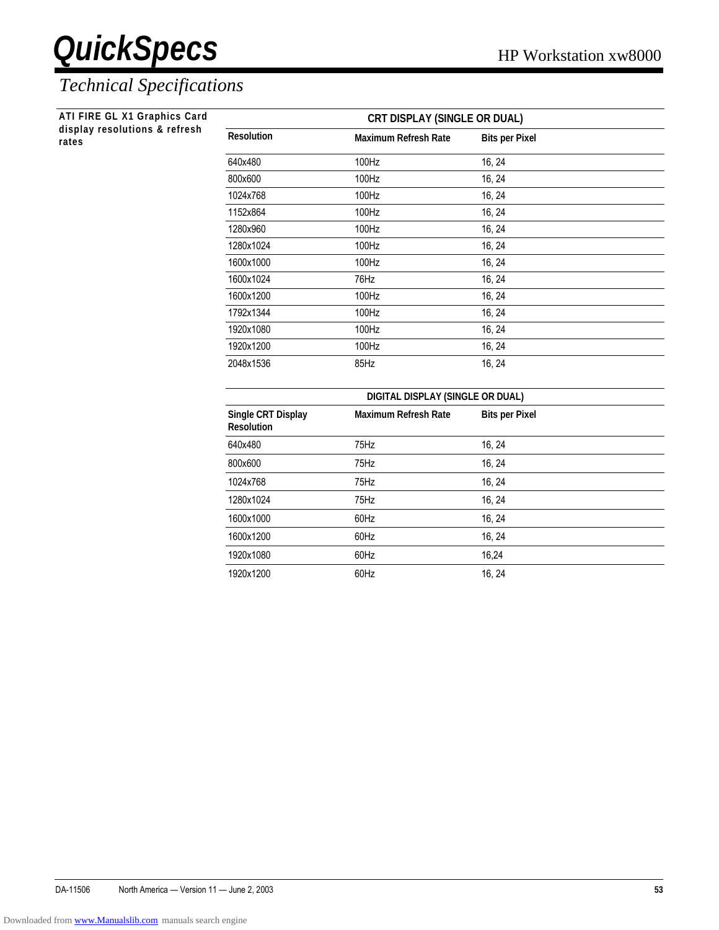#### *Technical Specifications*

**ATI FIRE GL X1 Graphics Card display resolutions & refresh**

| ATI FIRE GL X1 Graphics Card           |                                         | <b>CRT DISPLAY (SINGLE OR DUAL)</b> |                       |  |
|----------------------------------------|-----------------------------------------|-------------------------------------|-----------------------|--|
| display resolutions & refresh<br>rates | <b>Resolution</b>                       | <b>Maximum Refresh Rate</b>         | <b>Bits per Pixel</b> |  |
|                                        | 640x480                                 | 100Hz                               | 16, 24                |  |
|                                        | 800x600                                 | 100Hz                               | 16, 24                |  |
|                                        | 1024x768                                | 100Hz                               | 16, 24                |  |
|                                        | 1152x864                                | 100Hz                               | 16, 24                |  |
|                                        | 1280x960                                | 100Hz                               | 16, 24                |  |
|                                        | 1280x1024                               | 100Hz                               | 16, 24                |  |
|                                        | 1600x1000                               | 100Hz                               | 16, 24                |  |
|                                        | 1600x1024                               | 76Hz                                | 16, 24                |  |
|                                        | 1600x1200                               | 100Hz                               | 16, 24                |  |
|                                        | 1792x1344                               | 100Hz                               | 16, 24                |  |
|                                        | 1920x1080                               | 100Hz                               | 16, 24                |  |
|                                        | 1920x1200                               | 100Hz                               | 16, 24                |  |
|                                        | 2048x1536                               | 85Hz                                | 16, 24                |  |
|                                        |                                         | DIGITAL DISPLAY (SINGLE OR DUAL)    |                       |  |
|                                        | Single CRT Display<br><b>Resolution</b> | <b>Maximum Refresh Rate</b>         | <b>Bits per Pixel</b> |  |
|                                        | 640x480                                 | 75Hz                                | 16, 24                |  |
|                                        | 800x600                                 | 75Hz                                | 16, 24                |  |
|                                        | 1024x768                                | 75Hz                                | 16, 24                |  |
|                                        | 1280x1024                               | 75Hz                                | 16, 24                |  |
|                                        | 1600x1000                               | 60Hz                                | 16, 24                |  |
|                                        | 1600x1200                               | 60Hz                                | 16, 24                |  |
|                                        | 1920x1080                               | 60Hz                                | 16,24                 |  |
|                                        |                                         |                                     |                       |  |

1920x1200 60Hz 60Hz 16, 24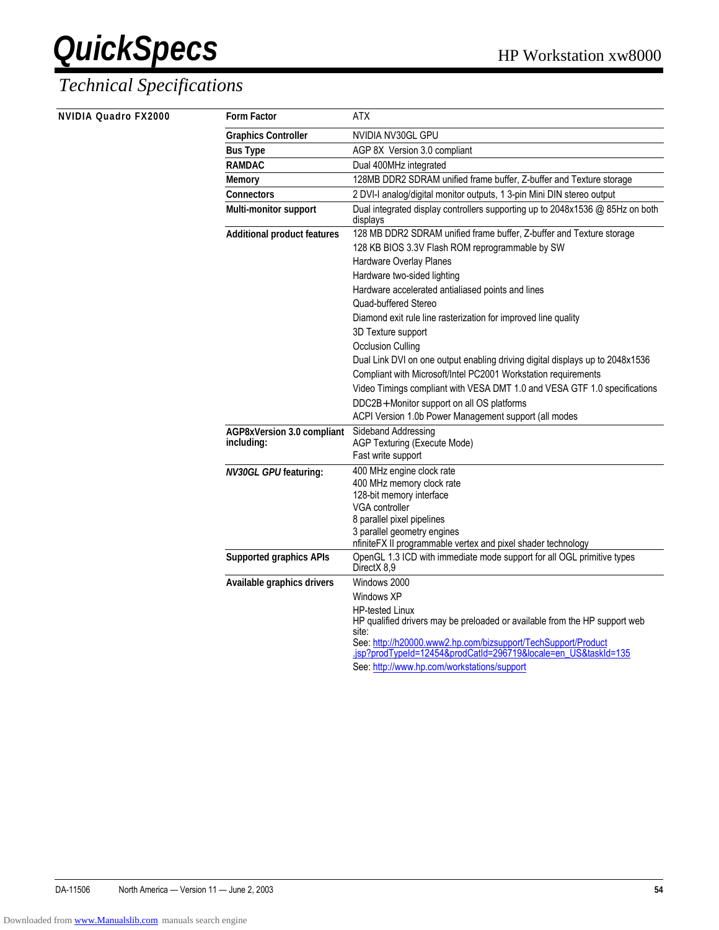| <b>NVIDIA Quadro FX2000</b> | <b>Form Factor</b>                 | <b>ATX</b>                                                                                                                                                                                                                                       |
|-----------------------------|------------------------------------|--------------------------------------------------------------------------------------------------------------------------------------------------------------------------------------------------------------------------------------------------|
|                             | <b>Graphics Controller</b>         | NVIDIA NV30GL GPU                                                                                                                                                                                                                                |
|                             | <b>Bus Type</b>                    | AGP 8X Version 3.0 compliant                                                                                                                                                                                                                     |
|                             | <b>RAMDAC</b>                      | Dual 400MHz integrated                                                                                                                                                                                                                           |
|                             | <b>Memory</b>                      | 128MB DDR2 SDRAM unified frame buffer, Z-buffer and Texture storage                                                                                                                                                                              |
|                             | <b>Connectors</b>                  | 2 DVI-I analog/digital monitor outputs, 1 3-pin Mini DIN stereo output                                                                                                                                                                           |
|                             | Multi-monitor support              | Dual integrated display controllers supporting up to 2048x1536 @ 85Hz on both<br>displays                                                                                                                                                        |
|                             | <b>Additional product features</b> | 128 MB DDR2 SDRAM unified frame buffer, Z-buffer and Texture storage                                                                                                                                                                             |
|                             |                                    | 128 KB BIOS 3.3V Flash ROM reprogrammable by SW                                                                                                                                                                                                  |
|                             |                                    | Hardware Overlay Planes                                                                                                                                                                                                                          |
|                             |                                    | Hardware two-sided lighting                                                                                                                                                                                                                      |
|                             |                                    | Hardware accelerated antialiased points and lines                                                                                                                                                                                                |
|                             |                                    | Quad-buffered Stereo                                                                                                                                                                                                                             |
|                             |                                    | Diamond exit rule line rasterization for improved line quality                                                                                                                                                                                   |
|                             |                                    | 3D Texture support                                                                                                                                                                                                                               |
|                             |                                    | <b>Occlusion Culling</b>                                                                                                                                                                                                                         |
|                             |                                    | Dual Link DVI on one output enabling driving digital displays up to 2048x1536                                                                                                                                                                    |
|                             |                                    | Compliant with Microsoft/Intel PC2001 Workstation requirements                                                                                                                                                                                   |
|                             |                                    | Video Timings compliant with VESA DMT 1.0 and VESA GTF 1.0 specifications                                                                                                                                                                        |
|                             |                                    | DDC2B+ Monitor support on all OS platforms                                                                                                                                                                                                       |
|                             |                                    | ACPI Version 1.0b Power Management support (all modes                                                                                                                                                                                            |
|                             | AGP8xVersion 3.0 compliant         | Sideband Addressing                                                                                                                                                                                                                              |
|                             | including:                         | AGP Texturing (Execute Mode)                                                                                                                                                                                                                     |
|                             |                                    | Fast write support                                                                                                                                                                                                                               |
|                             | <b>NV30GL GPUfeaturing:</b>        | 400 MHz engine clock rate                                                                                                                                                                                                                        |
|                             |                                    | 400 MHz memory clock rate<br>128-bit memory interface                                                                                                                                                                                            |
|                             |                                    | VGA controller                                                                                                                                                                                                                                   |
|                             |                                    | 8 parallel pixel pipelines                                                                                                                                                                                                                       |
|                             |                                    | 3 parallel geometry engines                                                                                                                                                                                                                      |
|                             |                                    | nfiniteFX II programmable vertex and pixel shader technology                                                                                                                                                                                     |
|                             | <b>Supported graphics APIs</b>     | OpenGL 1.3 ICD with immediate mode support for all OGL primitive types<br>DirectX 8,9                                                                                                                                                            |
|                             | Available graphics drivers         | Windows 2000                                                                                                                                                                                                                                     |
|                             |                                    | Windows XP                                                                                                                                                                                                                                       |
|                             |                                    | <b>HP-tested Linux</b><br>HP qualified drivers may be preloaded or available from the HP support web<br>site:<br>See: http://h20000.www2.hp.com/bizsupport/TechSupport/Product<br>.jsp?prodTypeId=12454&prodCatId=296719&locale=en_US&taskId=135 |
|                             |                                    | See: http://www.hp.com/workstations/support                                                                                                                                                                                                      |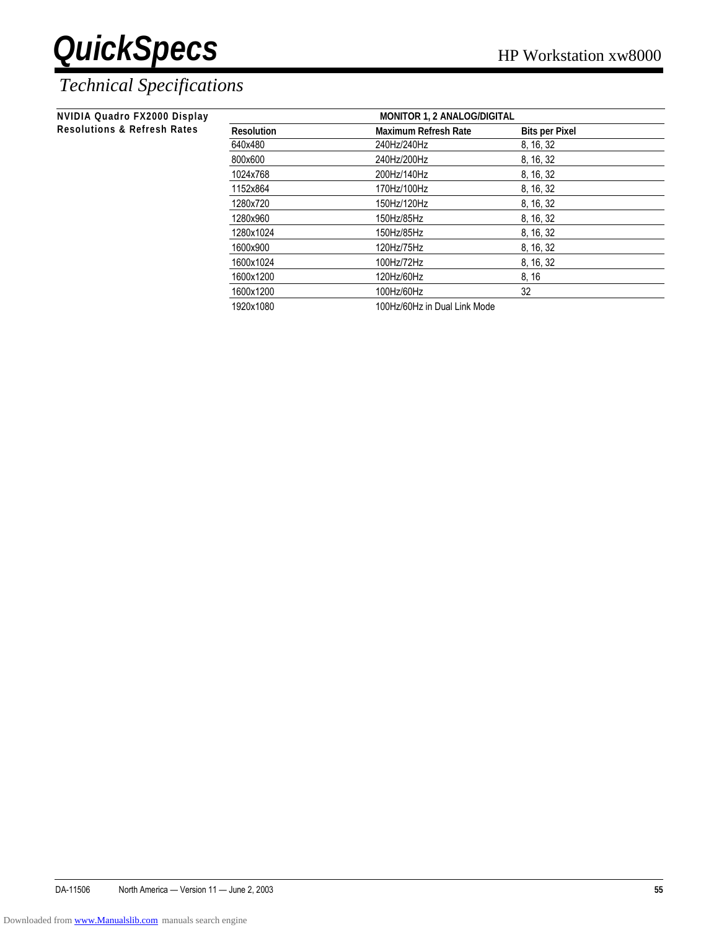| NVIDIA Quadro FX2000 Display           | <b>MONITOR 1, 2 ANALOG/DIGITAL</b> |                              |                       |  |  |
|----------------------------------------|------------------------------------|------------------------------|-----------------------|--|--|
| <b>Resolutions &amp; Refresh Rates</b> | <b>Resolution</b>                  | <b>Maximum Refresh Rate</b>  | <b>Bits per Pixel</b> |  |  |
|                                        | 640x480                            | 240Hz/240Hz                  | 8, 16, 32             |  |  |
|                                        | 800x600                            | 240Hz/200Hz                  | 8, 16, 32             |  |  |
|                                        | 1024x768                           | 200Hz/140Hz                  | 8, 16, 32             |  |  |
|                                        | 1152x864                           | 170Hz/100Hz                  | 8, 16, 32             |  |  |
|                                        | 1280x720                           | 150Hz/120Hz                  | 8, 16, 32             |  |  |
|                                        | 1280x960                           | 150Hz/85Hz                   | 8, 16, 32             |  |  |
|                                        | 1280x1024                          | 150Hz/85Hz                   | 8, 16, 32             |  |  |
|                                        | 1600x900                           | 120Hz/75Hz                   | 8, 16, 32             |  |  |
|                                        | 1600x1024                          | 100Hz/72Hz                   | 8, 16, 32             |  |  |
|                                        | 1600x1200                          | 120Hz/60Hz                   | 8, 16                 |  |  |
|                                        | 1600x1200                          | 100Hz/60Hz                   | 32                    |  |  |
|                                        | 1920x1080                          | 100Hz/60Hz in Dual Link Mode |                       |  |  |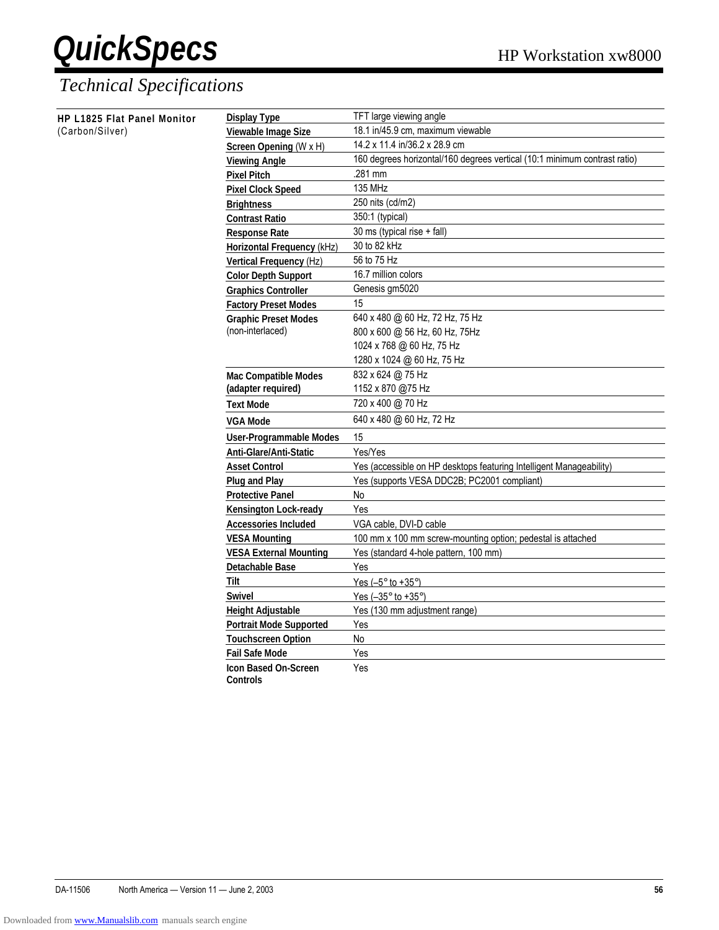| HP L1825 Flat Panel Monitor | <b>Display Type</b>               | TFT large viewing angle                                                   |
|-----------------------------|-----------------------------------|---------------------------------------------------------------------------|
| (Carbon/Silver)             | Viewable Image Size               | 18.1 in/45.9 cm, maximum viewable                                         |
|                             | Screen Opening (W x H)            | 14.2 x 11.4 in/36.2 x 28.9 cm                                             |
|                             | <b>Viewing Angle</b>              | 160 degrees horizontal/160 degrees vertical (10:1 minimum contrast ratio) |
|                             | <b>Pixel Pitch</b>                | .281 mm                                                                   |
|                             | <b>Pixel Clock Speed</b>          | 135 MHz                                                                   |
|                             | <b>Brightness</b>                 | 250 nits (cd/m2)                                                          |
|                             | <b>Contrast Ratio</b>             | 350:1 (typical)                                                           |
|                             | <b>Response Rate</b>              | 30 ms (typical rise + fall)                                               |
|                             | <b>Horizontal Frequency (kHz)</b> | 30 to 82 kHz                                                              |
|                             | Vertical Frequency (Hz)           | 56 to 75 Hz                                                               |
|                             | <b>Color Depth Support</b>        | 16.7 million colors                                                       |
|                             | <b>Graphics Controller</b>        | Genesis gm5020                                                            |
|                             | <b>Factory Preset Modes</b>       | 15                                                                        |
|                             | <b>Graphic Preset Modes</b>       | 640 x 480 @ 60 Hz, 72 Hz, 75 Hz                                           |
|                             | (non-interlaced)                  | 800 x 600 @ 56 Hz, 60 Hz, 75Hz                                            |
|                             |                                   | 1024 x 768 @ 60 Hz, 75 Hz                                                 |
|                             |                                   | 1280 x 1024 @ 60 Hz, 75 Hz                                                |
|                             | <b>Mac Compatible Modes</b>       | 832 x 624 @ 75 Hz                                                         |
|                             | (adapter required)                | 1152 x 870 @75 Hz                                                         |
|                             | <b>Text Mode</b>                  | 720 x 400 @ 70 Hz                                                         |
|                             | <b>VGA Mode</b>                   | 640 x 480 @ 60 Hz, 72 Hz                                                  |
|                             | <b>User-Programmable Modes</b>    | 15                                                                        |
|                             | Anti-Glare/Anti-Static            | Yes/Yes                                                                   |
|                             | <b>Asset Control</b>              | Yes (accessible on HP desktops featuring Intelligent Manageability)       |
|                             | <b>Plug and Play</b>              | Yes (supports VESA DDC2B; PC2001 compliant)                               |
|                             | <b>Protective Panel</b>           | No                                                                        |
|                             | <b>Kensington Lock-ready</b>      | Yes                                                                       |
|                             | <b>Accessories Included</b>       | VGA cable, DVI-D cable                                                    |
|                             | <b>VESA Mounting</b>              | 100 mm x 100 mm screw-mounting option; pedestal is attached               |
|                             | <b>VESA External Mounting</b>     | Yes (standard 4-hole pattern, 100 mm)                                     |
|                             | Detachable Base                   | Yes                                                                       |
|                             | Tilt                              | Yes $(-5^\circ$ to $+35^\circ)$                                           |
|                             | <b>Swivel</b>                     | Yes $(-35^\circ$ to $+35^\circ)$                                          |
|                             | <b>Height Adjustable</b>          | Yes (130 mm adjustment range)                                             |
|                             | <b>Portrait Mode Supported</b>    | Yes                                                                       |
|                             | <b>Touchscreen Option</b>         | No                                                                        |
|                             | <b>Fail Safe Mode</b>             | Yes                                                                       |
|                             | <b>Icon Based On-Screen</b>       | Yes                                                                       |
|                             | <b>Controls</b>                   |                                                                           |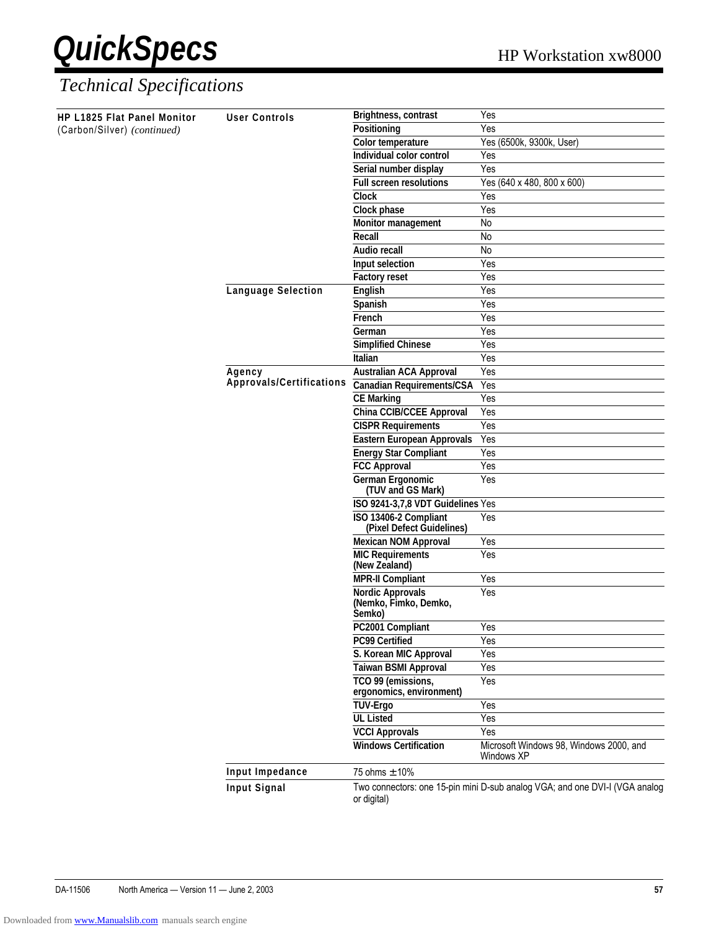

| HP L1825 Flat Panel Monitor | <b>User Controls</b>      | Brightness, contrast<br>Yes                                                                         |                                                                             |
|-----------------------------|---------------------------|-----------------------------------------------------------------------------------------------------|-----------------------------------------------------------------------------|
| (Carbon/Silver) (continued) |                           | Positioning                                                                                         | Yes                                                                         |
|                             |                           | Color temperature                                                                                   | Yes (6500k, 9300k, User)                                                    |
|                             |                           | Individual color control                                                                            | Yes                                                                         |
|                             |                           | Serial number display                                                                               | Yes                                                                         |
|                             |                           | <b>Full screen resolutions</b>                                                                      | Yes (640 x 480, 800 x 600)                                                  |
|                             |                           | <b>Clock</b>                                                                                        | Yes                                                                         |
|                             |                           | Clock phase                                                                                         | Yes                                                                         |
|                             |                           | Monitor management                                                                                  | No                                                                          |
|                             |                           | Recall                                                                                              | No                                                                          |
|                             |                           | <b>Audio recall</b>                                                                                 | No                                                                          |
|                             |                           | Input selection                                                                                     | Yes                                                                         |
|                             |                           | <b>Factory reset</b>                                                                                | Yes                                                                         |
|                             | <b>Language Selection</b> | English                                                                                             | Yes                                                                         |
|                             |                           | Spanish                                                                                             | Yes                                                                         |
|                             |                           | French                                                                                              | Yes                                                                         |
|                             |                           | German                                                                                              | Yes                                                                         |
|                             |                           | <b>Simplified Chinese</b>                                                                           | Yes                                                                         |
|                             |                           | Italian                                                                                             | Yes                                                                         |
|                             | Agency                    | <b>Australian ACA Approval</b>                                                                      | Yes                                                                         |
|                             | Approvals/Certifications  | <b>Canadian Requirements/CSA</b>                                                                    | Yes                                                                         |
|                             |                           | <b>CE Marking</b>                                                                                   | Yes                                                                         |
|                             |                           | China CCIB/CCEE Approval                                                                            | Yes                                                                         |
|                             |                           | <b>CISPR Requirements</b>                                                                           | Yes                                                                         |
|                             |                           | <b>Eastern European Approvals</b>                                                                   | Yes                                                                         |
|                             |                           | <b>Energy Star Compliant</b>                                                                        | Yes                                                                         |
|                             |                           | <b>FCC Approval</b>                                                                                 | Yes                                                                         |
|                             |                           | German Ergonomic                                                                                    | Yes                                                                         |
|                             |                           | (TUV and GS Mark)                                                                                   |                                                                             |
|                             |                           | ISO 9241-3,7,8 VDT Guidelines Yes                                                                   |                                                                             |
|                             |                           | ISO 13406-2 Compliant                                                                               | Yes                                                                         |
|                             |                           | (Pixel Defect Guidelines)                                                                           |                                                                             |
|                             |                           | <b>Mexican NOM Approval</b>                                                                         | Yes                                                                         |
|                             |                           | <b>MIC Requirements</b><br>(New Zealand)                                                            | Yes                                                                         |
|                             |                           | Yes<br><b>MPR-II Compliant</b><br>Yes<br><b>Nordic Approvals</b><br>(Nemko, Fimko, Demko,<br>Semko) |                                                                             |
|                             |                           |                                                                                                     |                                                                             |
|                             |                           | PC2001 Compliant                                                                                    | Yes                                                                         |
|                             |                           | <b>PC99 Certified</b>                                                                               | Yes                                                                         |
|                             |                           | S. Korean MIC Approval                                                                              | Yes                                                                         |
|                             |                           | <b>Taiwan BSMI Approval</b>                                                                         | Yes                                                                         |
|                             |                           | TCO 99 (emissions,                                                                                  | Yes                                                                         |
|                             |                           | ergonomics, environment)                                                                            |                                                                             |
|                             |                           | <b>TUV-Ergo</b>                                                                                     | Yes                                                                         |
|                             |                           | <b>UL Listed</b>                                                                                    | Yes                                                                         |
|                             |                           | <b>VCCI Approvals</b>                                                                               | Yes                                                                         |
|                             |                           | <b>Windows Certification</b>                                                                        | Microsoft Windows 98, Windows 2000, and<br>Windows XP                       |
|                             | Input Impedance           | 75 ohms ± 10%                                                                                       |                                                                             |
|                             | Input Signal              |                                                                                                     | Two connectors: one 15-pin mini D-sub analog VGA; and one DVI-I (VGA analog |
|                             |                           | or digital)                                                                                         |                                                                             |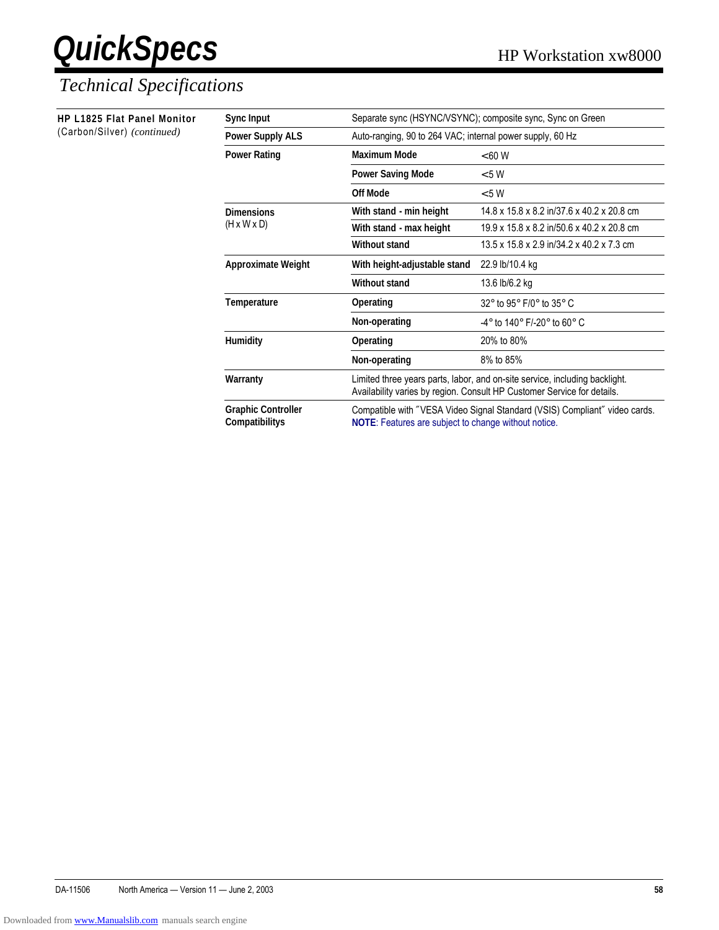### *Technical Specifications*

| <b>HP L1825 Flat Panel Monitor</b> | Sync Input                                  | Separate sync (HSYNC/VSYNC); composite sync, Sync on Green                                                                                             |                                                                 |
|------------------------------------|---------------------------------------------|--------------------------------------------------------------------------------------------------------------------------------------------------------|-----------------------------------------------------------------|
| (Carbon/Silver) (continued)        | <b>Power Supply ALS</b>                     | Auto-ranging, 90 to 264 VAC; internal power supply, 60 Hz                                                                                              |                                                                 |
|                                    | <b>Power Rating</b>                         | <b>Maximum Mode</b>                                                                                                                                    | < 60 W                                                          |
|                                    |                                             | <b>Power Saving Mode</b>                                                                                                                               | < 5 W                                                           |
|                                    |                                             | <b>Off Mode</b>                                                                                                                                        | < 5 W                                                           |
|                                    | <b>Dimensions</b>                           | With stand - min height                                                                                                                                | 14.8 x 15.8 x 8.2 in/37.6 x 40.2 x 20.8 cm                      |
|                                    | $(H \times W \times D)$                     | With stand - max height<br><b>Without stand</b>                                                                                                        | 19.9 x 15.8 x 8.2 in/50.6 x 40.2 x 20.8 cm                      |
|                                    |                                             |                                                                                                                                                        | 13.5 x 15.8 x 2.9 in/34.2 x 40.2 x 7.3 cm                       |
|                                    | <b>Approximate Weight</b>                   | With height-adjustable stand<br>22.9 lb/10.4 kg<br><b>Without stand</b><br>13.6 lb/6.2 kg                                                              |                                                                 |
|                                    |                                             |                                                                                                                                                        |                                                                 |
|                                    | Temperature                                 | Operating                                                                                                                                              | $32^{\circ}$ to 95 $^{\circ}$ F/0 $^{\circ}$ to 35 $^{\circ}$ C |
|                                    |                                             | Non-operating                                                                                                                                          | -4° to 140° F/-20° to 60° C                                     |
|                                    | <b>Humidity</b>                             | Operating                                                                                                                                              | 20% to 80%                                                      |
|                                    |                                             | Non-operating                                                                                                                                          | 8% to 85%                                                       |
|                                    | Warranty                                    | Limited three years parts, labor, and on-site service, including backlight.<br>Availability varies by region. Consult HP Customer Service for details. |                                                                 |
|                                    | <b>Graphic Controller</b><br>Compatibilitys | Compatible with "VESA Video Signal Standard (VSIS) Compliant" video cards.<br>NOTE: Features are subject to change without notice.                     |                                                                 |

DA-11506 North America — Version 11 — June 2, 2003 **58**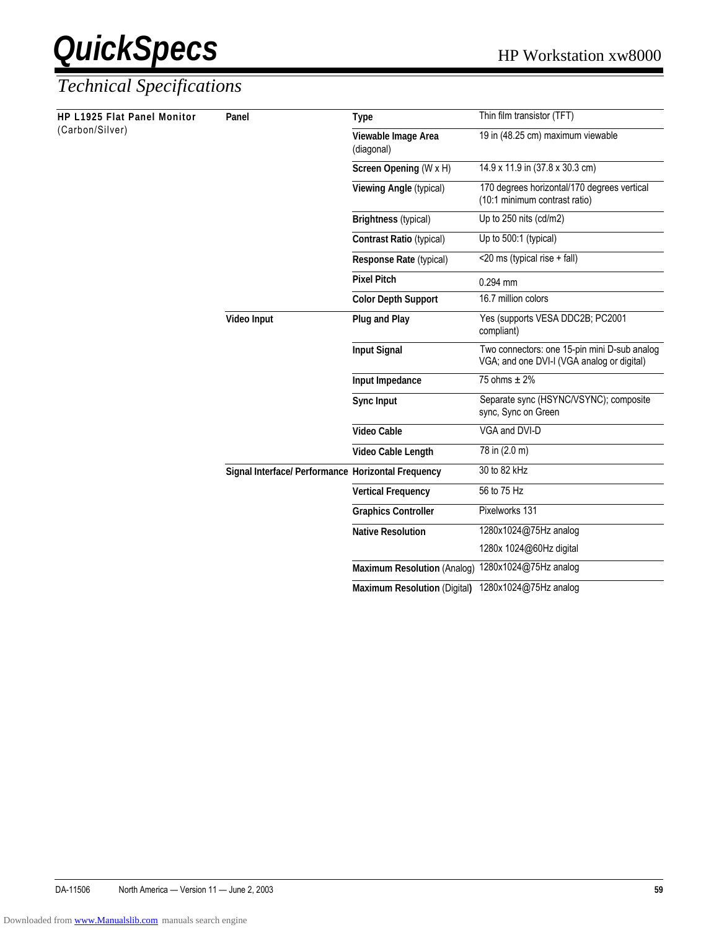| HP L1925 Flat Panel Monitor<br>(Carbon/Silver) | Panel                                              | <b>Type</b>                                                  | Thin film transistor (TFT)                                                                 |
|------------------------------------------------|----------------------------------------------------|--------------------------------------------------------------|--------------------------------------------------------------------------------------------|
|                                                |                                                    | Viewable Image Area<br>(diagonal)                            | 19 in (48.25 cm) maximum viewable                                                          |
|                                                |                                                    | Screen Opening (W x H)                                       | 14.9 x 11.9 in (37.8 x 30.3 cm)                                                            |
|                                                |                                                    | Viewing Angle (typical)                                      | 170 degrees horizontal/170 degrees vertical<br>(10:1 minimum contrast ratio)               |
|                                                |                                                    | <b>Brightness (typical)</b>                                  | Up to 250 nits (cd/m2)                                                                     |
|                                                |                                                    | <b>Contrast Ratio (typical)</b>                              | Up to 500:1 (typical)                                                                      |
|                                                |                                                    | Response Rate (typical)                                      | <20 ms (typical rise + fall)                                                               |
|                                                |                                                    | <b>Pixel Pitch</b><br>$0.294$ mm                             |                                                                                            |
|                                                |                                                    | <b>Color Depth Support</b>                                   | 16.7 million colors                                                                        |
|                                                | Video Input                                        | Plug and Play                                                | Yes (supports VESA DDC2B; PC2001<br>compliant)                                             |
|                                                |                                                    | <b>Input Signal</b>                                          | Two connectors: one 15-pin mini D-sub analog<br>VGA; and one DVI-I (VGA analog or digital) |
|                                                |                                                    | Input Impedance                                              |                                                                                            |
|                                                |                                                    | 75 ohms $\pm$ 2%<br><b>Sync Input</b><br>sync, Sync on Green | Separate sync (HSYNC/VSYNC); composite                                                     |
|                                                |                                                    | <b>Video Cable</b>                                           | VGA and DVI-D                                                                              |
|                                                |                                                    | Video Cable Length                                           | 78 in (2.0 m)                                                                              |
|                                                | Signal Interface/ Performance Horizontal Frequency |                                                              | 30 to 82 kHz                                                                               |
|                                                |                                                    | <b>Vertical Frequency</b>                                    | 56 to 75 Hz                                                                                |
|                                                |                                                    | <b>Graphics Controller</b>                                   | Pixelworks 131                                                                             |
|                                                |                                                    | <b>Native Resolution</b>                                     | 1280x1024@75Hz analog                                                                      |
|                                                |                                                    |                                                              | 1280x 1024@60Hz digital                                                                    |
|                                                |                                                    | <b>Maximum Resolution (Analog)</b>                           | 1280x1024@75Hz analog                                                                      |
|                                                |                                                    | <b>Maximum Resolution (Digital)</b>                          | 1280x1024@75Hz analog                                                                      |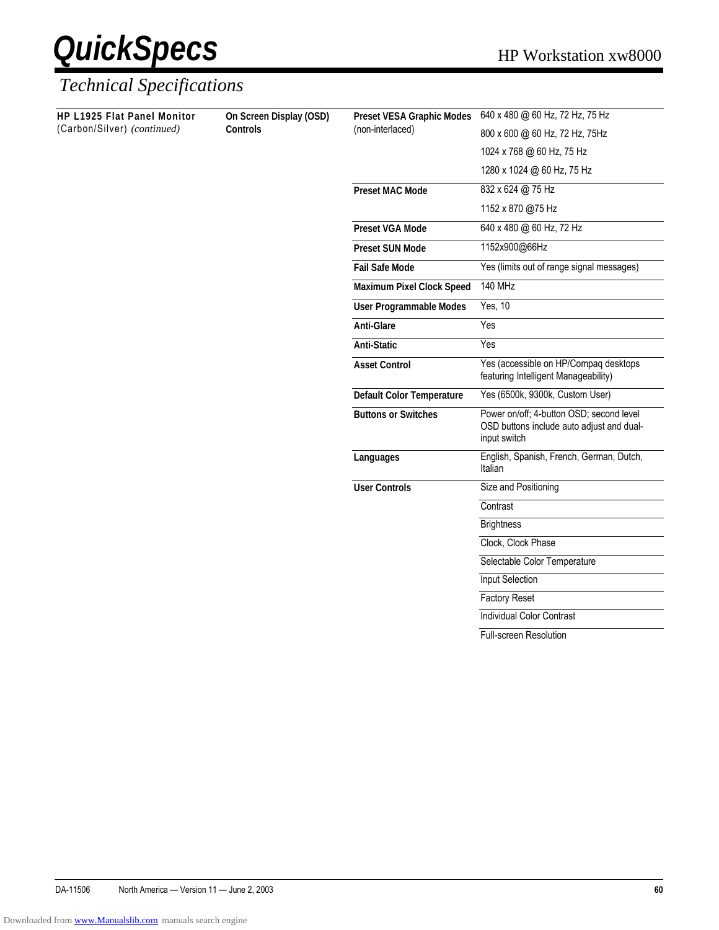

#### *Technical Specifications*

**HP L1925 Flat Panel Monitor** (Carbon/Silver) *(continued)*

**On Screen Display (OSD) Controls**

| <b>Preset VESA Graphic Modes</b> | 640 x 480 @ 60 Hz, 72 Hz, 75 Hz                                                                       |
|----------------------------------|-------------------------------------------------------------------------------------------------------|
| (non-interlaced)                 | 800 x 600 @ 60 Hz, 72 Hz, 75Hz                                                                        |
|                                  | 1024 x 768 @ 60 Hz, 75 Hz                                                                             |
|                                  | 1280 x 1024 @ 60 Hz, 75 Hz                                                                            |
| <b>Preset MAC Mode</b>           | 832 x 624 @ 75 Hz                                                                                     |
|                                  | 1152 x 870 @75 Hz                                                                                     |
| <b>Preset VGA Mode</b>           | 640 x 480 @ 60 Hz, 72 Hz                                                                              |
| <b>Preset SUN Mode</b>           | 1152x900@66Hz                                                                                         |
| <b>Fail Safe Mode</b>            | Yes (limits out of range signal messages)                                                             |
| Maximum Pixel Clock Speed        | <b>140 MHz</b>                                                                                        |
| User Programmable Modes          | Yes, 10                                                                                               |
| <b>Anti-Glare</b>                | Yes                                                                                                   |
| <b>Anti-Static</b>               | Yes                                                                                                   |
| <b>Asset Control</b>             | Yes (accessible on HP/Compaq desktops<br>featuring Intelligent Manageability)                         |
| Default Color Temperature        | Yes (6500k, 9300k, Custom User)                                                                       |
| <b>Buttons or Switches</b>       | Power on/off; 4-button OSD; second level<br>OSD buttons include auto adjust and dual-<br>input switch |
| Languages                        | English, Spanish, French, German, Dutch,<br>Italian                                                   |
| <b>User Controls</b>             | Size and Positioning                                                                                  |
|                                  | Contrast                                                                                              |
|                                  | <b>Brightness</b>                                                                                     |
|                                  | Clock, Clock Phase                                                                                    |
|                                  | Selectable Color Temperature                                                                          |
|                                  | Input Selection                                                                                       |
|                                  | <b>Factory Reset</b>                                                                                  |
|                                  | <b>Individual Color Contrast</b>                                                                      |
|                                  |                                                                                                       |

Full-screen Resolution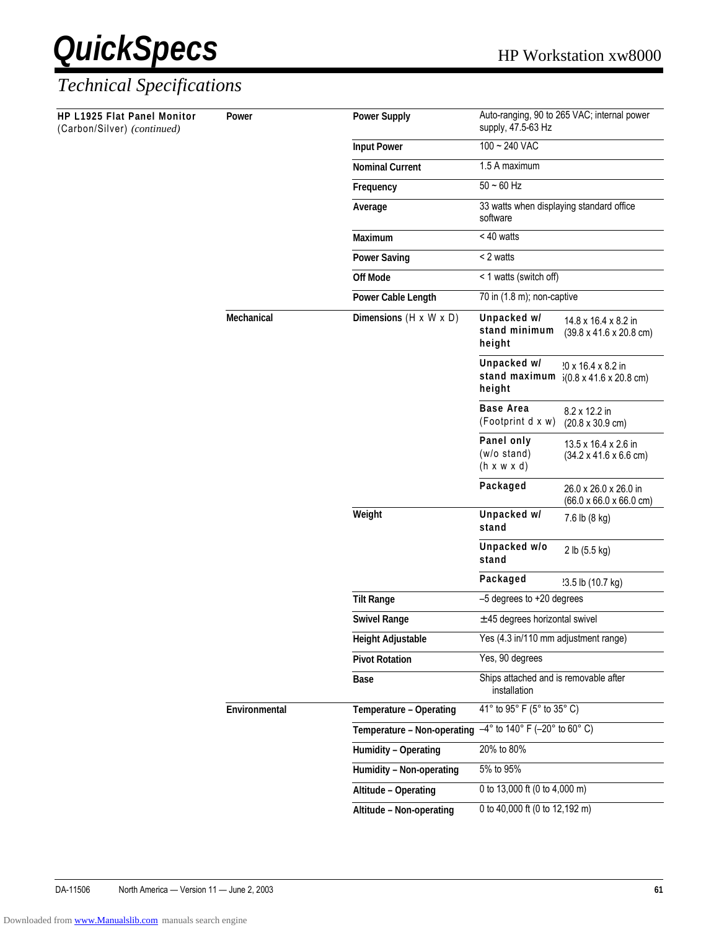| <b>HP L1925 Flat Panel Monitor</b><br>(Carbon/Silver) (continued) | Power         | <b>Power Supply</b>                                                           | supply, 47.5-63 Hz                                                                                                                          |                                                                                                                                                                                                                                                                                                                                                                                                                                                                                                                                                                                                                                                                                                                              |  |  |
|-------------------------------------------------------------------|---------------|-------------------------------------------------------------------------------|---------------------------------------------------------------------------------------------------------------------------------------------|------------------------------------------------------------------------------------------------------------------------------------------------------------------------------------------------------------------------------------------------------------------------------------------------------------------------------------------------------------------------------------------------------------------------------------------------------------------------------------------------------------------------------------------------------------------------------------------------------------------------------------------------------------------------------------------------------------------------------|--|--|
|                                                                   |               | <b>Input Power</b>                                                            | 100 ~ 240 VAC                                                                                                                               |                                                                                                                                                                                                                                                                                                                                                                                                                                                                                                                                                                                                                                                                                                                              |  |  |
|                                                                   |               | <b>Nominal Current</b>                                                        | 1.5 A maximum                                                                                                                               |                                                                                                                                                                                                                                                                                                                                                                                                                                                                                                                                                                                                                                                                                                                              |  |  |
|                                                                   |               | Frequency                                                                     | $50 - 60$ Hz                                                                                                                                |                                                                                                                                                                                                                                                                                                                                                                                                                                                                                                                                                                                                                                                                                                                              |  |  |
|                                                                   |               | Average                                                                       | software                                                                                                                                    |                                                                                                                                                                                                                                                                                                                                                                                                                                                                                                                                                                                                                                                                                                                              |  |  |
|                                                                   |               | Maximum                                                                       | < 40 watts                                                                                                                                  |                                                                                                                                                                                                                                                                                                                                                                                                                                                                                                                                                                                                                                                                                                                              |  |  |
|                                                                   |               | <b>Power Saving</b>                                                           | < 2 watts                                                                                                                                   |                                                                                                                                                                                                                                                                                                                                                                                                                                                                                                                                                                                                                                                                                                                              |  |  |
|                                                                   |               | <b>Off Mode</b>                                                               | < 1 watts (switch off)                                                                                                                      |                                                                                                                                                                                                                                                                                                                                                                                                                                                                                                                                                                                                                                                                                                                              |  |  |
|                                                                   |               | Power Cable Length                                                            |                                                                                                                                             | Auto-ranging, 90 to 265 VAC; internal power<br>33 watts when displaying standard office<br>70 in (1.8 m); non-captive<br>14.8 x 16.4 x 8.2 in<br>$(39.8 \times 41.6 \times 20.8 \text{ cm})$<br>'0 x 16.4 x 8.2 in<br>$5(0.8 \times 41.6 \times 20.8 \text{ cm})$<br>8.2 x 12.2 in<br>$(20.8 \times 30.9 \text{ cm})$<br>13.5 x 16.4 x 2.6 in<br>$(34.2 \times 41.6 \times 6.6 \text{ cm})$<br>26.0 x 26.0 x 26.0 in<br>$(66.0 \times 66.0 \times 66.0 \text{ cm})$<br>7.6 lb (8 kg)<br>2 lb (5.5 kg)<br>'3.5 lb (10.7 kg)<br>-5 degrees to +20 degrees<br>$\pm$ 45 degrees horizontal swivel<br>Yes (4.3 in/110 mm adjustment range)<br>Ships attached and is removable after<br>installation<br>41° to 95° F (5° to 35° C) |  |  |
|                                                                   | Mechanical    | Dimensions $(H \times W \times D)$                                            | Unpacked w/<br>stand minimum<br>height                                                                                                      |                                                                                                                                                                                                                                                                                                                                                                                                                                                                                                                                                                                                                                                                                                                              |  |  |
|                                                                   |               |                                                                               | Unpacked w/<br>stand maximum<br>height                                                                                                      |                                                                                                                                                                                                                                                                                                                                                                                                                                                                                                                                                                                                                                                                                                                              |  |  |
|                                                                   |               |                                                                               | <b>Base Area</b><br>(Footprint d x w)<br>Panel only<br>(w/o stand)<br>$(h \times w \times d)$<br>Packaged<br>Weight<br>Unpacked w/<br>stand |                                                                                                                                                                                                                                                                                                                                                                                                                                                                                                                                                                                                                                                                                                                              |  |  |
|                                                                   |               |                                                                               |                                                                                                                                             |                                                                                                                                                                                                                                                                                                                                                                                                                                                                                                                                                                                                                                                                                                                              |  |  |
|                                                                   |               |                                                                               |                                                                                                                                             |                                                                                                                                                                                                                                                                                                                                                                                                                                                                                                                                                                                                                                                                                                                              |  |  |
|                                                                   |               |                                                                               |                                                                                                                                             |                                                                                                                                                                                                                                                                                                                                                                                                                                                                                                                                                                                                                                                                                                                              |  |  |
|                                                                   |               |                                                                               | Unpacked w/o<br>stand                                                                                                                       |                                                                                                                                                                                                                                                                                                                                                                                                                                                                                                                                                                                                                                                                                                                              |  |  |
|                                                                   |               |                                                                               | Packaged                                                                                                                                    |                                                                                                                                                                                                                                                                                                                                                                                                                                                                                                                                                                                                                                                                                                                              |  |  |
|                                                                   |               | <b>Tilt Range</b>                                                             |                                                                                                                                             |                                                                                                                                                                                                                                                                                                                                                                                                                                                                                                                                                                                                                                                                                                                              |  |  |
|                                                                   |               | <b>Swivel Range</b>                                                           |                                                                                                                                             |                                                                                                                                                                                                                                                                                                                                                                                                                                                                                                                                                                                                                                                                                                                              |  |  |
|                                                                   |               | <b>Height Adjustable</b>                                                      |                                                                                                                                             |                                                                                                                                                                                                                                                                                                                                                                                                                                                                                                                                                                                                                                                                                                                              |  |  |
|                                                                   |               | <b>Pivot Rotation</b>                                                         | Yes, 90 degrees                                                                                                                             |                                                                                                                                                                                                                                                                                                                                                                                                                                                                                                                                                                                                                                                                                                                              |  |  |
|                                                                   |               | <b>Base</b>                                                                   |                                                                                                                                             |                                                                                                                                                                                                                                                                                                                                                                                                                                                                                                                                                                                                                                                                                                                              |  |  |
|                                                                   | Environmental | Temperature - Operating                                                       |                                                                                                                                             |                                                                                                                                                                                                                                                                                                                                                                                                                                                                                                                                                                                                                                                                                                                              |  |  |
|                                                                   |               | Temperature – Non-operating $\overline{-4^{\circ}}$ to 140° F (-20° to 60° C) |                                                                                                                                             |                                                                                                                                                                                                                                                                                                                                                                                                                                                                                                                                                                                                                                                                                                                              |  |  |
|                                                                   |               | Humidity - Operating                                                          | 20% to 80%                                                                                                                                  |                                                                                                                                                                                                                                                                                                                                                                                                                                                                                                                                                                                                                                                                                                                              |  |  |
|                                                                   |               | Humidity - Non-operating                                                      | 5% to 95%                                                                                                                                   |                                                                                                                                                                                                                                                                                                                                                                                                                                                                                                                                                                                                                                                                                                                              |  |  |
|                                                                   |               | Altitude - Operating                                                          | 0 to 13,000 ft (0 to 4,000 m)                                                                                                               |                                                                                                                                                                                                                                                                                                                                                                                                                                                                                                                                                                                                                                                                                                                              |  |  |
|                                                                   |               | Altitude - Non-operating                                                      | 0 to 40,000 ft (0 to 12,192 m)                                                                                                              |                                                                                                                                                                                                                                                                                                                                                                                                                                                                                                                                                                                                                                                                                                                              |  |  |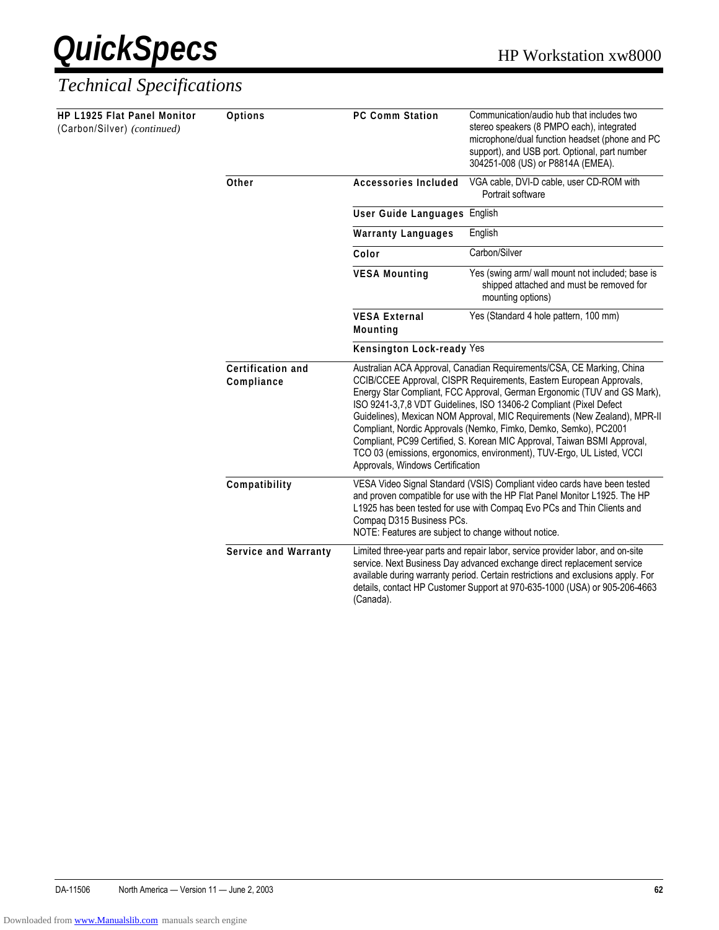

| HP L1925 Flat Panel Monitor<br>(Carbon/Silver) (continued) | <b>Options</b>                          | <b>PC Comm Station</b>                                                                                                                                                                                                                                                                                                                   | Communication/audio hub that includes two<br>stereo speakers (8 PMPO each), integrated<br>microphone/dual function headset (phone and PC<br>support), and USB port. Optional, part number<br>304251-008 (US) or P8814A (EMEA).                                                                                                                                                                                                                                                                                                                                                                                                            |  |  |
|------------------------------------------------------------|-----------------------------------------|------------------------------------------------------------------------------------------------------------------------------------------------------------------------------------------------------------------------------------------------------------------------------------------------------------------------------------------|-------------------------------------------------------------------------------------------------------------------------------------------------------------------------------------------------------------------------------------------------------------------------------------------------------------------------------------------------------------------------------------------------------------------------------------------------------------------------------------------------------------------------------------------------------------------------------------------------------------------------------------------|--|--|
|                                                            | Other                                   | VGA cable, DVI-D cable, user CD-ROM with<br><b>Accessories Included</b><br>Portrait software                                                                                                                                                                                                                                             |                                                                                                                                                                                                                                                                                                                                                                                                                                                                                                                                                                                                                                           |  |  |
|                                                            |                                         | User Guide Languages English                                                                                                                                                                                                                                                                                                             |                                                                                                                                                                                                                                                                                                                                                                                                                                                                                                                                                                                                                                           |  |  |
|                                                            |                                         | <b>Warranty Languages</b>                                                                                                                                                                                                                                                                                                                | English                                                                                                                                                                                                                                                                                                                                                                                                                                                                                                                                                                                                                                   |  |  |
|                                                            |                                         | Color                                                                                                                                                                                                                                                                                                                                    | Carbon/Silver                                                                                                                                                                                                                                                                                                                                                                                                                                                                                                                                                                                                                             |  |  |
|                                                            |                                         | <b>VESA Mounting</b>                                                                                                                                                                                                                                                                                                                     | Yes (swing arm/ wall mount not included; base is<br>shipped attached and must be removed for<br>mounting options)                                                                                                                                                                                                                                                                                                                                                                                                                                                                                                                         |  |  |
|                                                            | <b>VESA External</b><br><b>Mounting</b> | Yes (Standard 4 hole pattern, 100 mm)                                                                                                                                                                                                                                                                                                    |                                                                                                                                                                                                                                                                                                                                                                                                                                                                                                                                                                                                                                           |  |  |
|                                                            |                                         | Kensington Lock-ready Yes                                                                                                                                                                                                                                                                                                                |                                                                                                                                                                                                                                                                                                                                                                                                                                                                                                                                                                                                                                           |  |  |
|                                                            | Certification and<br>Compliance         |                                                                                                                                                                                                                                                                                                                                          | Australian ACA Approval, Canadian Requirements/CSA, CE Marking, China<br>CCIB/CCEE Approval, CISPR Requirements, Eastern European Approvals,<br>Energy Star Compliant, FCC Approval, German Ergonomic (TUV and GS Mark),<br>ISO 9241-3,7,8 VDT Guidelines, ISO 13406-2 Compliant (Pixel Defect<br>Guidelines), Mexican NOM Approval, MIC Requirements (New Zealand), MPR-II<br>Compliant, Nordic Approvals (Nemko, Fimko, Demko, Semko), PC2001<br>Compliant, PC99 Certified, S. Korean MIC Approval, Taiwan BSMI Approval,<br>TCO 03 (emissions, ergonomics, environment), TUV-Ergo, UL Listed, VCCI<br>Approvals, Windows Certification |  |  |
|                                                            | Compatibility                           | VESA Video Signal Standard (VSIS) Compliant video cards have been tested<br>and proven compatible for use with the HP Flat Panel Monitor L1925. The HP<br>L1925 has been tested for use with Compaq Evo PCs and Thin Clients and<br>Compaq D315 Business PCs.<br>NOTE: Features are subject to change without notice.                    |                                                                                                                                                                                                                                                                                                                                                                                                                                                                                                                                                                                                                                           |  |  |
|                                                            | <b>Service and Warranty</b>             | Limited three-year parts and repair labor, service provider labor, and on-site<br>service. Next Business Day advanced exchange direct replacement service<br>available during warranty period. Certain restrictions and exclusions apply. For<br>details, contact HP Customer Support at 970-635-1000 (USA) or 905-206-4663<br>(Canada). |                                                                                                                                                                                                                                                                                                                                                                                                                                                                                                                                                                                                                                           |  |  |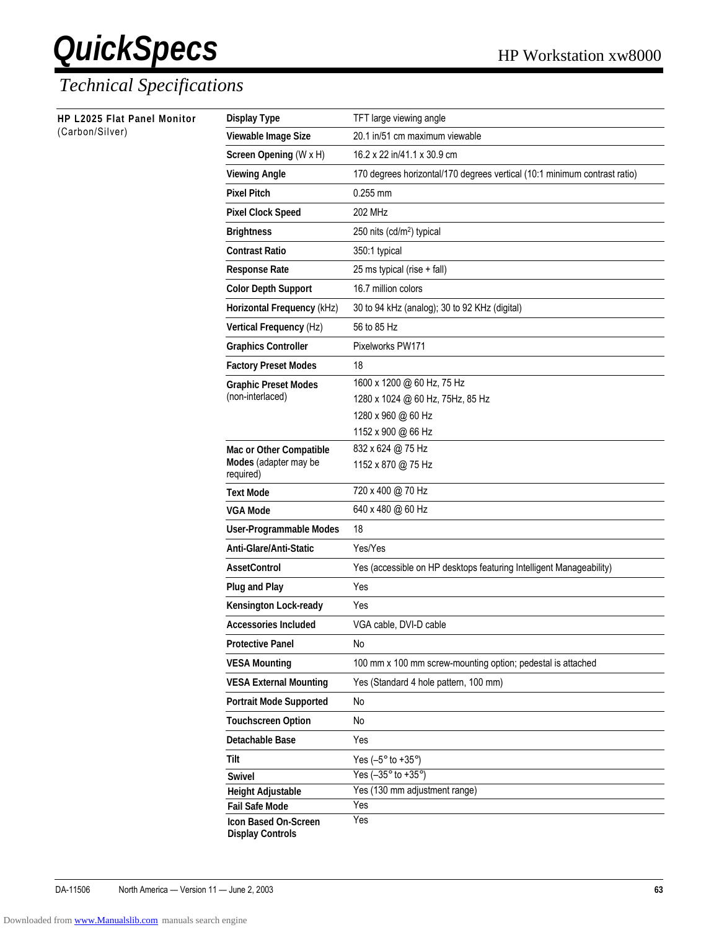| HP L2025 Flat Panel Monitor<br>(Carbon/Silver) | <b>Display Type</b>                             | TFT large viewing angle                                                   |  |
|------------------------------------------------|-------------------------------------------------|---------------------------------------------------------------------------|--|
|                                                | Viewable Image Size                             | 20.1 in/51 cm maximum viewable                                            |  |
|                                                | Screen Opening (W x H)                          | 16.2 x 22 in/41.1 x 30.9 cm                                               |  |
|                                                | <b>Viewing Angle</b>                            | 170 degrees horizontal/170 degrees vertical (10:1 minimum contrast ratio) |  |
|                                                | <b>Pixel Pitch</b>                              | $0.255$ mm                                                                |  |
|                                                | <b>Pixel Clock Speed</b>                        | 202 MHz                                                                   |  |
|                                                | <b>Brightness</b>                               | 250 nits (cd/m <sup>2</sup> ) typical                                     |  |
|                                                | <b>Contrast Ratio</b>                           | 350:1 typical                                                             |  |
|                                                | <b>Response Rate</b>                            | 25 ms typical (rise + fall)                                               |  |
|                                                | <b>Color Depth Support</b>                      | 16.7 million colors                                                       |  |
|                                                | Horizontal Frequency (kHz)                      | 30 to 94 kHz (analog); 30 to 92 KHz (digital)                             |  |
|                                                | Vertical Frequency (Hz)                         | 56 to 85 Hz                                                               |  |
|                                                | <b>Graphics Controller</b>                      | Pixelworks PW171                                                          |  |
|                                                | <b>Factory Preset Modes</b>                     | 18                                                                        |  |
|                                                | <b>Graphic Preset Modes</b>                     | 1600 x 1200 @ 60 Hz, 75 Hz                                                |  |
|                                                | (non-interlaced)                                | 1280 x 1024 @ 60 Hz, 75Hz, 85 Hz                                          |  |
|                                                |                                                 | 1280 x 960 @ 60 Hz                                                        |  |
|                                                |                                                 | 1152 x 900 @ 66 Hz                                                        |  |
|                                                | Mac or Other Compatible                         | 832 x 624 @ 75 Hz                                                         |  |
|                                                | Modes (adapter may be<br>required)              | 1152 x 870 @ 75 Hz                                                        |  |
|                                                | <b>Text Mode</b>                                | 720 x 400 @ 70 Hz                                                         |  |
|                                                | <b>VGA Mode</b>                                 | 640 x 480 @ 60 Hz                                                         |  |
|                                                | User-Programmable Modes                         | 18                                                                        |  |
|                                                | Anti-Glare/Anti-Static                          | Yes/Yes                                                                   |  |
|                                                | <b>AssetControl</b>                             | Yes (accessible on HP desktops featuring Intelligent Manageability)       |  |
|                                                | <b>Plug and Play</b>                            | Yes                                                                       |  |
|                                                | Kensington Lock-ready                           | Yes                                                                       |  |
|                                                | <b>Accessories Included</b>                     | VGA cable, DVI-D cable                                                    |  |
|                                                | <b>Protective Panel</b>                         | No                                                                        |  |
|                                                | <b>VESA Mounting</b>                            | 100 mm x 100 mm screw-mounting option; pedestal is attached               |  |
|                                                | <b>VESA External Mounting</b>                   | Yes (Standard 4 hole pattern, 100 mm)                                     |  |
|                                                | <b>Portrait Mode Supported</b>                  | No                                                                        |  |
|                                                | <b>Touchscreen Option</b>                       | No                                                                        |  |
|                                                | <b>Detachable Base</b>                          | Yes                                                                       |  |
|                                                | <b>Tilt</b>                                     | Yes $(-5^\circ$ to $+35^\circ)$                                           |  |
|                                                | <b>Swivel</b>                                   | Yes $(-35^\circ$ to $+35^\circ)$                                          |  |
|                                                | <b>Height Adjustable</b>                        | Yes (130 mm adjustment range)                                             |  |
|                                                | <b>Fail Safe Mode</b>                           | Yes                                                                       |  |
|                                                | Icon Based On-Screen<br><b>Display Controls</b> | Yes                                                                       |  |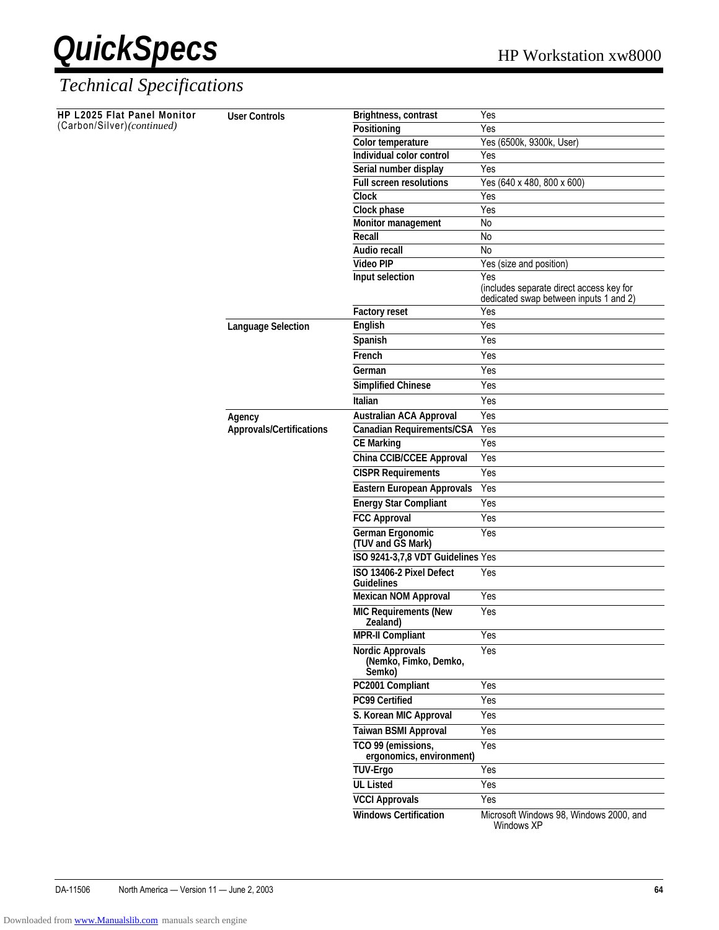

| HP L2025 Flat Panel Monitor | <b>User Controls</b>                      | Brightness, contrast                                       | Yes                                                                                       |  |  |  |
|-----------------------------|-------------------------------------------|------------------------------------------------------------|-------------------------------------------------------------------------------------------|--|--|--|
| (Carbon/Silver)(continued)  |                                           | Positioning                                                | Yes                                                                                       |  |  |  |
|                             |                                           | Color temperature                                          | Yes (6500k, 9300k, User)                                                                  |  |  |  |
|                             |                                           | Individual color control                                   | Yes                                                                                       |  |  |  |
|                             |                                           | Serial number display                                      | Yes                                                                                       |  |  |  |
|                             |                                           | <b>Full screen resolutions</b>                             | Yes (640 x 480, 800 x 600)                                                                |  |  |  |
|                             |                                           | <b>Clock</b>                                               | Yes                                                                                       |  |  |  |
|                             |                                           | Clock phase                                                | Yes                                                                                       |  |  |  |
|                             |                                           | Monitor management                                         | No                                                                                        |  |  |  |
|                             |                                           | Recall                                                     | No                                                                                        |  |  |  |
|                             |                                           | Audio recall                                               | $\overline{N}$                                                                            |  |  |  |
|                             |                                           | <b>Video PIP</b>                                           | Yes (size and position)                                                                   |  |  |  |
|                             |                                           | Input selection                                            | Yes<br>(includes separate direct access key for<br>dedicated swap between inputs 1 and 2) |  |  |  |
|                             |                                           | <b>Factory reset</b>                                       | Yes                                                                                       |  |  |  |
|                             | <b>Language Selection</b>                 | English                                                    | Yes                                                                                       |  |  |  |
|                             |                                           | Spanish                                                    | Yes                                                                                       |  |  |  |
|                             |                                           | French                                                     | Yes                                                                                       |  |  |  |
|                             |                                           | German                                                     | Yes                                                                                       |  |  |  |
|                             |                                           | <b>Simplified Chinese</b>                                  | Yes                                                                                       |  |  |  |
|                             |                                           | <b>Italian</b>                                             | Yes                                                                                       |  |  |  |
|                             |                                           | <b>Australian ACA Approval</b>                             | Yes                                                                                       |  |  |  |
|                             | Agency<br><b>Approvals/Certifications</b> | <b>Canadian Requirements/CSA</b>                           |                                                                                           |  |  |  |
|                             |                                           | <b>CE Marking</b>                                          | Yes                                                                                       |  |  |  |
|                             |                                           | China CCIB/CCEE Approval                                   | Yes<br>Yes<br>Yes                                                                         |  |  |  |
|                             |                                           |                                                            |                                                                                           |  |  |  |
|                             |                                           | <b>CISPR Requirements</b>                                  |                                                                                           |  |  |  |
|                             |                                           | <b>Eastern European Approvals</b>                          | Yes                                                                                       |  |  |  |
|                             |                                           | <b>Energy Star Compliant</b>                               | Yes                                                                                       |  |  |  |
|                             |                                           | <b>FCC Approval</b>                                        | Yes                                                                                       |  |  |  |
|                             |                                           | German Ergonomic<br>(TUV and GS Mark)                      | Yes                                                                                       |  |  |  |
|                             |                                           | ISO 9241-3,7,8 VDT Guidelines Yes                          |                                                                                           |  |  |  |
|                             |                                           | ISO 13406-2 Pixel Defect<br><b>Guidelines</b>              | Yes                                                                                       |  |  |  |
|                             |                                           | <b>Mexican NOM Approval</b>                                | Yes                                                                                       |  |  |  |
|                             |                                           | <b>MIC Requirements (New</b><br>Zealand)                   | Yes                                                                                       |  |  |  |
|                             |                                           | <b>MPR-II Compliant</b>                                    | Yes                                                                                       |  |  |  |
|                             |                                           | <b>Nordic Approvals</b><br>(Nemko, Fimko, Demko,<br>Semko) | Yes                                                                                       |  |  |  |
|                             |                                           | PC2001 Compliant                                           | Yes                                                                                       |  |  |  |
|                             |                                           | PC99 Certified                                             | Yes                                                                                       |  |  |  |
|                             |                                           | S. Korean MIC Approval                                     | Yes                                                                                       |  |  |  |
|                             |                                           | <b>Taiwan BSMI Approval</b>                                | Yes                                                                                       |  |  |  |
|                             |                                           | TCO 99 (emissions,                                         | Yes                                                                                       |  |  |  |
|                             |                                           | ergonomics, environment)<br><b>TUV-Ergo</b>                | Yes                                                                                       |  |  |  |
|                             |                                           | <b>UL Listed</b>                                           | Yes                                                                                       |  |  |  |
|                             |                                           |                                                            |                                                                                           |  |  |  |
|                             |                                           | <b>VCCI Approvals</b>                                      | Yes                                                                                       |  |  |  |
|                             |                                           | <b>Windows Certification</b>                               | Microsoft Windows 98, Windows 2000, and<br>Windows XP                                     |  |  |  |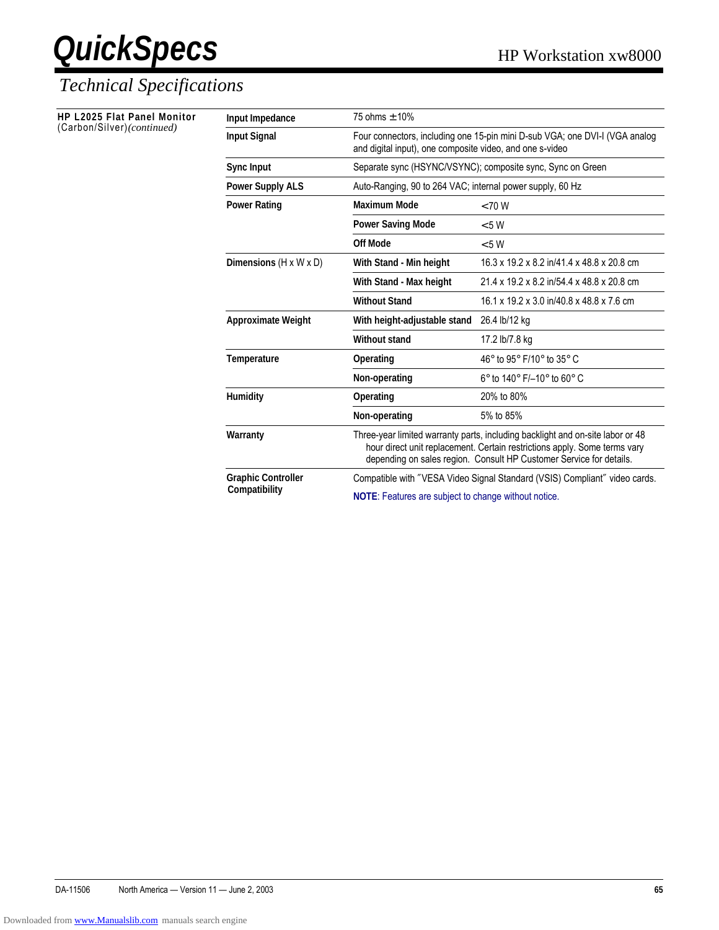| <b>HP L2025 Flat Panel Monitor</b><br>(Carbon/Silver)(continued) | Input Impedance                      | 75 ohms $\pm$ 10%                                                                                                                                                                                                                  |                                                                                                                                         |  |  |
|------------------------------------------------------------------|--------------------------------------|------------------------------------------------------------------------------------------------------------------------------------------------------------------------------------------------------------------------------------|-----------------------------------------------------------------------------------------------------------------------------------------|--|--|
|                                                                  | <b>Input Signal</b>                  |                                                                                                                                                                                                                                    | Four connectors, including one 15-pin mini D-sub VGA; one DVI-I (VGA analog<br>and digital input), one composite video, and one s-video |  |  |
|                                                                  | Sync Input                           | Separate sync (HSYNC/VSYNC); composite sync, Sync on Green                                                                                                                                                                         |                                                                                                                                         |  |  |
|                                                                  | <b>Power Supply ALS</b>              | Auto-Ranging, 90 to 264 VAC; internal power supply, 60 Hz                                                                                                                                                                          |                                                                                                                                         |  |  |
|                                                                  | <b>Power Rating</b>                  | <b>Maximum Mode</b>                                                                                                                                                                                                                | < 70 W                                                                                                                                  |  |  |
|                                                                  |                                      | <b>Power Saving Mode</b>                                                                                                                                                                                                           | < 5 W                                                                                                                                   |  |  |
|                                                                  |                                      | <b>Off Mode</b>                                                                                                                                                                                                                    | < 5 W                                                                                                                                   |  |  |
|                                                                  | Dimensions ( $H \times W \times D$ ) | With Stand - Min height                                                                                                                                                                                                            | 16.3 x 19.2 x 8.2 in/41.4 x 48.8 x 20.8 cm                                                                                              |  |  |
|                                                                  |                                      | With Stand - Max height<br><b>Without Stand</b>                                                                                                                                                                                    | 21.4 x 19.2 x 8.2 in/54.4 x 48.8 x 20.8 cm                                                                                              |  |  |
|                                                                  |                                      |                                                                                                                                                                                                                                    | 16.1 x 19.2 x 3.0 in/40.8 x 48.8 x 7.6 cm                                                                                               |  |  |
|                                                                  | <b>Approximate Weight</b>            | With height-adjustable stand                                                                                                                                                                                                       | 26.4 lb/12 kg                                                                                                                           |  |  |
|                                                                  |                                      | <b>Without stand</b>                                                                                                                                                                                                               | 17.2 lb/7.8 kg                                                                                                                          |  |  |
|                                                                  | Temperature                          | Operating                                                                                                                                                                                                                          | 46° to 95° F/10° to 35° C                                                                                                               |  |  |
|                                                                  |                                      | Non-operating                                                                                                                                                                                                                      | $6^{\circ}$ to 140 $^{\circ}$ F/-10 $^{\circ}$ to 60 $^{\circ}$ C                                                                       |  |  |
|                                                                  | <b>Humidity</b>                      | Operating                                                                                                                                                                                                                          | 20% to 80%                                                                                                                              |  |  |
|                                                                  |                                      | Non-operating                                                                                                                                                                                                                      | 5% to 85%                                                                                                                               |  |  |
|                                                                  | Warranty                             | Three-year limited warranty parts, including backlight and on-site labor or 48<br>hour direct unit replacement. Certain restrictions apply. Some terms vary<br>depending on sales region. Consult HP Customer Service for details. |                                                                                                                                         |  |  |
|                                                                  | <b>Graphic Controller</b>            |                                                                                                                                                                                                                                    | Compatible with "VESA Video Signal Standard (VSIS) Compliant" video cards.                                                              |  |  |
|                                                                  | Compatibility                        | NOTE: Features are subject to change without notice.                                                                                                                                                                               |                                                                                                                                         |  |  |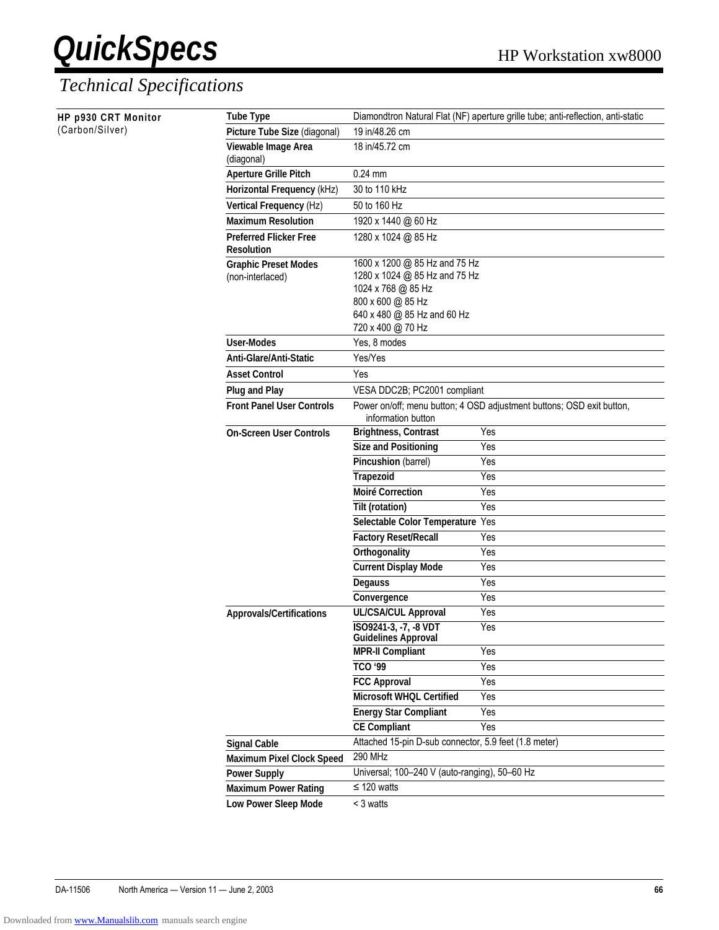| HP p930 CRT Monitor | <b>Tube Type</b>                                   |                                                                                                                                                               | Diamondtron Natural Flat (NF) aperture grille tube; anti-reflection, anti-static |  |
|---------------------|----------------------------------------------------|---------------------------------------------------------------------------------------------------------------------------------------------------------------|----------------------------------------------------------------------------------|--|
| (Carbon/Silver)     | Picture Tube Size (diagonal)                       | 19 in/48.26 cm                                                                                                                                                |                                                                                  |  |
|                     | Viewable Image Area<br>(diagonal)                  | 18 in/45.72 cm                                                                                                                                                |                                                                                  |  |
|                     | <b>Aperture Grille Pitch</b>                       | $0.24$ mm                                                                                                                                                     |                                                                                  |  |
|                     | Horizontal Frequency (kHz)                         | 30 to 110 kHz                                                                                                                                                 |                                                                                  |  |
|                     | Vertical Frequency (Hz)                            | 50 to 160 Hz                                                                                                                                                  |                                                                                  |  |
|                     | <b>Maximum Resolution</b>                          | 1920 x 1440 @ 60 Hz                                                                                                                                           |                                                                                  |  |
|                     | <b>Preferred Flicker Free</b><br><b>Resolution</b> | 1280 x 1024 @ 85 Hz                                                                                                                                           |                                                                                  |  |
|                     | <b>Graphic Preset Modes</b><br>(non-interlaced)    | 1600 x 1200 @ 85 Hz and 75 Hz<br>1280 x 1024 @ 85 Hz and 75 Hz<br>1024 x 768 @ 85 Hz<br>800 x 600 @ 85 Hz<br>640 x 480 @ 85 Hz and 60 Hz<br>720 x 400 @ 70 Hz |                                                                                  |  |
|                     | <b>User-Modes</b>                                  | Yes, 8 modes                                                                                                                                                  |                                                                                  |  |
|                     | Anti-Glare/Anti-Static                             | Yes/Yes                                                                                                                                                       |                                                                                  |  |
|                     | <b>Asset Control</b>                               | Yes                                                                                                                                                           |                                                                                  |  |
|                     | <b>Plug and Play</b>                               | VESA DDC2B; PC2001 compliant                                                                                                                                  |                                                                                  |  |
|                     | <b>Front Panel User Controls</b>                   | information button                                                                                                                                            | Power on/off; menu button; 4 OSD adjustment buttons; OSD exit button,            |  |
|                     | <b>On-Screen User Controls</b>                     | <b>Brightness, Contrast</b>                                                                                                                                   | Yes                                                                              |  |
|                     |                                                    | <b>Size and Positioning</b>                                                                                                                                   | Yes                                                                              |  |
|                     |                                                    | Pincushion (barrel)                                                                                                                                           | Yes                                                                              |  |
|                     |                                                    | <b>Trapezoid</b>                                                                                                                                              | Yes                                                                              |  |
|                     |                                                    | <b>Moiré Correction</b>                                                                                                                                       | Yes                                                                              |  |
|                     |                                                    | Tilt (rotation)                                                                                                                                               | Yes                                                                              |  |
|                     |                                                    | Selectable Color Temperature Yes                                                                                                                              |                                                                                  |  |
|                     |                                                    | <b>Factory Reset/Recall</b>                                                                                                                                   | Yes                                                                              |  |
|                     |                                                    | Orthogonality                                                                                                                                                 | Yes                                                                              |  |
|                     |                                                    | <b>Current Display Mode</b>                                                                                                                                   | Yes                                                                              |  |
|                     |                                                    | Degauss                                                                                                                                                       | Yes                                                                              |  |
|                     |                                                    | Convergence                                                                                                                                                   | Yes                                                                              |  |
|                     | <b>Approvals/Certifications</b>                    | <b>UL/CSA/CUL Approval</b>                                                                                                                                    | Yes                                                                              |  |
|                     |                                                    | ISO9241-3, -7, -8 VDT<br><b>Guidelines Approval</b>                                                                                                           | Yes                                                                              |  |
|                     |                                                    | <b>MPR-II Compliant</b>                                                                                                                                       | Yes                                                                              |  |
|                     |                                                    | TCO '99                                                                                                                                                       | Yes                                                                              |  |
|                     |                                                    | <b>FCC Approval</b>                                                                                                                                           | Yes                                                                              |  |
|                     |                                                    | Microsoft WHQL Certified                                                                                                                                      | Yes                                                                              |  |
|                     |                                                    | <b>Energy Star Compliant</b>                                                                                                                                  | Yes                                                                              |  |
|                     |                                                    | <b>CE Compliant</b>                                                                                                                                           | Yes                                                                              |  |
|                     | <b>Signal Cable</b>                                | Attached 15-pin D-sub connector, 5.9 feet (1.8 meter)                                                                                                         |                                                                                  |  |
|                     | <b>Maximum Pixel Clock Speed</b>                   | <b>290 MHz</b>                                                                                                                                                |                                                                                  |  |
|                     | <b>Power Supply</b>                                | Universal; 100-240 V (auto-ranging), 50-60 Hz                                                                                                                 |                                                                                  |  |
|                     | <b>Maximum Power Rating</b>                        | $\leq$ 120 watts                                                                                                                                              |                                                                                  |  |
|                     | Low Power Sleep Mode                               | < 3 watts                                                                                                                                                     |                                                                                  |  |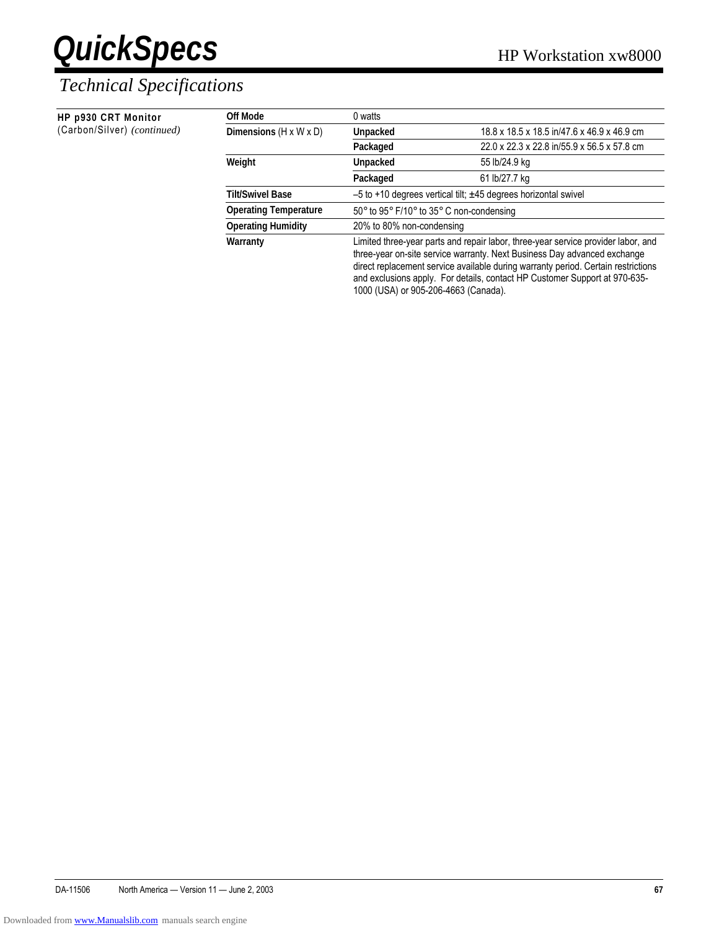#### *Technical Specifications*

| HP p930 CRT Monitor         | Off Mode                           | 0 watts                                                                                                                                                                                                                                                                                                                          |                                             |
|-----------------------------|------------------------------------|----------------------------------------------------------------------------------------------------------------------------------------------------------------------------------------------------------------------------------------------------------------------------------------------------------------------------------|---------------------------------------------|
| (Carbon/Silver) (continued) | Dimensions $(H \times W \times D)$ | Unpacked                                                                                                                                                                                                                                                                                                                         | 18.8 x 18.5 x 18.5 in/47.6 x 46.9 x 46.9 cm |
|                             |                                    | Packaged                                                                                                                                                                                                                                                                                                                         | 22.0 x 22.3 x 22.8 in/55.9 x 56.5 x 57.8 cm |
|                             | Weight                             | Unpacked                                                                                                                                                                                                                                                                                                                         | 55 lb/24.9 kg                               |
|                             |                                    | Packaged                                                                                                                                                                                                                                                                                                                         | 61 lb/27.7 kg                               |
|                             | <b>Tilt/Swivel Base</b>            | $-5$ to +10 degrees vertical tilt; $\pm 45$ degrees horizontal swivel                                                                                                                                                                                                                                                            |                                             |
|                             | <b>Operating Temperature</b>       | 50° to 95° F/10° to 35° C non-condensing                                                                                                                                                                                                                                                                                         |                                             |
|                             | <b>Operating Humidity</b>          | 20% to 80% non-condensing                                                                                                                                                                                                                                                                                                        |                                             |
|                             | Warranty                           | Limited three-year parts and repair labor, three-year service provider labor, and<br>three-year on-site service warranty. Next Business Day advanced exchange<br>direct replacement service available during warranty period. Certain restrictions<br>and exclusions apply. For details, contact HP Customer Support at 970-635- |                                             |

1000 (USA) or 905-206-4663 (Canada).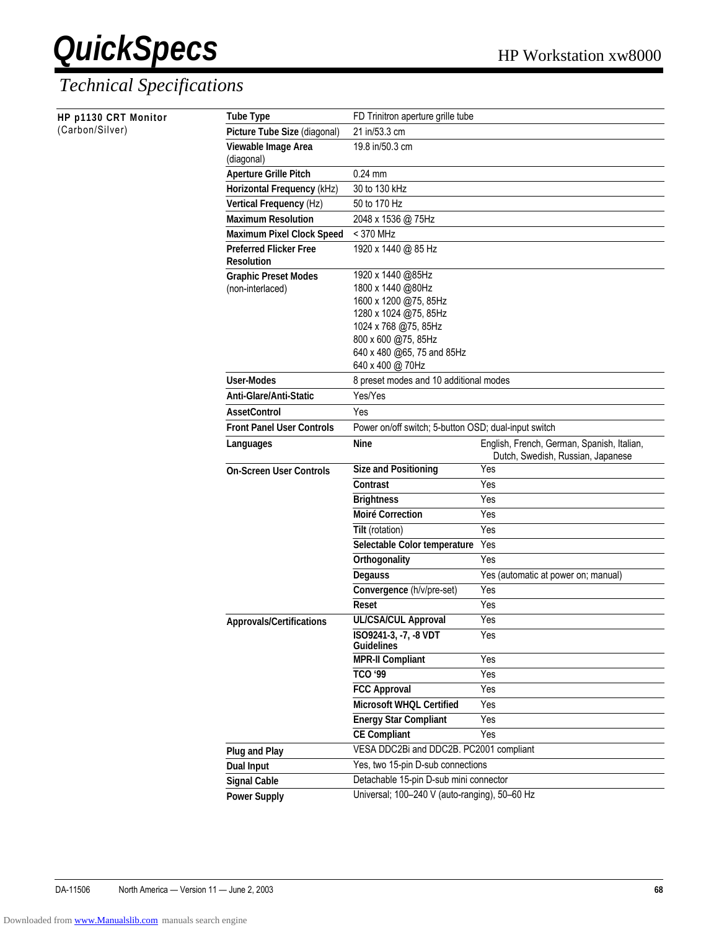| HP p1130 CRT Monitor | <b>Tube Type</b>                  | FD Trinitron aperture grille tube                    |                                                                                 |
|----------------------|-----------------------------------|------------------------------------------------------|---------------------------------------------------------------------------------|
| (Carbon/Silver)      | Picture Tube Size (diagonal)      | 21 in/53.3 cm                                        |                                                                                 |
|                      | Viewable Image Area<br>(diagonal) | 19.8 in/50.3 cm                                      |                                                                                 |
|                      | <b>Aperture Grille Pitch</b>      | $0.24$ mm                                            |                                                                                 |
|                      | Horizontal Frequency (kHz)        | 30 to 130 kHz                                        |                                                                                 |
|                      | Vertical Frequency (Hz)           | 50 to 170 Hz                                         |                                                                                 |
|                      | <b>Maximum Resolution</b>         | 2048 x 1536 @ 75Hz                                   |                                                                                 |
|                      | <b>Maximum Pixel Clock Speed</b>  | < 370 MHz                                            |                                                                                 |
|                      | <b>Preferred Flicker Free</b>     | 1920 x 1440 @ 85 Hz                                  |                                                                                 |
|                      | <b>Resolution</b>                 |                                                      |                                                                                 |
|                      | <b>Graphic Preset Modes</b>       | 1920 x 1440 @85Hz                                    |                                                                                 |
|                      | (non-interlaced)                  | 1800 x 1440 @80Hz<br>1600 x 1200 @75, 85Hz           |                                                                                 |
|                      |                                   | 1280 x 1024 @75, 85Hz                                |                                                                                 |
|                      |                                   | 1024 x 768 @75, 85Hz                                 |                                                                                 |
|                      |                                   | 800 x 600 @75, 85Hz                                  |                                                                                 |
|                      |                                   | 640 x 480 @65, 75 and 85Hz                           |                                                                                 |
|                      |                                   | 640 x 400 @ 70Hz                                     |                                                                                 |
|                      | <b>User-Modes</b>                 | 8 preset modes and 10 additional modes               |                                                                                 |
|                      | Anti-Glare/Anti-Static            | Yes/Yes                                              |                                                                                 |
|                      | <b>AssetControl</b>               | Yes                                                  |                                                                                 |
|                      | <b>Front Panel User Controls</b>  | Power on/off switch; 5-button OSD; dual-input switch |                                                                                 |
|                      | Languages                         | <b>Nine</b>                                          | English, French, German, Spanish, Italian,<br>Dutch, Swedish, Russian, Japanese |
|                      | <b>On-Screen User Controls</b>    | <b>Size and Positioning</b>                          | Yes                                                                             |
|                      |                                   | Contrast                                             | Yes                                                                             |
|                      |                                   | <b>Brightness</b>                                    | Yes                                                                             |
|                      |                                   | <b>Moiré Correction</b>                              | Yes                                                                             |
|                      |                                   | Tilt (rotation)                                      | Yes                                                                             |
|                      |                                   | Selectable Color temperature                         | Yes                                                                             |
|                      |                                   | Orthogonality                                        | Yes                                                                             |
|                      |                                   | Degauss                                              | Yes (automatic at power on; manual)                                             |
|                      |                                   | Convergence (h/v/pre-set)<br>Reset                   | Yes<br>Yes                                                                      |
|                      |                                   | <b>UL/CSA/CUL Approval</b>                           | Yes                                                                             |
|                      | <b>Approvals/Certifications</b>   | ISO9241-3, -7, -8 VDT<br><b>Guidelines</b>           | Yes                                                                             |
|                      |                                   | <b>MPR-II Compliant</b>                              | Yes                                                                             |
|                      |                                   | TCO '99                                              | Yes                                                                             |
|                      |                                   | <b>FCC Approval</b>                                  | Yes                                                                             |
|                      |                                   | Microsoft WHQL Certified                             | Yes                                                                             |
|                      |                                   | <b>Energy Star Compliant</b>                         | Yes                                                                             |
|                      |                                   | <b>CE Compliant</b>                                  | Yes                                                                             |
|                      | <b>Plug and Play</b>              | VESA DDC2Bi and DDC2B. PC2001 compliant              |                                                                                 |
|                      | <b>Dual Input</b>                 | Yes, two 15-pin D-sub connections                    |                                                                                 |
|                      | <b>Signal Cable</b>               | Detachable 15-pin D-sub mini connector               |                                                                                 |
|                      | <b>Power Supply</b>               | Universal; 100-240 V (auto-ranging), 50-60 Hz        |                                                                                 |
|                      |                                   |                                                      |                                                                                 |